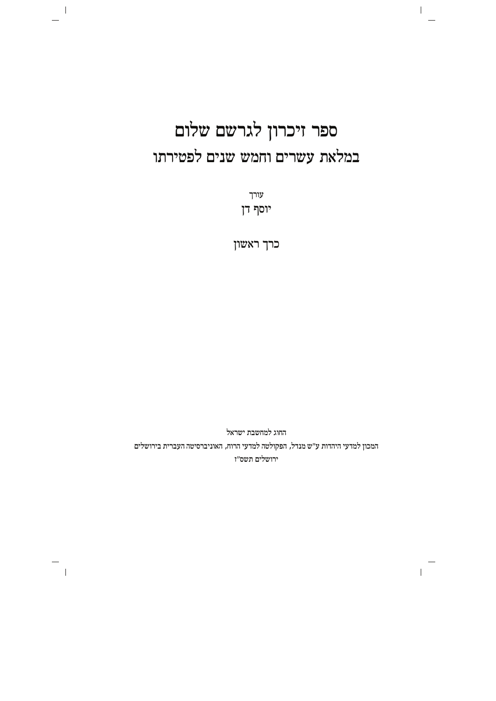# ספר זיכרון לגרשם שלום במלאת עשרים וחמש שנים לפטירתו

 $\overline{1}$ 

 $\mathbf{I}$ 

 $\sim 1$ 

 $\sim$  1

עורך יוסף דן

כרך ראשון

החוג למחשבת ישראל המכון למדעי היהדות ע"ש מנדל, הפקולטה למדעי הרוח, האוניברסיטה העברית בירושלים ירושלים תשס״ז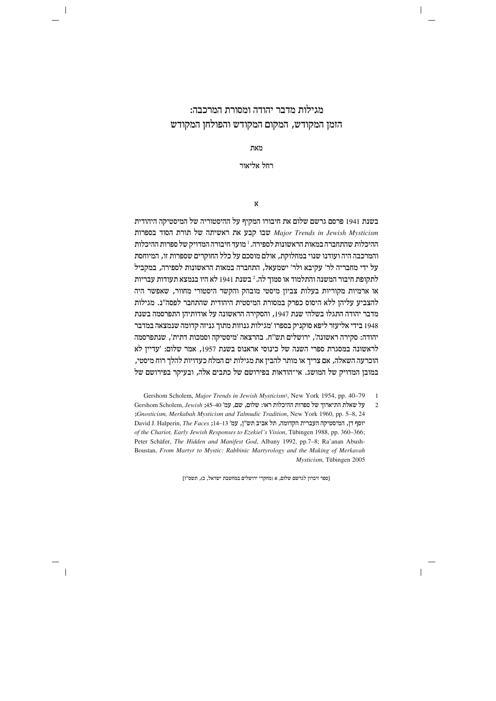# מגילות מדבר יהודה ומסורת המרכבה: הזמן המקודש, המקום המקודש והפולחן המקודש

n`z

רחל אליאור

 $\mathbf{x}$ 

בשנת 1941 פרסם גרשם שלום את חיבורו המקיף על ההיסטוריה של המיסטיקה היהודית  $M$ ישנת השיתה של תורת הסוד בספרות Major Trends in Jewish Mysticism ההיכלות שהתחברה במאות הראשונות לספירה. <sup>ו</sup> מועד חיבורה המדויק של ספרות ההיכלות והמרכבה היה ועודנו שנוי במחלוקת, אולם מוסכם על כלל החוקרים שספרות זו, המיוחסת על ידי מחבריה לר' עקיבא ולר' ישמעאל, התחברה במאות הראשונות לספירה, במקביל לתקופת חיבור המשנה והתלמוד או סמוך לה.<sup>2</sup> בשנת 1941 לא היו בנמצא תעודות עבריות או ארמיות מקוריות בעלות צביון מיסטי מובהק והקשר היסטורי מחוור, שאפשר היה להצביע עליהן ללא היסוס כפרק במסורת המיסטית היהודית שהתחבר לפסה"ג. מגילות מדבר יהודה התגלו בשלהי שנת 1947, והסקירה הראשונה על אודותיהן התפרסמה בשנת 1948 בידי אליעזר ליפא סוקניק בספרו 'מגילות גנוזות מתוך גניזה קדומה שנמצאה במדבר יהודה: סקירה ראשונה', ירושלים תש"ח. בהרצאה 'מיסטיקה וסמכות דתית', שנתפרסמה לראשונה במסגרת ספרי השנה של כינוסי אראנוס בשנת 1957, אמר שלום: 'עדיין לא הוכרעה השאלה, אם צריך או מותר להבין את מגילות ים המלח כעדויות להלך רוח מיסטי, במובן המדויק של המושג. אי־הודאות בפירושם של כתבים אלה, ובעיקר בפירושם של

Gershom Scholem, *Major Trends in Jewish Mysticism<sup>3</sup>*, New York 1954, pp. 40-79 1

2 lr y`zl izd`jex ly zextq zelkidd x`e: mely, my, nr '45±40 ;*Jewish* ,Scholem Gershom ;Gnosticism, Merkabah Mysticism and Talmudic Tradition, New York 1960, pp. 5-8, 24 יוסף דן, המיסטיקה העברית הקדומה, תל אביב תש"ן, עמ' 13-14; David J. Halperin, The Faces of the Chariot, Early Jewish Responses to Ezekiel's Vision, Tübingen 1988, pp. 360-366; Boustan, From Martyr to Mystic: Rabbinic Martyrology and the Making of Merkavah Peter Schäfer, The Hidden and Manifest God, Albany 1992, pp.7-8; Ra'anan Abush- $Mysticism$ , Tübingen 2005

[ספר זיכרון לגרשם שלום, א (מחקרי ירושלים במחשבת ישראל, כ), תשס"ז]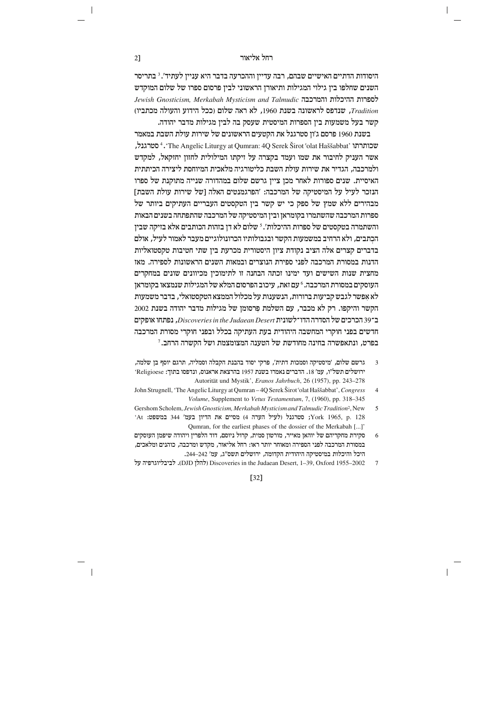# וקל אליאור האליאור באריים ו

היסודות הדתיים האישיים שבהם, רבה עדיין וההכרעה בדבר היא עניין לעתיד'.<sup>3</sup> בתריסר השנים שחלפו בין גילוי המגילות ותיאורן הראשוני לבין פרסום ספרו של שלום המוקדש zextql zelkidd dakxnde *Talmudic and Mysticism Merkabah ,Gnosticism Jewish Tradition*, qtcpy xl`dpey zpya ,1960 l `x`d mely) lkk recid dlerde eiazkn( קשר בעל משמעות בין הספרות המיסטית שעסק בה לבין מגילות מדבר יהודה.

בשנת 1960 פרסם ג'ון סטרגנל את הקטעים הראשונים של שירות עולת השבת במאמר שכותרתו 'The Angelic Liturgy at Qumran: 4Q Serek Širot 'olat Haššabbat' ו־4 סטרגנל, אשר העניק לחיבור את שמו ועמד בקצרה על זיקתו המילולית לחזוז יחזקאל. למקדש ולמרכבה, הגדיר את שירות עולת השבת כליטורגיה מלאכית המיוחסת ליצירה הכיתתית האיסיית. שנים ספורות לאחר מכן ציין גרשם שלום במהדורה שנייה מתוקנת של ספרו הנזכר לעיל על המיסטיקה של המרכבה: 'הפרגמנטים האלה [של שירות עולת השבת] מבהירים ללא שמץ של ספק כי יש קשר בין הטקסטים העבריים העתיקים ביותר של ספרות המרכבה שהשתמרו בקומראז וביז המיסטיקה של המרכבה שהתפתחה בשנים הבאות והשתמרה בטקסטים של ספרות ההיכלות'. <sup>5</sup> שלום לא דן בזהות הכותבים אלא בזיקה שבין הכתבים, ולא הרחיב במשמעות הקשר ובגבולותיו הכרונולוגיים מעבר לאמור לעיל, אולם בדברים קצרים אלה הציב נקודת ציון היסטורית מכרעת בין שתי חטיבות טקסטואליות הדנות במסורת המרכבה לפני ספירת הנוצרים ובמאות השנים הראשונות לספירה. מאז מחצית שנות השישים ועד ימינו זכתה הבחנה זו לתימוכיז מכיוונים שונים במחקרים העוסקים במסורת המרכבה. <sup>6</sup> עם זאת, עיכוב הפרסום המלא של המגילות שנמצאו בקומראן לא אפשר לגבש קביעות ברורות, הנשענות על מכלול הממצא הטקסטואלי, בדבר משמעות הקשר והיקפו. רק לא מכבר, עם השלמת פרסומן של מגילות מדבר יהודה בשנת 2002 Îa39 mikxkd ly dxcqd zipeylÎecd *Desert Judaean the in Discoveries*, egztp` miwte חדשים בפני חוקרי המחשבה היהודית בעת העתיקה בכלל ובפני חוקרי מסורת המרכבה  $^{\prime}$ בפרט. ונתאפשרה בחינה מחודשת של הטענה המצומצמת ושל הקשרה הרחב.

- ה הרשם שלום, 'מיסטיקה וסמכות דתית', פרקי יסוד בהבנת הקבלה וסמליה, תרגם יוסף בן שלמה, ירושלים תשל"ו, עמ' 18. הדברים נאמרו בשנת 1957 בהרצאת אראנוס, ונדפסו בתוך: Religioese' Autorität und Mystik', *Eranos Jahrbuch*, 26 (1957), pp. 243–278
- John Strugnell, 'The Angelic Liturgy at Qumran 4Q Serek Širot 'olat Haššabbat', Congress 4 Volume, Supplement to Vetus Testamentum, 7, (1960), pp. 318–345
- 5 Gershom Scholem, Jewish Gnosticism, Merkabah Mysticism and Talmudic Tradition<sup>2</sup>, New 'At נמשפט: 344 הדיון בעמ' 344 (לעיל הערה 4 (אניל הערה י $\gamma$ ork 1965, p.  $128$ Qumran, for the earliest phases of the dossier of the Merkabah [...]'
- סקירת מחקריהם של יוהאן מאייר, מורטון סמית, קרול ניוסם, דוד הלפרין ויהודה שיפמן העוסקים ס במסורת המרכבה לפני הספירה ומאוחר יותר ראו: רחל אליאור, מקדש ומרכבה, כוהנים ומלאכים, lkid zelkide dwihqina zicedid dnecwd, milyexi qyz"b, nr '.244±242
- 7 2002–255-2005 (להלו Discoveries in the Judaean Desert, 1–39, Oxford 1955–2002). לביבליוגרפיה על

[32]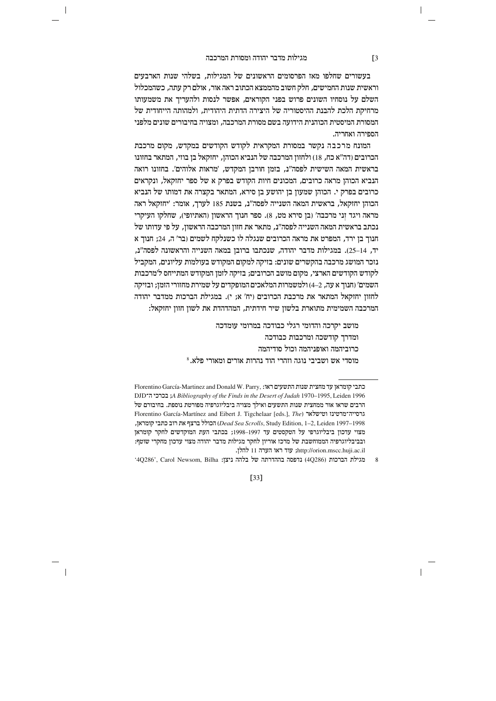$\overline{\phantom{a}}$ 

בעשורים שחלפו מאז הפרסומים הראשונים של המגילות, בשלהי שנות הארבעים וראשית שנות החמישים, חלק חשוב מהממצא הכתוב ראה אור, אולם רק עתה, כשהמכלול השלם על נוסחיו השונים פרוש בפני הקוראים, אפשר לנסות ולהעריך את משמעותו מרחיקת הלכת להבנת ההיסטוריה של היצירה הדתית היהודית, ולמהותה הייחודית של המסורת המיסטית הכוהנית הידועה בשם מסורת המרכבה. ומצויה בחיבורים שונים מלפני הספירה ואחריה.

המונח מרכבה נקשר במסורת המקראית לקודש הקודשים במקדש, מקום מרכבת הכרובים (דה״א כח, 18) ולחזון המרכבה של הנביא הכוהן, יחזקאל בן בוזי, המתאר בחזונו בראשית המאה השישית לפסה"נ, בזמן חורבן המקדש, 'מראות אלוהים'. בחזונו רואה הנביא הכוהן מראה כרובים, המכונים חיות הקודש בפרק א של ספר יחזקאל, ונקראים כרובים בפרק י. הכוהן שמעון בן יהושע בן סירא, המתאר בקצרה את דמותו של הנביא הכוהן יחזקאל, בראשית המאה השנייה לפסה"נ, בשנת 185 לערך, אומר: 'יחזקאל ראה מראה ויגד זני מרכבה' (בז סירא מט. 8). ספר חנוד הראשוז (האתיופי). שחלקו העיקרי נכתב בראשית המאה השנייה לפסה״נ, מתאר את חזון המרכבה הראשון, על פי עדותו של חנוך בן ירד, המפרט את מראה הכרובים שנגלה לו כשנלקח לשמים (בר' ה, 24; חנוך א יד, 14–25). במגילות מדבר יהודה, שנכתבו ברובן במאה השנייה והראשונה לפסה"נ, נזכר המושג מרכבה בהקשרים שונים: בזיקה למקום המקודש בעולמות עליונים, המקביל לקודש הקודשים הארצי. מקום מושב הכרובים: בזיקה לזמז המקודש המתייחס ל׳מרכבות השמים' (חנוך א עה, 2–4) ולמשמרות המלאכים המופקדים על שמירת מחזורי הזמז; ובזיקה לחזון יחזקאל המתאר את מרכבת הכרובים (יח' א; י). במגילת הברכות ממדבר יהודה המרכבה השמימית מתוארת בלשון שיר חידתית, המהדהדת את לשון חזון יחזקאל:

> מושב יקרכה והדומי רגלי כבודכה במרומי עומדכה ומדרך קודשכה ומרכבות כבודכה כרוביהמה ואופניהמה וכול סודיהמה  $^8$ לא.<br>מוסדי אש ושביבי נוגה וזהרי הוד נהרות אורים ומאורי פלא.

 $[33]$ 

 $\sqrt{3}$ 

Florentino García-Martinez and Donald W. Parry, און התשעים התשעים התשעים הת DJD ו-A Bibliography of the Finds in the Desert of Judah 1970-1995, Leiden 1996 הרבים שראו אור ממחצית שנות התשעים ואילך מצויה ביבליוגרפיה מפורטת נוספת. בחיבורם של Florentino García-Martínez and Eibert J. Tigchelaar [eds.], The) אורסייה־מרטינז וטישלאר , Dead Sea Scrolls, Study Edition, 1-2, Leiden 1997-1998) הכולל ברצף את רוב כתבי קומראן מצוי עדכון ביבליוגרפי על הטקסטים עד 1997–1998; בכתבי העת המוקדשים לחקר קומראן ובביבליוגרפיה הממוחשבת של מרכז אוריון לחקר מגילות מדבר יהודה מצוי עדכון מחקרי שוטף: http://orion.mscc.huji.ac.il; עוד ראו הערה 11 להלן.

<sup>&#</sup>x27;4Q286', Carol Newsom, Bilha :נדמה של בלהה ניצן: גוגולת הברכות (4Q286) ו-4Q286'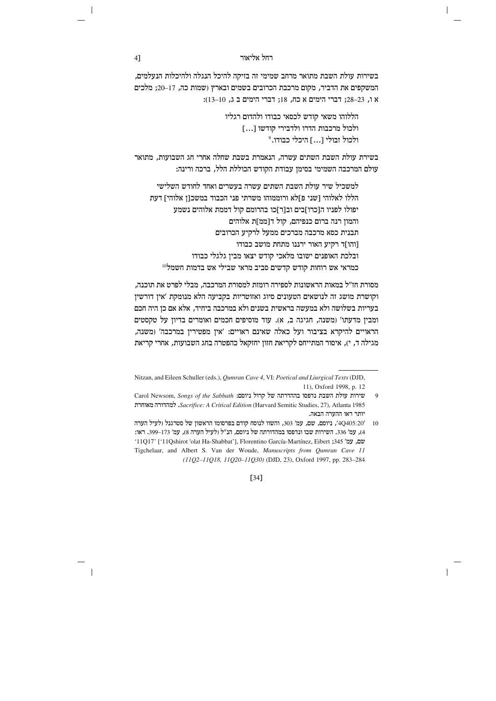בשירות עולת השבת מתואר מרחב שמימי זה בזיקה להיכל הנגלה ולהיכלות הנעלמים, המשקפים את הדביר, מקום מרכבת הכרובים בשמים ובארץ (שמות כה, 17–20; מלכים א ו, 23–28; דברי הימים א כח, 18; דברי הימים ב $10, 10$  ב.

> הללוהו משאי קודש לכסאי כבודו ולהדום רגליו ולכול מרכבות הדרו ולדבירי קודשו [...] ולכול זבולי <sup>1</sup>...] היכלי כבודו.<sup>9</sup>

בשירת עולת השבת השתים עשרה. הנאמרת בשבת שחלה אחרי חג השבועות. מתואר עולם המרכבה השמימי בסימן עבודת הקודש הכוללת הלל, ברכה ורינה:

למשכיל שיר עולת השבת השתים עשרה בעשרים ואחד לחודש השלישי הללו לאלוהי ושני פ]לא ורוממוהו משרתי פני הכבוד במשכוז אלוהי] דעת יפולו לפניו ה[כרו]בים וב[ר]כו בהרומם קול דממת אלוהים נשמע והמון רנה ברום כנפיהם, קול ד[ממ]ת אלוהים תבנית כסא מרכבה מברכים ממעל לרקיע הכרובים [והו]ד רקיע האור ירננו מתחת מושב כבודו ובלכת האופנים ישובו מלאכי קודש יצאו מבין גלגלי כבודו כמראי אש רוחות קודש קדשים סביב מראי שבילי אש בדמות חשמל<sup>10</sup>

מסורת חז״ל במאות הראשונות לספירה רומזת למסורת המרכבה, מבלי לפרט את תוכנה, וקושרת מושג זה לנושאים הטעונים סיוג ואזוטריות בקביעה הלא מנומקת 'אין דורשין בעריות בשלושה ולא במעשה בראשית בשנים ולא במרכבה ביחיד, אלא אם כן היה חכם ומבין מדעתו' (משנה, חגיגה ב, א). עוד מוסיפים חכמים ואומרים בדיון על טקסטים הראויים להיקרא בציבור ועל כאלה שאינם ראויים: 'אין מפטירין במרכבה' (משנה, מגילה ד, י), איסור המתייחס לקריאת חזון יחזקאל כהפטרה בחג השבועות, אחרי קריאת

 $[34]$ 

41

Nitzan, and Eileen Schuller (eds.), Qumran Cave 4, VI: Poetical and Liurgical Texts (DJD, 11), Oxford 1998, p. 12

Carol Newsom, Songs of the Sabbath :סירות של קרול ניוסם  $\overline{9}$ Sacrifice: A Critical Edition (Harvard Semitic Studies, 27), Atlanta 1985. למהדורה מאוחרת יותר ראו ההערה הבאה.

<sup>10 /4</sup>Q405:20/, ניוסם, שם, עמ׳ 303, והשוו לנוסח קודם בפרסומו הראשון של סטרגנל (לעיל הערה 4), עמ' 336. השירות שבו ונדפסו במהדורתה של ניוסם, הנ"ל (לעיל הערה 8), עמ' 173–399. ראו: '11Q17' ['11Qshirot 'olat Ha-Shabbat'], Florentino García-Martínez, Eibert ;345 'שם, עמ' Tigchelaar, and Albert S. Van der Woude, Manuscripts from Qumran Cave 11 (11Q2-11Q18, 11Q20-11Q30) (DJD, 23), Oxford 1997, pp. 283-284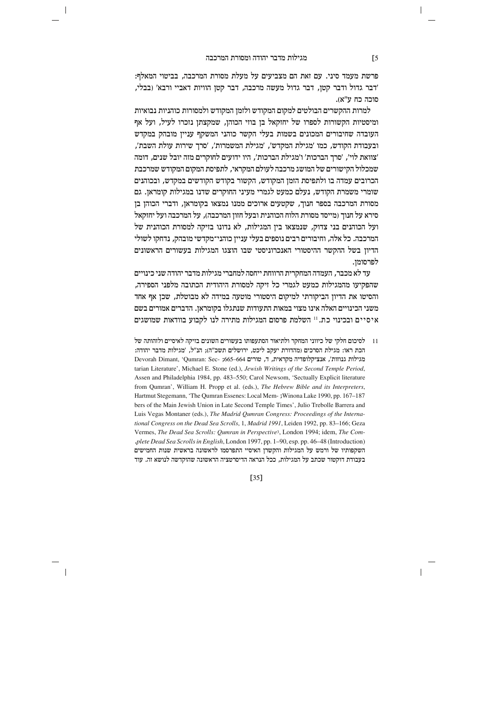ברשת מעמד סיני. עם זאת הם מצביעים על מעלת מסורת המרכבה, בביטוי המאלף: 'דבר גדול ודבר קטן, דבר גדול מעשה מרכבה, דבר קטן הוויות דאביי ורבא' (בבלי, מוכה כח ע"א).

למרות ההקשרים הבולטים למקום המקודש ולזמן המקודש ולמסורות כוהניות נבואיות ומיסטיות הקשורות לספרו של יחזקאל בן בוזי הכוהן, שמקצתן נזכרו לעיל, ועל אף העובדה שחיבורים המכונים בשמות בעלי הקשר כוהני המשקף עניין מובהק במקדש  $\zeta'$ ובעבודת הקודש, כמו 'מגילת המקדש', 'מגילת המשמרות', 'סרך שירות עולת השבת 'צוואת לוי', 'סרך הברכות' ו'מגילת הברכות', היו ידועים לחוקרים מזה יובל שנים, דומה שמכלול הקישורים של המושג מרכבה לעולם המקראי, לתפיסת המקום המקודש שמרכבת הכרובים עמדה בו ולתפיסת הזמן המקודש, הקשור בקודש הקודשים במקדש, ובכוהנים שומרי משמרת הקודש, נעלם כמעט לגמרי מעיני החוקרים שדנו במגילות קומראן. גם מסורת המרכבה בספר חנוך, שקטעים ארוכים ממנו נמצאו בקומראן, ודברי הכוהן בן  $\dot{\tau}$ סירא על חנור ומייסד מסורת הלוח הכוהנית ובעל חזוז המרכבה). על המרכבה ועל יחזקאל ועל הכוהנים בני צדוק, שנמצאו בין המגילות, לא נדונו בזיקה למסורת הכוהנית של המרכבה. כל אלה, וחיבורים רבים נוספים בעלי עניין כוהני־מקדשי מובהק, נדחקו לשולי הדיון בשל ההקשר ההיסטורי האנכרוניסטי שבו הוצגו המגילות בעשורים הראשונים לפרסומו.

 $\,$  עד לא מכבר, העמדה המחקרית הרווחת ייחסה למחברי מגילות מדבר יהודה שני כינויים שהפקיעו מהמגילות כמעט לגמרי כל זיקה למסורת היהודית הכתובה מלפני הספירה, והסיטו את הדיון הביקורתי למיקום היסטורי מוטעה במידה לא מבוטלת, שכן אף אחד משני הכינויים האלה אינו מצוי במאות התעודות שנתגלו בקומראן. הדברים אמורים בשם  $z$ יסיים ובכינוי כת. $^{11}$  השלמת פרסום המגילות מתירה לנו לקבוע בוודאות שמושגים

 $\sigma$ לאיסיים ולזהותה של ביווני המחקר ולתיאור הסתעפותו בעשורים השונים בזיקה לאיסיים ולזהותה של הכת ראו: מגילת הסרכים (מהדורת יעקב ליכט, ירושלים תשכ"ה); הנ"ל, 'מגילות מדבר יהודה: Devorah Dimant, 'Qumran: Sec- ;665-664 כגילות גנוזות', אנציקלופדיה מקראית, ד, שורים tarian Literature', Michael E. Stone (ed.), *Jewish Writings of the Second Temple Period*, Assen and Philadelphia 1984, pp. 483-550; Carol Newsom, 'Sectually Explicit literature from Qumran', William H. Propp et al. (eds.), The Hebrew Bible and its Interpreters, Hartmut Stegemann, 'The Qumran Essenes: Local Mem -; Winona Lake 1990, pp. 167–187 bers of the Main Jewish Union in Late Second Temple Times', Julio Trebolle Barrera and tional Congress on the Dead Sea Scrolls, 1, Madrid 1991, Leiden 1992, pp. 83-166; Geza Luis Vegas Montaner (eds.), *The Madrid Qumran Congress: Proceedings of the Interna-*Vermes, The Dead Sea Scrolls: Qumran in Perspective<sup>3</sup>, London 1994; idem, The Complete Dead Sea Scrolls in English, London 1997, pp. 1-90, esp. pp. 46-48 (Introduction). השקפותיו של ורמש על המגילות והקשרן האיסיי התפרסמו לראשונה בראשית שנות החמישים בעבודת דוקטור שכתב על המגילות, ככל הנראה הדיסרטציה הראשונה שהוקדשה לנושא זה. עוד

[35]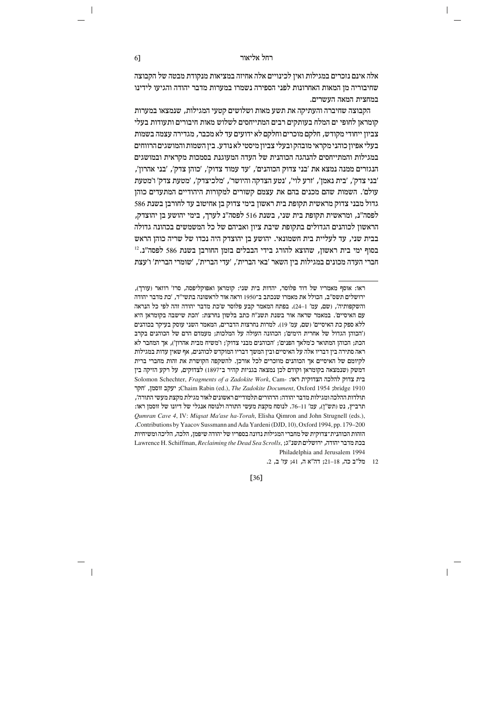אלה אינם נזכרים במגילות ואין לכינויים אלה אחיזה במציאות מנקודת מבטה של הקבוצה שחיבוריה מן המאות האחרונות לפני הספירה נשמרו במערות מדבר יהודה והגיעו לידינו במחצית המאה העשרים.

הקבוצה שחיברה והעתיקה את תשע מאות ושלושים קטעי המגילות, שנמצאו במערות קומראז לחופי ים המלח בעותקים רבים המתייחסים לשלוש מאות חיבורים ותעודות בעלי צביון ייחודי מקודש, חלקם מוכרים וחלקם לא ידועים עד לא מכבר, מגדירה עצמה בשמות בעלי אפיון כוהני מקראי מובהק ובעלי צביון מיסטי לא נודע. בין השמות והמושגים הרווחים במגילות והמתייחסים להנהגה הכוהנית של העדה המעוגנת בסמכות מקראית ובמושגים , הנגזרים ממנה נמצא את 'בני צדוק הכוהנים', 'עד עמוד צדוק', 'כוהן צדק', 'בני אהרון' 'בני צדק', 'בית נאמן', 'זרע לוי', 'נטע הצדקה והיושר', 'מלכיצדק', 'מטעת צדק' ו'מטעת עולם׳. השמות שהם מכנים בהם את עצמם קשורים למקורות היהודיים המתעדים כוהן גדול מבני צדוק מראשית תקופת בית ראשון בימי צדוק בן אחיטוב עד לחורבן בשנת 586 לפסה״נ. ומראשית תקופת בית שני. בשנת 516 לפסה״נ לערר. בימי יהושע בו יהוצדק. הראשון לכוהנים הגדולים בתקופת שיבת ציון ואביהם של כל המשמשים בכהונה גדולה בבית שני, עד לעליית בית חשמונאי. יהושע בן יהוצדק היה נכדו של שריה כוהן הראש בסוף ימי בית ראשון, שהוצא להורג בידי הבבלים בזמן החורבן בשנת 586 לפסה"נ.<sup>12</sup> חברי העדה מכונים במגילות ביו השאר 'באי הברית'. 'עדי הברית'. 'שומרי הברית' ו'עצת

ראו: אוסף מאמריו של דוד פלוסר, יהדות בית שני: קומראן ואפוקליפסה, סרז' רוזאר (עורך), ירושלים תשס״ב, הכולל את מאמרו שנכתב ב־1950 וראה אור לראשונה בתשי״ד, 'כת מדבר יהודה והשקפותיה', (שם, עמ' 1–24). בפתח המאמר קבע פלוסר ש'כת מדבר יהודה זהה לפי כל הנראה עם האיסיים'. במאמר שראה אור בשנת תשנ"ח כתב בלשון נחרצת: 'הכת שישבה בקומראן היא ללא ספק כת האיסיים' (שם, עמ' 19). למרות נחרצות הדברים, המאמר השני עוסק בעיקר בכוהנים ('הכוהן הגדול של אחרית הימים'; הכהונה העולה על המלכות; מעמדם הרם של הכוהנים בקרב הכת; הכוהן המתואר כ'מלאך הפנים'; 'הכוהנים מבני צדוק'; ו'משיח מבית אהרון'), אך המחבר לא ראה סתירה בין דבריו אלה על האיסיים ובין המשך דבריו המוקדש לכוהנים, אף שאין עדות במגילות לקיומם של האיסיים אך הכוהנים מוזכרים לכל אורכן. להשקפה הקושרת את זהות מחברי ברית דמשק (שנמצאה בקומראן וקודם לכן נמצאה בגניזת קהיר ב־1897) לצדוקים, על רקע הזיקה בין Solomon Schechter, Fragments of a Zadokite Work, Cam- בית צדוק להלכה הצדוקית ראו: יעקב זוסמן, 'חקר' Chaim Rabin (ed.), The Zadokite Document, Oxford 1954 ;bridge 1910 תולדות ההלכה ומגילות מדבר יהודה: הרהורים תלמודיים ראשונים לאור מגילת מקצת מעשי התורה'. תרביץ, נט (תש"ן), עמ' 11–76. לנוסח מקצת מעשי התורה ולנוסח אנגלי של דיונו של זוסמן ראו: Qumran Cave 4, IV: Migsat Ma'ase ha-Torah, Elisha Qimron and John Strugnell (eds.), Contributions by Yaacov Sussmann and Ada Yardeni (DJD, 10), Oxford 1994, pp. 179–200 הזהות הכוהנית־צדוקית של מחברי המגילות נדונה בספריו של יהודה שיפמן, הלכה, הליכה ומשיחיות Lawrence H. Schiffman, Reclaiming the Dead Sea Scrolls, ג'ג' Lawrence H. Schiffman, Reclaiming the Dead Sea Scrolls, Philadelphia and Jerusalem 1994

12 מל"ב כה, 18–21; דה"א ה, 41; עז' ב, 2.

 $[36]$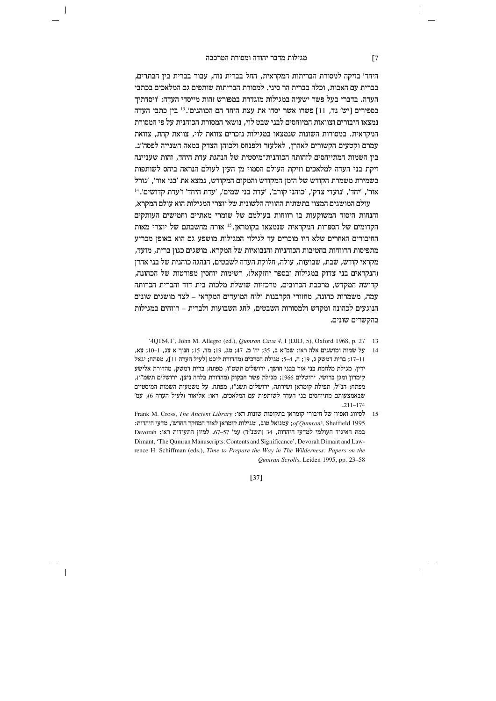$\overline{\phantom{a}}$ 

היחד' בזיקה למסורת הבריתות המקראית, החל בברית נוח, עבור בברית בין הבתרים, בברית עם האבות, וכלה בברית הר סיני. למסורת הבריתות שותפים גם המלאכים בכתבי העדה. בדברי בעל פשר ישעיה במגילות מוגדרת במפורש זהות מייסדי העדה: 'ויסדתיד  $\epsilon$ יסון גר, נבר, נבר וחש' בספירים בספירים ב-11 בין בתבי העדה  $\epsilon$ נמצאו חיבורים וצוואות המיוחסים לבני שבט לוי, נושאי המסורת הכוהנית על פי המסורת המקראית. במסורות השונות שנמצאו במגילות נזכרים צוואת לוי, צוואת קהת, צוואת עמרם וקטעים הקשורים לאהרן, לאלעזר ולפנחס ולכוהן הצדק במאה השנייה לפסה"נ. ביו השמות המתייחסים לזהותה הכוהנית־מיסטית של הנהגת עדת היחד. זהות שעניינה זיקת בני העדה למלאכים וזיקת העולם הסמוי מן העין לעולם הנראה ביחס לשותפות  $\zeta$ בשמירת משמרת הקודש של הזמן המקודש והמקום המקודש, נמצא את 'בני אור', 'גורל  $^{14}$ ' $^\prime$ ' ווכדי, 'נועדי צדק', 'כוהני קורב', 'עדת בני שמים', 'עדת היחד' ו'עדת קדושים'

עולם המושגים המצוי בתשתית ההוויה הלשונית של יוצרי המגילות הוא עולם המקרא, והנחות היסוד המשוקעות בו רווחות בעולמם של שומרי מאתיים וחמישים העותקים הקדומים של הספרות המקראית שנמצאו בקומראן.<sup>15</sup> אורח מחשבתם של יוצרי מאות החיבורים האחרים שלא היו מוכרים עד לגילוי המגילות מושפע גם הוא באופן מכריע מתפיסות הרווחות בחטיבות הכוהניות והנבואיות של המקרא. מושגים כגון ברית, מועד, מקראי קודש. שבת, שבועות, עולה, חלוקת העדה לשבטים, הנהגה כוהנית של בני אהרו (הנקראים בני צדוק במגילות ובספר יחזקאל), רשימות יוחסיו מפורטות של הכהונה, קדושת המקדש, מרכבת הכרובים, מרכזיות שושלת מלכות בית דוד והברית הכרותה עמה, משמרות כהונה, מחזורי הקרבנות ולוח המועדים המקראי – לצד מושגים שונים הנוגעים לכהונה ומקדש ולמסורות השבטים, לחג השבועות ולברית – רווחים במגילות בהקשרים שונים.

- 14 2164, 1', John M. Allegro (ed.), *Qumran Cava 4*, I (DJD, 5), Oxford 1968, p. 27 13
- 14 על שמות ומושגים אלה ראו: שמ"א ב, 35; יח' מ, 47; מג, 19; מד, 15; חנוך א צג, 10-1<br/>; $\bf z$ 17+11; ברית דמשק ג, 19; ה, 4–5; מגילת הסרכים (מהדורת ליכט [לעיל הערה 11]), מפתח; יגאל ידין, מגילת מלחמת בני אור בבני חושך, ירושלים תשט"ו, מפתח; ברית דמשק, מהדורת אלישע קימרון ומגן ברושי, ירושלים 1966; מגילת פשר חבקוק (מהדורת בלהה ניצן, ירושלים תשמ"ו), מפתח; הנ"ל, תפילת קומראן ושירתה, ירושלים תשנ"ז, מפתח. על משמעות השמות המיסטיים שבאמצעותם מתייחסים בני העדה לשותפות עם המלאכים, ראו: אליאור (לעיל הערה 6), עמ' .211±174
- 15 beeiql e`oeit ly ixeaig xnew`o zetewza zepey x`e: *Library Ancient The* ,Cross .M Frank נטגואל טוב, 'מגילות קומראן לאור המחקר החדש', מדעי היהדות:  $of \,Qumran^3$ , Sheffield 1995 Devorah :נמת האיגוד העולמי למדעי היהדות, 34 (תשנ"ד) עמ' 57–67. למיון התעודות ראו rence H. Schiffman (eds.), *Time to Prepare the Way in The Wilderness: Papers on the* Dimant, 'The Qumran Manuscripts: Contents and Significance', Devorah Dimant and Law-Qumran Scrolls, Leiden 1995, pp. 23-58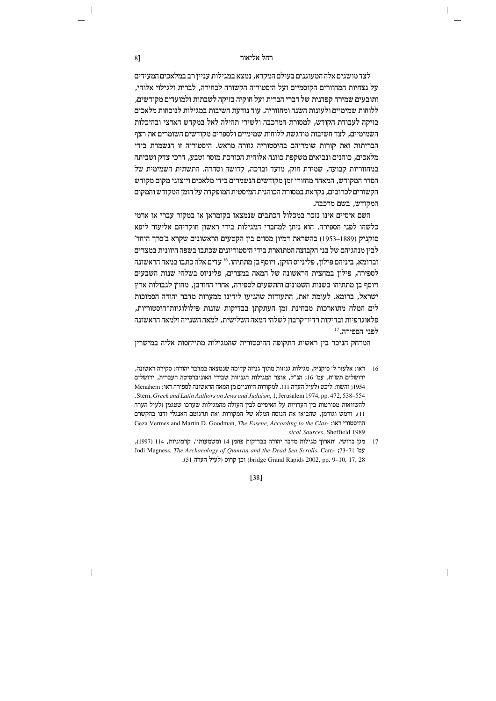לצד מושגים אלה המעוגנים בעולם המקרא, נמצא במגילות עניין רב במלאכים המעידים על נצחיות המחזורים הקוסמיים ועל היסטוריה הקשורה לבחירה, לברית ולגילוי אלוהי, ותובעים שמירה קפדנית של דברי הברית ועל חוקיה בזיקה לשבתות ולמועדים מקודשים. ללוחות שמימיים ולעונות השנה ומחזוריה. עוד נודעת חשיבות במגילות לנוכחות מלאכים בזיקה לעבודת הקודש, למסורת המרכבה ולשירי תהילה לאל במקדש הארצי ובהיכלות השמימיים, לצד חשיבות מודגשת ללוחות שמימיים ולספרים מקודשים השומרים את רצף הבריתות ואת קורות שומריהם בהיסטוריה גזורה מראש. היסטוריה זו הנשמרת בידי מלאכים. כוהנים ונביאים משקפת כוונה אלוהית הכורכת מוסר וטבע. דרכי צדק ושביתה במחזוריות קבועה, שמירת חוק, מועד וברכה, קדושה וטהרה. התשתית השמימית של הסדר המקודש, המאחד מחזורי זמן מקודשים הנשמרים בידי מלאכים וייצוגי מקום מקודש הקשורים לכרובים, נקראת במסורת הכוהנית המיסטית המופקדת על הזמן המקודש והמקום המקודש, בשם מרכבה.

השם איסיים אינו נזכר במכלול הכתבים שנמצאו בקומראז או במקור עברי או ארמי כלשהו לפני הספירה. הוא ניתן למחברי המגילות בידי ראשון חוקריהם אליעזר ליפא סוקניק (1889–1953) בהשראת דמיון מסוים בין הקטעים הראשונים שקרא ב'סרך היחד' לבין מנהגיהם של בני הקבוצה המתוארת בידי היסטוריונים שכתבו בשפה היוונית במצרים וברומא, ביניהם פילון, פליניוס הזקן, ויוסף בן מתתיהו. 16 עדים אלה כתבו במאה הראשונה לספירה. פילוז במחצית הראשונה של המאה במצרים. פליניוס בשלהי שנות השבעים ויוסף בן מתתיהו בשנות השמונים והתשעים לספירה, אחרי החורבן, מחוץ לגבולות ארץ ישראל, ברומא. לעומת זאת, התעודות שהגיעו לידינו ממערות מדבר יהודה הסמוכות לים המלח מתוארכות מבחינת זמן העתקתן בבדיקות שונות פילולוגיות־היסטוריות, פלאוגרפיות ובדיקות רדיו־קרבון לשלהי המאה השלישית, למאה השנייה ולמאה הראשונה לפני הספירה. <sup>17</sup>

המרחק הניכר בין ראשית התקופה ההיסטורית שהמגילות מתייחסות אליה במישרין

- 16 ראו: אלעזר ל' סוקניק, מגילות גנוזות מתוך גניזה קדומה שנמצאה במדבר יהודה: סקירה ראשונה, ירושלים תש"ח, עמ' 16; הנ"ל, אוצר המגילות הגנוזות שבידי האוניברסיטה העברית, ירושלים 1954; והשוו: ליכט (לעיל הערה 11). למקורות היווניים מן המאה הראשונה לספירה ראו: Menahem .Stern, Greek and Latin Authors on Jews and Judaism, 1, Jerusalem 1974, pp. 472, 538-554 להשוואות מפורטות בין העדויות על האיסיים לבין העולה מהמגילות שערכו שטגמן (לעיל הערה 11), ורמש וגודמן, שהביאו את הנוסח המלא של המקורות ואת תרגומם האנגלי ודנו בהקשרם Geza Vermes and Martin D. Goodman, The Essene, According to the Clas- ההיסטורי ראו: sical Sources, Sheffield 1989
- 17 מגן ברושי, 'תארוך מגילות מדבר יהודה בבדיקות פחמן 14 ומשמעותו', קדמוניות, 114 (1997), Jodi Magness, The Archaeology of Qumran and the Dead Sea Scrolls, Cam- ;73-71 'עמ' 17, 28 (לעיל הערה 17, 28 ;bridge Grand Rapids 2002, pp. 9-10, 17, 38

 $[38]$ 

81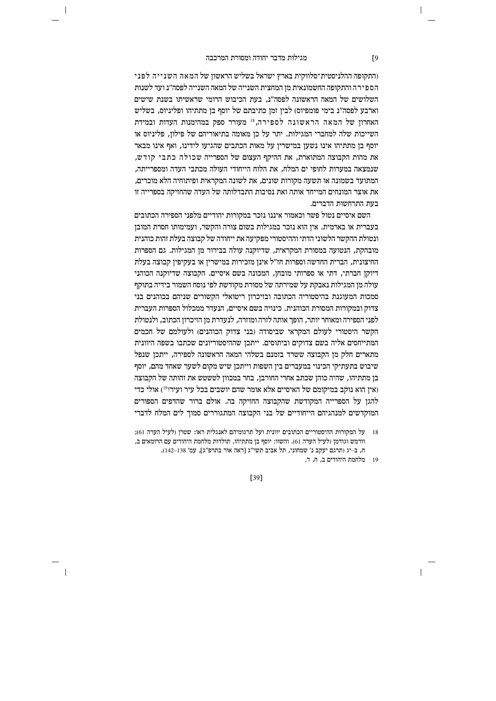$\overline{\phantom{a}}$ 

והתקופה ההלניסטית־סלווקית בארץ ישראל בשליש הראשון של המאה השנייה לפני הספירה והתקופה החשמונאית מן המחצית השנייה של המאה השנייה לפסה״נ ועד לשנות השלושים של המאה הראשונה לפסה"נ. בעת הכיבוש הרומי שראשיתו בשנת שישים וארבע לפסה"נ בימי פומפיוס) לבין זמן כתיבתם של יוסף בן מתתיהו ופליניוס, בשליש האחרוז של המאה הראשונה לספירה.<sup>18</sup> מעורר ספק במהימנות העדות ובמידת השייכות שלה למחברי המגילות. יתר על כז מאומה בתיאוריהם של פילוז. פליניוס או יוסף בן מתתיהו אינו נשען במישרין על מאות הכתבים שהגיעו לידינו, ואף אינו מבאר את מהות הקבוצה המתוארת. את ההיקף העצום של הספרייה שכולה כתבי קודש. שנמצאה במערות לחופי ים המלח, את הלוח הייחודי העולה מכתבי העדה ומספרייתה, המתועד בשמונה או תשעה מקורות שונים. את לשונה המקראית ופיתוחיה הלא מוכרים. את אוצר המונחים המייחד אותה ואת נסיבות התבדלותה של העדה שהחזיקה בספרייה זו בעת התרחשות הדברים.

השם איסיים נטול פשר וכאמור איננו נזכר במקורות יהודיים מלפני הספירה הכתובים בעברית או בארמית. אין הוא נזכר במגילות בשום צורה והקשר, ועמימותו חסרת המובן ונטולת ההקשר הלשוני הדתי וההיסטורי מפקיעה את ייחודה של קבוצה בעלת זהות כוהנית מובהקת, הנטועה במסורת המקראית, שדיוקנה עולה בבירור מן המגילות. גם הספרות החיצונית. הברית החדשה וספרות חז"ל אינו מזכירות במישריו או בעקיפיו קבוצה בעלת דיוקו חברתי, דתי או ספרותי מובחו, המכונה בשם איסיים. הקבוצה שדיוקנה הכוהני עולה מן המגילות נאבקת על שמירתה של מסורת מקודשת לפי נוסח השמור בידיה בתוקף סמכות המעוגנת בהיסטוריה הכתובה ובזיכרון ריטואלי הקשורים שניהם בכוהנים בני צדוק ובמקורות המסורת הכוהנית. כינויה בשם איסיים, הנעדר ממכלול הספרות העברית לפני הספירה ומאוחר יותר, הופך אותה לזרה ומוזרה, לנעדרת מן הזיכרון הכתוב, ולנטולת הקשר היסטורי לעולם המקראי שביסודה (בני צדוק הכוהנים) ולעולמם של חכמים המתייחסים אליה בשם צדוקים וביתוסים. ייתכן שההיסטוריונים שכתבו בשפה היוונית מתארים חלק מן הקבוצה ששרד בזמנם בשלהי המאה הראשונה לספירה, ייתכן שנפל שיבוש בתעתיקי הכינוי במעברים בין השפות וייתכן שיש מקום לשער שאחד מהם, יוסף בן מתתיהו, שהיה כוהן שכתב אחרי החורבן, בחר במכוון לטשטש את זהותה של הקבוצה (איז הוא נוקב במיקומם של האיסיים אלא אומר שהם יושבים בכל עיר ועיר!<sup>19</sup>) אולי כדי להגן על הספרייה המקודשת שהקבוצה החזיקה בה. אולם ברור שהדפים הספורים המוקדשים למנהגיהם הייחודיים של בני הקבוצה המתגוררים סמוך לים המלח לדברי

 $\sqrt{9}$ 

<sup>18 –</sup> על המקורות ההיסטוריים הכתובים יוונית ועל תרגומיהם לאנגלית ראו: שטרן (לעיל הערה 61); וורמש וגודמן (לעיל הערה 61). והשוו: יוסף בן מתתיהו, תולדות מלחמת היהודים עם הרומאים ב, ח, ב-יג (תרגם יעקב נ' שמחוני, תל אביב תשי"ג [ראה אור בתרפ"ג], עמ' 138–142).

<sup>19 –</sup> מלחמת היהודים ב, ח, ד.

 $[39]$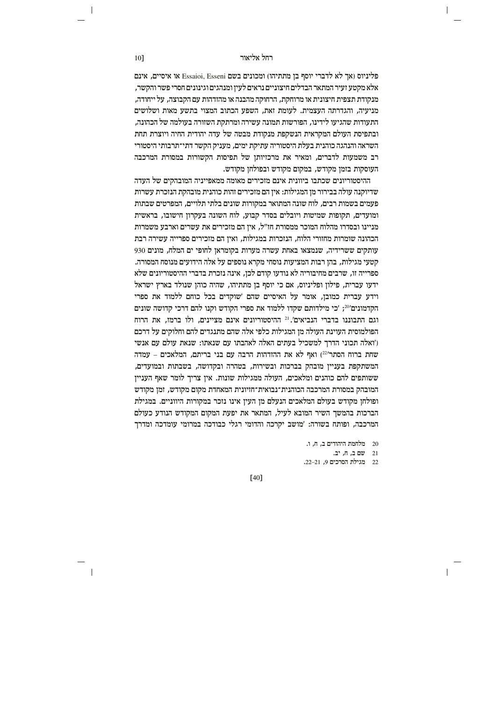או איסיים, אינם Essaioi, Esseni פליניוס (אך לא לדברי יוסף בן מתתיהו) מכונים בשם אלא מקטע זעיר המתאר הבדלים חיצוניים נראים לעין ומנהגים וגינונים חסרי פשר והקשר, מנקודת תצפית חיצונית או מרוחקת. הרחוקה מהבנה או מהזדהות עם הקבוצה. על ייחודה. מניעיה, והגדרתה העצמית. לעומת זאת, השפע הכתוב המצוי בתשע מאות ושלושים התעודות שהגיעו לידינו. הפורשות תמונה עשירה ומרתקת השזורה בעולמה של הכהונה, ובתפיסת העולם המקראית הנשקפת מנקודת מבטה של עדה יהודית החיה ויוצרת תחת השראה והנהגה כוהנית בעלת היסטוריה עתיקת ימים, מעניק הקשר דתי־תרבותי היסטורי רב משמעות לדברים. ומאיר את מרכזיותו של תפיסות הקשורות במסורת המרכבה העוסקות בזמן מקודש, במקום מקודש ובפולחן מקודש.

ההיסטוריונים שכתבו ביוונית אינם מזכירים מאומה ממאפייניה המובהקים של העדה שדיוקנה עולה בבירור מן המגילות: אין הם מזכירים זהות כוהנית מובהקת הנזכרת עשרות פעמים בשמות רבים, לוח שונה המתואר במקורות שונים בלתי תלויים, המפרטים שבתות ומועדים. תקופות שמיטות ויובלים בסדר קבוע. לוח השונה בעקרוז חישובו. בראשית מניינו ובסדרו מהלוח המוכר ממסורת חז"ל. איז הם מזכירים את עשרים וארבע משמרות הכהונה שומרות מחזורי הלוח, הנזכרות במגילות, ואין הם מזכירים ספרייה עשירה רבת עותקים ששרידיה, שנמצאו באחת עשרה מערות בקומראן לחופי ים המלח, מונים 930 קטעי מגילות. בהז רבות המציעות נוסחי מקרא נוספים על אלה הידועים מנוסח המסורה. ספרייה זו. שרבים מחיבוריה לא נודעו קודם לכז. אינה נזכרת בדברי ההיסטוריונים שלא ידעו עברית, פילון ופליניוס, אם כי יוסף בן מתתיהו, שהיה כוהן שנולד בארץ ישראל וידע עברית כמובן, אומר על האיסיים שהם 'שוקדים בכל כוחם ללמוד את ספרי הקדמונים׳20'; 'כי מילדותם שקדו ללמוד את ספרי הקודש וקנו להם דרכי קדושה שונים וגם התבוננו בדברי הנביאים'.<sup>21</sup> ההיסטוריונים אינם מציינים, ולו ברמז, את הרוח הפולמוסית העוינת העולה מז המגילות כלפי אלה שהם מתנגדים להם וחלוקים על דרכם ('ואלה תכוני הדרך למשכיל בעתים האלה לאהבתו עם שנאתו: שנאת עולם עם אנשי שחת ברוח הסתר<sup>221</sup>) ואף לא את ההזדהות הרבה עם בני בריתם, המלאכים – עמדה המשתקפת בעניין מובהק בברכות ובשירות, בטהרה ובקדושה, בשבתות ובמועדים, ששותפים להם כוהנים ומלאכים, העולה ממגילות שונות. אין צריך לומר שאף העניין המובהק במסורת המרכבה הכוהנית־נבואית־חזיונית המאחדת מקום מקודש. זמז מקודש ופולחן מקודש בעולם המלאכים הנעלם מן העין אינו נזכר במקורות היווניים. במגילת הברכות בהמשך השיר המובא לעיל, המתאר את יפעת המקום המקודש הנודע כעולם המרכבה. ופותח בשורה: 'מושב יקרכה והדומי רגלי כבודכה במרומי עומדכה ומדרד

.<br>מלחמת היהודים ב<br/>, $\eta$  , ו.

21 שם ב, ח, יב.

 $\overline{\phantom{a}}$ 

22 מגילת הסרכים 9, 21–22.

 $[40]$ 

10]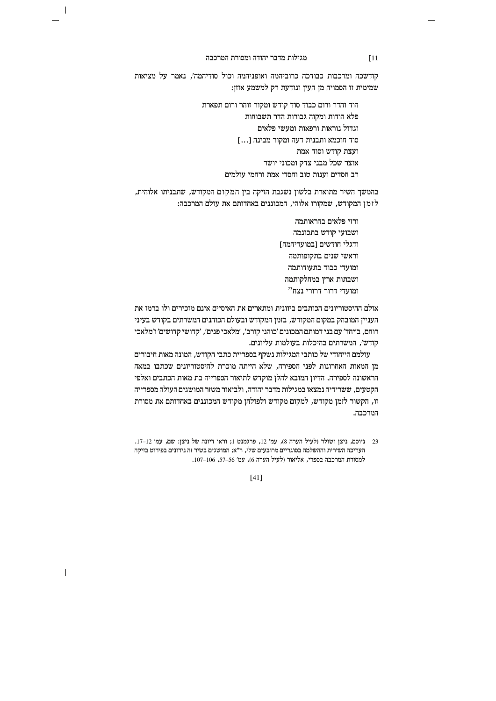$\overline{\phantom{a}}$ 

 $\overline{\phantom{a}}$ 

קודשכה ומרכבות כבודכה כרוביהמה ואופניהמה וכול סודיהמה׳, נאמר על מציאות שמימית זו הסמויה מן העין ונודעת רק למשמע אוזן:

> הוד והדר ורום כבוד סוד קודש ומקור זוהר ורום תפארת פלא הודות ומקוה גבורות הדר תשבוחות וגדול נוראות ורפאות ומעשי פלאים סוד חוכמא ותבנית דעה ומקור מבינה [...] ועצת קודש וסוד אמת אוצר שכל מבני צדק ומכוני יושר רב חסדים וענות טוב וחסדי אמת ורחמי עולמים

בהמשך השיר מתוארת בלשון נשגבת הזיקה בין המקום המקודש, שתבניתו אלוהית, לזמן המקודש, שמקורו אלוהי, המכוננים באחדותם את עולם המרכבה:

> ורזי פלאים בהראותמה ושבועי קודש בתכונמה ודגלי חודשים [במועדיהמה] וראשי שנים בתקופותמה ומועדי כבוד בתעודותמה ושבתות ארץ במחלקותמה  $^{23}$ ומו<br/>טוארי הרורי ה

אולם ההיסטוריונים הכותבים ביוונית ומתארים את האיסיים אינם מזכירים ולו ברמז את העניין המובהק במקום המקודש, בזמן המקודש ובעולם הכוהנים המשרתים בקודש בעיני רוחם, ב׳יחד׳ עם בני דמותם המכונים ׳כוהני קורב׳, ׳מלאכי פנים׳, ׳קדושי קדושים׳ ו׳מלאכי קודש׳, המשרתים בהיכלות בעולמות עליונים.

עולמם הייחודי של כותבי המגילות נשקף בספריית כתבי הקודש, המונה מאות חיבורים מן המאות האחרונות לפני הספירה, שלא הייתה מוכרת להיסטוריונים שכתבו במאה הראשונה לספירה. הדיון המובא להלן מוקדש לתיאור הספרייה בת מאות הכתבים ואלפי הקטעים. ששרידיה נמצאו במגילות מדבר יהודה, ולביאור משזר המושגים העולה מספרייה זו, הקשור לזמן מקודש, למקום מקודש ולפולחן מקודש המכוננים באחדותם את מסורת המרכבה.

23 ניוסם, ניצן ושולר (לעיל הערה 8), עמ' 12, פרגמנט 1; וראו דיונה של ניצן: שם, עמ' 12–17. העריכה השירית וההשלמה בסוגריים מרובעים שלי, ר"א; המושגים בשיר זה נידונים בפירוט בזיקה למסורת המרכבה בספרי, אליאור (לעיל הערה 6), עמ' 56–57, 106–107.

 $[41]$ 

# $\sqrt{11}$

 $\overline{\phantom{a}}$ 

 $\mathbf{I}$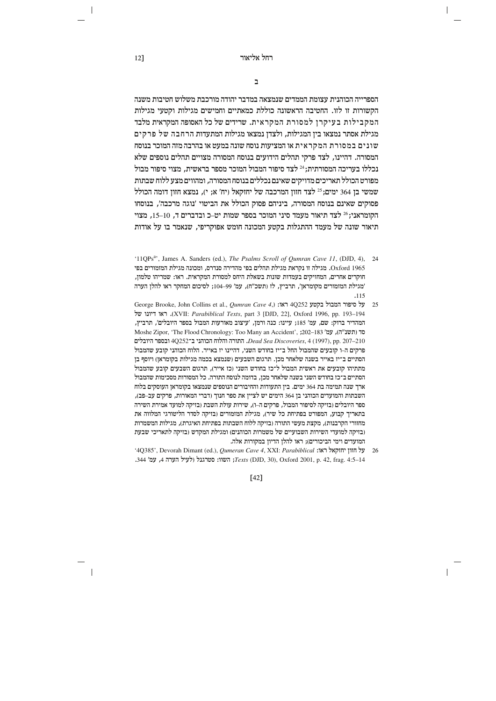התפרייה הרוהוית עצומת הממדית שומצאה רמדרר יהודה מורררת משלוש חטירות משוה הקשורות זו לזו. החטיבה הראשונה כוללת כמאתיים וחמישים מגילות וקטעי מגילות המקבילות בעיקרן למסורת המקראית. שרידים של כל האסופה המקראית מלבד מגילת אסתר נמצאו בין המגילות, ולצדן נמצאו מגילות המתעדות הרחבה של פרקים שונים במסורת המקראית או המציעות נוסח שונה במעט או בהרבה מזה המוכר בנוסח המסורה. דהיינו, לצד פרקי תהלים הידועים בנוסח המסורה מצויים תהלים נוספים שלא נכללו בעריכה המסורתית;<sup>24</sup> לצד סיפור המבול המוכר מספר בראשית, מצוי סיפור מבול מפורט הכולל תאריכים מדויקים שאינם נכללים בנוסח המסורה. ומהווים מצע ללוח שבתות שמשי בן 364 ימים; 25 לצד חזון המרכבה של יחזקאל (יח' א; י), נמצא חזון דומה הכולל פסוקים שאינם בנוסח המסורה, ביניהם פסוק הכולל את הביטוי 'נוגה מרכבה', בנוסחו הקומראני: 26 לצד תיאור מעמד סיני המוכר בספר שמות יט–כ ובדברים ד. 10–15. מצוי תיאור שונה של מעמד ההתגלות בקטע המכונה חומש אפוקריפי, שנאמר בו על אודות

- '11QPs<sup>a</sup>', James A. Sanders (ed.), *The Psalms Scroll of Qumran Cave 11*, (DJD, 4), 24 Oxford 1965. מגילה זו נקראת מגילת תהלים בפי מהדירה סנדרס, ומכונה מגילת המזמורים בפי חוקרים אחרים, המחזיקים בעמדות שונות בשאלת היחס למסורת המקראית. ראו: שמריהו טלמון, 'מגילת המזמורים מקומראן', תרביץ, לז (תשכ"ח), עמ' 99–104; לסיכום המחקר ראו להלן הערה  $.115$
- George Brooke, John Collins et al., Qumran Cave 4,<br/>) אוג 4Q252 ואוג סיפור המבול לסיפור מכור ל ראו דיונו של (XVII: Parabiblical Texts, part 3 [DJD, 22], Oxford 1996, pp. 193-194 המהדיר ברוק: שם, עמ' 185; עיינו: כנה ורמן, 'עיצוב מאורעות המבול בספר היובלים', תרביץ, Moshe Zipor, 'The Flood Chronology: Too Many an Accident', ;202-183 'סד (תשנ"ה), עמ' ובספר היובלים הקלוח הכוהני ב־4Q252 ובספר היובלים. Dead Sea Discoveries, 4 (1997), pp. 207-210 פרקים ה-ו קובעים שהמבול החל ב־יז בחודש השני, דהיינו יז באייר. הלוח הכוהני קובע שהמבול הסתיים ב־יז באייר בשנה שלאחר מכן. תרגום השבעים (שנמצא בכמה מגילות בקומראן) ויוסף בן מתתיהו קובעים את ראשית המבול ל־כז בחודש השני (כז אייר), תרגום השבעים קובע שהמבול הסתיים ב־כז בחודש השני בשנה שלאחר מכן, בדומה לנוסח התורה. כל המסורות מסכימות שהמבול ארך שנה תמימה בת 364 ימים. בין התעודות והחיבורים הנוספים שנמצאו בקומראן העוסקים בלוח השבתות והמועדים הכוהני בן 364 הימים יש לציין את ספר חנוך (דברי המאורות, פרקים עב-פב), ספר היובלים (בזיקה לסיפור המבול, פרקים ה–ו), שירות עולת השבת (בזיקה למועד אמירת השירה בתאריך קבוע, המפורט בפתיחת כל שיר), מגילת המזמורים (בזיקה לסדר הליטורגי המלווה את מחזורי הקרבנות), מקצת מעשי התורה (בזיקה ללוח השבתות בפתיחת האיגרת), מגילות המשמרות (בזיקה למועדי השירות השבועיים של משמרות הכוהנים) ומגילת המקדש (בזיקה לתאריכי שבעת המועדים וימי הביכורים); ראו להלן הדיון במקורות אלה.
- '4Q385', Devorah Dimant (ed.), Qumeran Cave 4, XXI: Parabiblical :ואון יחזקאל ראו .344 'השוו: סטרגנל ולעיל הערה ג, עמ' 344. (DJD, 30), Oxford 2001, p. 42, frag. 4:5–14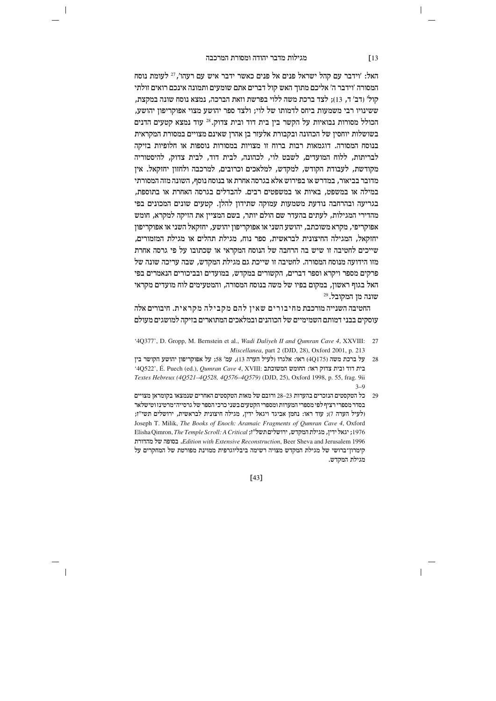$\overline{\phantom{a}}$ 

האל: 'וידבר עם קהל ישראל פנים אל פנים כאשר ידבר איש עם רעהו', <sup>27</sup> לעומת נוסח המסורה 'וידבר ה' אליכם מתוך האש קול דברים אתם שומעים ותמונה אינכם רואים זולתי קול׳ (דב׳ ד. 13): לצד ברכת משה ללוי בפרשת וזאת הברכה. נמצא נוסח שונה במקצת. ששינויו רבי משמעות ביחס לדמותו של לוי; ולצד ספר יהושע מצוי אפוקריפון יהושע, הכולל מסורות נבואיות על הקשר בין בית דוד ובית צדוק.<sup>28</sup> עוד נמצא קטעים הדנים בשושלות יוחסין של הכהונה ובקבורת אלעזר בן אהרן שאינם מצויים במסורת המקראית בנוסח המסורה. דוגמאות רבות ברוח זו מצויות במסורות נוספות או חלופיות בזיקה לבריתות, ללוח המועדים, לשבט לוי, לכהונה, לבית דוד, לבית צדוק, להיסטוריה מקודשת, לעבודת הקודש, למקדש, למלאכים וכרובים, למרכבה ולחזון יחזקאל. אין מדובר בביאור, במדרש או בפירוש אלא בגרסה אחרת או בנוסח נוסף, השונה מזה המסורתי במילה או במשפט, באיות או במשפטים רבים. להבדלים בגרסה האחרת או בתוספת, בגריעה ובהרחבה נודעת משמעות עמוקה שתידון להלן. קטעים שונים המכונים בפי מהדירי המגילות. לעתים בהעדר שם הולם יותר. בשם המצייו את הזיקה למקרא. חומש אפוקריפי, מקרא משוכתב, יהושע השני או אפוקריפון יהושע, יחזקאל השני או אפוקריפון יחזקאל, המגילה החיצונית לבראשית, ספר נוח, מגילת תהלים או מגילת המזמורים, שייכים לחטיבה זו שיש בה הרחבה של הנוסח המקראי או שכתובו על פי גרסה אחרת מזו הידועה מנוסח המסורה. לחטיבה זו שייכת גם מגילת המקדש. שבה עריכה שונה של פרקים מספר ויקרא וספר דברים. הקשורים במקדש. במועדים ובביכורים הנאמרים בפי האל בגוף ראשון, במקום בפיו של משה בנוסח המסורה, והמטעימים לוח מועדים מקראי שונה מן המקובל. 29

החטיבה השנייה מורכבת מחיבורים שאין להם מקבילה מקראית. חיבורים אלה עוסקים בבני דמותם השמימיים של הכוהנים ובמלאכים המתוארים בזיקה למושגים מעולם

- '4Q377', D. Gropp, M. Bernstein et al., Wadi Daliyeh II and Qumran Cave 4, XXVIII: 27 Miscellanea, part 2 (DJD, 28), Oxford 2001, p. 213
- יהושע הקושר בין (4Q175) אלגרו ולעיל הערה 13), עמ' 58; על אפוקריפון יהושע הקושר בין 28 '4Q522', É. Puech (ed.), Qumran Cave 4, XVIII: בית דוד ובית צדוק ראו: החומש המשוכתב Textes Hebreux (4Q521-4Q528, 4Q576-4Q579) (DJD, 25), Oxford 1998, p. 55, frag. 9ii  $3 - 9$
- 29 כל הטקסטים הנזכרים בהערות 23–28 ורובם של מאות הטקסטים האחרים שנמצאו בקומראן מצויים בסדר מספרי רציף לפי מספרי המערות ומספרי הקטעים בשני כרכי הספר של גרסייה־מרטינז וטישלאר (לעיל הערה 7); עוד ראו: נחמן אביגד ויגאל ידין, מגילה חיצונית לבראשית, ירושלים תשי"ז; Joseph T. Milik, The Books of Enoch: Aramaic Fragments of Qumran Cave 4, Oxford 1976; יגאל ידין, מגילת המקדש, ירושלים תשל"ז; Elisha Qimron, The Temple Scroll: A Critical Edition with Extensive Reconstruction, Beer Sheva and Jerusalem 1996. בסופה של מהדורת קימרון־ברושי של מגילת המקדש מצויה רשימה ביבליוגרפית ממוינת מפורטת של המחקרים על מגילת המקדש.

 $[43]$ 

 $\sqrt{13}$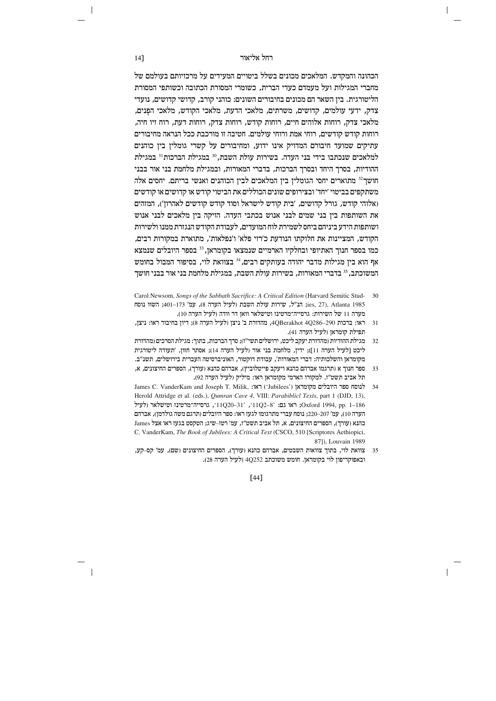הכהונה והמקדש. המלאכים מכונים בשלל ביטויים המעידים על מרכזיותם בעולמם של מחברי המגילות ועל מעמדם כעדי הברית, כשומרי המסורת הכתובה וכשותפי המסורת הליטורגית. ביז השאר הם מכונים בחיבורים השונים: כוהני קורב, קדושי קדושים, נועדי צדק, ידעי עולמים, קדושים, משרתים, מלאכי הדעת, מלאכי הקודש, מלאכי הפנים, מלאכי צדק, רוחות אלוהים חיים, רוחות קודש, רוחות צדק, רוחות דעת, רוח זיו חיה, רוחות קודש קודשים, רוחי אמת ורוחי עולמים. חטיבה זו מורכבת ככל הנראה מחיבורים עתיקים שמועד חיבורם המדויק אינו ידוע, ומחיבורים על קשרי גומלין בין כוהנים למלאכים שנכתבו בידי בני העדה. בשירות עולת השבת.<sup>30</sup> במגילת הברכות<sup>31</sup> במגילת ההודיות, בסרך היחד ובסרך הברכות, בדברי המאורות, ובמגילת מלחמת בני אור בבני חושך<sup>32</sup> מתוארים יחסי הגומלין בין המלאכים לבין הכוהנים ואנשי בריתם. יחסים אלה משתקפים בביטוי ׳יחד׳ ובצירופים שונים הכוללים את הביטוי קודש או קדושים או קודשים (אלוהי קודש, גורל קדושים, 'בית קודש לישראל וסוד קודש קודשים לאהרון'), המזהים את השותפות ביז בני שמים לבני אנוש בכתבי העדה. הזיקה ביז מלאכים לבני אנוש ושותפות הידע ביניהם ביחס לשמירת לוח המועדים, לעבודת הקודש הנגזרת ממנו ולשירות הקודש, המציינות את חלוקתו הנודעת כ׳רזי פלא׳ ו׳נפלאות׳, מתוארת במקורות רבים,  $\,$  בספר היובלים שנמצא היובלים בקומראן,  $^{33}$ בספר היובלים בספר הנוך האתיופי ה אף הוא בין מגילות מדבר יהודה בעותקים רבים,<sup>34</sup> בצוואת לוי, בסיפור המבול בחומש המשוכתב. <sup>35</sup> בדברי המאורות. בשירות עולת השבת. במגילת מלחמת בני אור בבני חושר

- Carol Newsom, Songs of the Sabbath Sacrifice: A Critical Edition (Harvard Semitic Stud- 30 ies, 27), Atlanta 1985; הנ"ל, שירות עולת השבת (לעיל הערה 8), עמ' 173–401; השוו נוסח מערה 11 של השירות: גרסייה־מרטינז וטישלאר וואן דר וודה (לעיל הערה 10).
- 31 ראו: ברכות 4QBerakhot 4Q286-290, מהדורת ב' ניצן (לעיל הערה 8); דיון בחיבור ראו: ניצן, תפילת קומראן (לעיל הערה 41).
- 32 מגילת ההודיות (מהדורת יעקב ליכט, ירושלים תשי"ז); סרך הברכות, בתוך: מגילת הסרכים (מהדורת ליכט [לעיל הערה 11]); ידין, מלחמת בני אור (לעיל הערה 14); אסתר חזון, 'תעודה ליטורגית מקומראן והשלכותיה: דברי המאורות', עבודת דוקטור, האוניברסיטה העברית בירושלים, תשנ"ב.
- 33 ספר חנוך א (תרגמו אברהם כהנא ויעקב פייטלוביץ), אברהם כהנא (עורך), הספרים החיצונים, א, תל אביב תשט"ז. למקורו הארמי מקומראן ראו: מיליק (לעיל הערה 92).
- James C. VanderKam and Joseph T. Milik, :אוּ ('Jubilees') אונדלים מקומראן 34 Herold Attridge et al. (eds.), Qumran Cave 4, VIII: Parabiblicl Texts, part 1 (DJD, 13), לעיל (לעיל יונכסייה־מרטינו וטישלאר (11Q20-31', 11Q2-8'; וואו גם: 20-31', ווערסייה־או היונלעיל הערה 10), עמ' 220–220; נוסח עברי מתרגומו לגעז ראו: ספר היובלים (תרגם משה גולדמן), אברהם כהנא (עורך), הספרים החיצונים, א, תל אביב תשט"ז, עמ' רטז–שיג; הטקסט בגעז ראו אצל James C. VanderKam, The Book of Jubilees: A Critical Text (CSCO, 510 [Scriptores Aethiopici, 871). Louvain 1989
- 35 צוואת לוי, בתוך צוואות השבטים, אברהם כהנא (עורך), הספרים החיצונים (שם), עמ׳ קס–קע, ובאפוקריפון לוי בקומראן. חומש משוכתב 4Q252 (לעיל הערה 28).

 $[44]$ 

 $14$ ]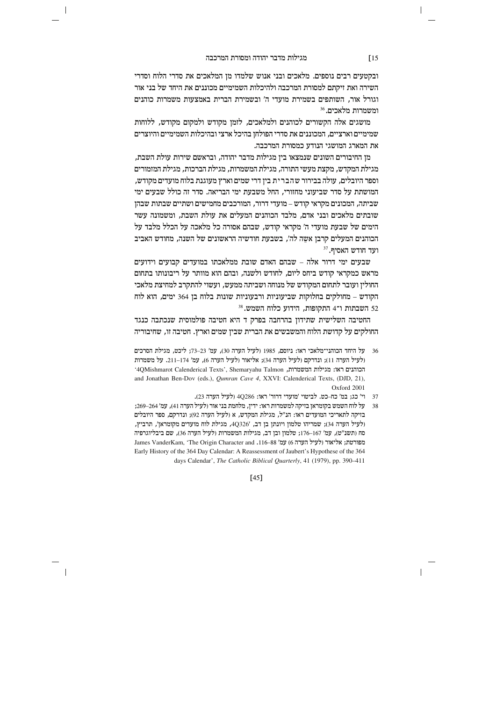$\overline{\phantom{a}}$ 

ובקטעים רבים נוספים. מלאכים ובני אנוש שלמדו מן המלאכים את סדרי הלוח וסדרי השירה ואת זיקתם למסורת המרכבה ולהיכלות השמימיים מכוננים את היחד של בני אור וגורל אור, השותפים בשמירת מועדי ה' ובשמירת הברית באמצעות משמרות כוהנים  $^{36}$ ומשמרות מלאכים.

מושגים אלה הקשורים לכוהנים ולמלאכים, לזמן מקודש ולמקום מקודש, ללוחות שמימיים וארציים, המכוננים את סדרי הפולחן בהיכל ארצי ובהיכלות השמימיים והיוצרים את המארג המושגי הנודע כמסורת המרכבה.

מו החיבורים השונים שנמצאו ביו מגילות מדבר יהודה, ובראשם שירות עולת השבת. מגילת המקדש, מקצת מעשי התורה, מגילת המשמרות, מגילת הברכות, מגילת המזמורים וספר היובלים, עולה בבירור שהברית בין דרי שמים וארץ מעוגנת בלוח מועדים מקודש, המושתת על סדר שביעוני מחזורי, החל משבעת ימי הבריאה. סדר זה כולל שבעים ימי שביתה, המכונים מקראי קודש – מועדי דרור, המורכבים מחמישים ושתיים שבתות שבהן שובתים מלאכים ובני אדם. מלבד הכוהנים המעלים את עולת השבת, ומשמונה עשר הימים של שבעת מועדי ה' מקראי קודש, שבהם אסורה כל מלאכה על הכלל מלבד על הכוהנים המעלים קרבן אשֶה לה', בשבעת חודשיה הראשונים של השנה, מחודש האביב  $^{37}$  ועד חודש האסיף.

שבעים ימי דרור אלה – שבהם האדם שובת ממלאכתו במועדים קבועים וידועים מראש כמקראי קודש ביחס ליום. לחודש ולשנה, ובהם הוא מוותר על ריבונותו בתחום החולין ועובר לתחום המקודש של מנוחה ושביתה ממעש, ועשוי להתקרב למחיצת מלאכי הקודש – מחולקים בחלוקות שביעוניות ורבעוניות שונות בלוח בן 364 ימים, הוא לוח  $^{38}$  השבתות ו־4 התקופות, הידוע כלוח השמש.  $\rm{52}$ 

החטיבה השלישית שתידון בהרחבה בפרק ד היא חטיבה פולמוסית שנכתבה כנגד החולקים על קדושת הלוח והמשבשים את הברית שבין שמים וארץ. חטיבה זו, שחיבוריה

- 36  $v$ על היחד הכוהני־מלאכי ראו: ניוסם, 1985 (לעיל הערה 30), עמ' 23–73; ליכט, מגילת הסרכים  $36$ (לעיל הערה 11); ונדרקם (לעיל הערה 34); אליאור (לעיל הערה 6), עמ' 114-174. על משמרות יהכוהנים ראו: מגילות המשמרות, AQMishmarot Calenderical Texts', Shemaryahu Talmon and Jonathan Ben-Dov (eds.), *Qumran Cave 4*, XXVI: Calenderical Texts, (DJD, 21), Oxford 2001
	- 37 וי' כג; במ' כח-כט. לביטוי 'מועדי דרור' ראו: 4Q286 (לעיל הערה 23).
- 38 על לוח השמש בקומראן בזיקה למשמרות ראו: ידין, מלחמת בני אור (לעיל הערה 41), עמ' 264–269; בזיקה לתאריכי המועדים ראו: הנ"ל, מגילת המקדש, א (לעיל הערה 92); ונדרקם, ספר היובלים (לעיל הערה 34); שמריהו טלמון ויונתן בן דב, '4Q326, מגילת לוח מועדים מקומראן', תרביץ סח (תשנ"ט), עמ' 167–176; טלמון ובן דב, מגילות המשמרות (לעיל הערה 36), שם ביבליוגרפיה James VanderKam, 'The Origin Character and .116-88 מפורטת; אליאור (לעיל הערה 6) Early History of the 364 Day Calendar: A Reassessment of Jaubert's Hypothese of the 364 days Calendar', *The Catholic Biblical Quarterly*, 41 (1979), pp. 390-411

[45]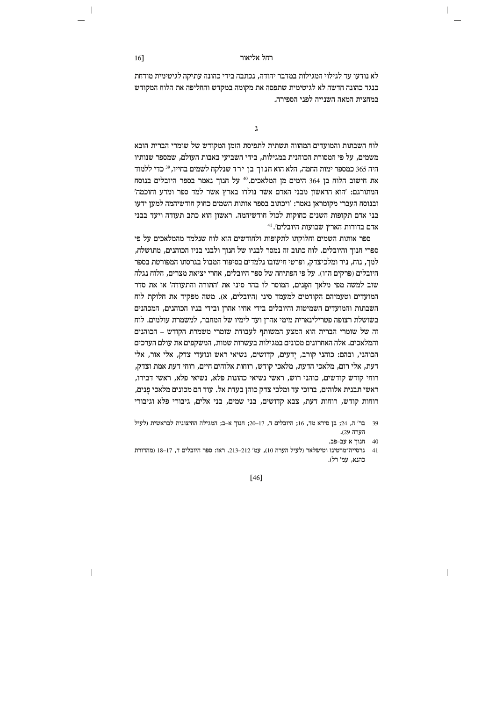לא נודעו עד לגילוי המגילות במדבר יהודה, נכתבה בידי כהונה עתיקה לגיטימית מודחת כנגד כהונה חדשה לא לגיטימית שתפסה את מקומה במקדש והחליפה את הלוח המקודש במחצית המאה השנייה לפני הספירה.

 $\lambda$ 

לוח השבתות והמועדים המהווה תשתית לתפיסת הזמן המקודש של שומרי הברית הובא משמים. על פי המסורת הכוהנית במגילות. בידי השביעי באבות העולם. שמספר שנותיו היה 365 כמספר ימות החמה, הלא הוא חנוך בן ירד שנלקח לשמים בחייו, <sup>39</sup> כדי ללמוד את חישוב הלוח בן 364 הימים מן המלאכים.<sup>40</sup> על חנוך נאמר בספר היובלים בנוסח המתורגם: 'הוא הראשון מבני האדם אשר נולדו בארץ אשר למד ספר ומדע וחוכמה' ובנוסח העברי מקומראן נאמר: 'ויכתוב בספר אותות השמים כחוק חודשיהמה למען ידעו בני אדם תקופות השנים כחוקות לכול חודשיהמה. ראשוז הוא כתב תעודה ויעד בבני  $^{41}$ לים'. בדורות הארץ שבועות היובלים

ספר אותות השמים וחלוקתו לתקופות ולחודשים הוא לוח שנלמד מהמלאכים על פי ספרי חנוך והיובלים. לוח כתוב זה נמסר לבניו של חנוך ולבני בניו הכוהנים, מתושלח, למר. נוח. ניר ומלכיצדק. ופרטי חישובו נלמדים בסיפור המבול בגרסתו המפורטת בספר היובלים (פרקים ה־ו). על פי הפתיחה של ספר היובלים, אחרי יציאת מצרים, הלוח נגלה שוב למשה מפי מלאך הפנים, המוסר לו בהר סיני את 'התורה והתעודה' או את סדר המועדים וטעמיהם הקודמים למעמד סיני (היובלים, א). משה מפקיד את חלוקת לוח השבתות והמועדים השמיטות והיובלים בידי אחיו אהרן ובידי בניו הכוהנים, המכהנים בשושלת רצופה פטרילינארית מימי אהרן ועד לימיו של המחבר, למשמרת עולמים. לוח זה של שומרי הברית הוא המצע המשותף לעבודת שומרי משמרת הקודש – הכוהנים והמלאכים. אלה האחרונים מכונים במגילות בעשרות שמות, המשקפים את עולם הערכים הכוהני, ובהם: כוהני קורב, יַדעים, קדושים, נשיאי ראש ונועדי צדק, אלי אור, אלי דעת, אלי רום, מלאכי הדעת, מלאכי קודש, רוחות אלוהים חיים, רוחי דעת אמת וצדק, רוחי קודש קודשים, כוהני רוש, ראשי נשיאי כהונות פלא, נשיאי פלא, ראשי דבירו, ראשי תבנית אלוהים. ברוכי עד ומלכי צדק כוהו בעדת אל. עוד הם מכונים מלאכי פנים. רוחות קודש, רוחות דעת, צבא קדושים, בני שמים, בני אלים, גיבורי פלא וגיבורי

 $[46]$ 

<sup>39</sup> בר' ה, 24; בן סירא מד, 16; היובלים ד, 17–20; חנוך א-ב; המגילה החיצונית לבראשית (לעיל הערה 29.

<sup>40</sup> חנוך א עב-פב.

<sup>41</sup> גרסייה־מרטינז וטישלאר (לעיל הערה 10), עמ' 212–213. ראו: ספר היובלים ד, 17–18 (מהדורת כהנא. עמ׳ רל).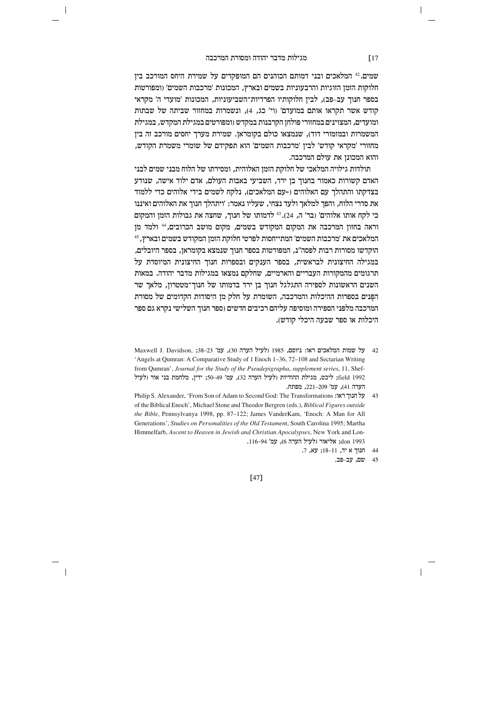$\overline{\phantom{a}}$ 

שמים. 42 המלאכים ובני דמותם הכוהנים הם המופקדים על שמירת היחס המורכב בין חלוקות הזמן הזוגיות והרבעוניות בשמים ובארץ, המכונות 'מרכבות השמים' (ומפורטות בספר חנוך עב-פב), לבין חלוקותיו הפרדיות־השביעוניות, המכונות 'מועדי ה' מקראי קודש אשר תקראו אותם במועדם' (וי' כג, 4), ונשמרות במחזור שביתה של שבתות ומועדים, המצוינים במחזורי פולחן הקרבנות במקדש (ומפורטים במגילת המקדש, במגילת המשמרות ובמזמורי דוד), שנמצאו כולם בקומראן. שמירת מערך יחסים מורכב זה בין מחזורי 'מקראי קודש' לבין 'מרכבות השמים' הוא תפקידם של שומרי משמרת הקודש, והוא המכונו את עולם המרכבה.

תולדות גילויה המלאכי של חלוקת הזמן האלוהית, ומסירתו של הלוח מבני שמים לבני האדם קשורות כאמור בחנוך בן ירד, השביעי באבות העולם, אדם ילוד אישה, שנודע בצדקתו והתהלך עם האלוהים (=עם המלאכים), נלקח לשמים בידי אלוהים כדי ללמוד את סדרי הלוח, והפך למלאך ולעד נצחי, שעליו נאמר: 'ויתהלך חנוך את האלוהים ואיננו כי לקח אותו אלוהים׳ (בר׳ ה, 24). 43 לדמותו של חנור, שחצה את גבולות הזמז והמקום וראה בחזון המרכבה את המקום המקודש בשמים, מקום מושב הכרובים, <sup>44</sup> ולמד מן המלאכים את 'מרכבות השמים' המתייחסות לפרטי חלוקת הזמן המקודש בשמים ובארץ, <sup>45</sup> הוקדשו מסורות רבות לפסה"נ, המפורטות בספר חנוך שנמצא בקומראן, בספר היובלים, במגילה החיצונית לבראשית, בספר הענקים ובספרות חנוך החיצונית המיוסדת על תרגומים מהמקורות העבריים והארמיים. שחלקם נמצאו במגילות מדבר יהודה. במאות השנים הראשונות לספירה התגלגל חנוך בן ירד בדמותו של חנוך־מטטרון, מלאך שר הפנים בספרות ההיכלות והמרכבה, השומרת על חלק מן היסודות הקדומים של מסורת המרכבה מלפני הספירה ומוסיפה עליהם רכיבים חדשים (ספר חנוך השלישי נקרא גם ספר היכלות או ספר שבעה היכלי קודש).

42 על שמות המלאכים ראו: ניוסם, 1985 (לעיל הערה 30), עמ' 23–38; Maxwell J. Davidson, 38–23 'Angels at Qumran: A Comparative Study of 1 Enoch 1-36, 72-108 and Sectarian Writing from Qumran', Journal for the Study of the Pseudepigrapha, supplement series, 11, Sheffield 1992; ליכט, מגילת ההודיות (לעיל הערה 32), עמ' 49–50; ידין, מלחמת בני אור (לעיל הערה 41), עמ' 221-209, מפתח.

Philip S. Alexander, 'From Son of Adam to Second God: The Transformations : על חנוך ראו of the Biblical Enoch', Michael Stone and Theodor Bergren (eds.), Biblical Figures outside the Bible, Pennsylvanya 1998, pp. 87-122; James VanderKam, 'Enoch: A Man for All Generations', Studies on Personalities of the Old Testament, South Carolina 1995; Martha Himmelfarb, Ascent to Heaven in Jewish and Christian Apocalypses, New York and Lon-1993 don; אליאור (לעיל הערה 6), עמ' 94–116.

 $[47]$ 

# $\sqrt{17}$

<sup>44</sup> חנוך א יד, 11–18; עא, 7.

<sup>45</sup> שם, עב-פב.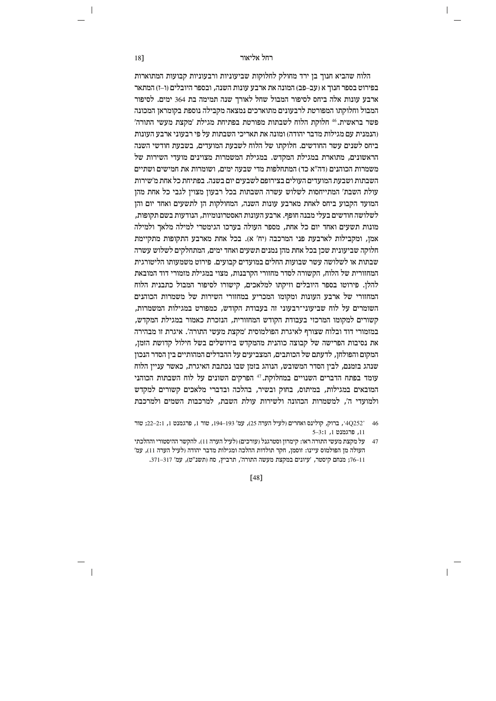הלוח שהביא חנוך בן ירד מחולק לחלוקות שביעוניות ורבעוניות קבועות המתוארות בפירוט בספר חנוך א (עב–פב) המונה את ארבע עונות השנה, ובספר היובלים (ו–ז) המתאר ארבע עונות אלה ביחס לסיפור המבול שחל לאורר שנה תמימה בת 364 ימים. לסיפור המבול וחלוקתו המפורטת לרבעונים מתוארכים נמצאה מקבילה נוספת בקומראן המכונה פשר בראשית.46 חלוקת הלוח לשבתות מפורטת בפתיחת מגילת 'מקצת מעשי התורה' והנמנית עם מגילות מדבר יהודה) ומונה את תאריכי השבתות על פי רבעוני ארבע העונות. ביחס לשנים עשר החודשים. חלוקתו של הלוח לשבעת המועדים. בשבעת חודשי השנה הראשונים. מתוארת במגילת המקדש. במגילת המשמרות מצוינים מועדי השירות של משמרות הכוהגים (דה״א כד) המתחלפות מדי שבעה ימים. ושומרות את חמישים ושתיים השבתות ושבעת המועדים העולים בצירופם לשבעים יום בשנה. בפתיחת כל אחת מ'שירות עולת השבת' המתייחסות לשלוש עשרה השבתות בכל רבעון מצוין לגבי כל אחת מהן המועד הקבוע ביחס לאחת מארבע עונות השנה, המחולקות הן לתשעים ואחד יום והן לשלושה חודשים בעלי מבנה חופף. ארבע העונות האסטרונומיות, הנודעות בשם תקופות, מונות תשעים ואחד יום כל אחת, מספר העולה בערכו הגימטרי למילה מלאך ולמילה אמן, ומקבילות לארבעת פני המרכבה (יח' א). בכל אחת מארבע התקופות מתקיימת חלוקה שביעונית שכן בכל אחת מהן נמנים תשעים ואחד ימים, המתחלקים לשלוש עשרה שבתות או לשלושה עשר שבועות החלים במועדים קבועים. פירוט משמעותו הליטורגית המחזורית של הלוח. הקשורה לסדר מחזורי הקרבנות. מצוי במגילת מזמורי דוד המובאת להלן. פירוטו בספר היובלים וזיקתו למלאכים, קישורו לסיפור המבול כתבנית הלוח המחזורי של ארבע העונות ומקומו המכריע במחזורי השירות של משמרות הכוהנים השומרים על לוח שביעוני־רבעוני זה בעבודת הקודש, כמפורט במגילות המשמרות, קשורים למקומו המרכזי בעבודת הקודש המחזורית, הנזכרת כאמור במגילת המקדש, במזמורי דוד ובלוח שצורף לאיגרת הפולמוסית 'מקצת מעשי התורה'. איגרת זו מבהירה את נסיבות הפרישה של קבוצה כוהנית מהמקדש בירושלים בשל חילול קדושת הזמן, המקום והפולחן, לדעתם של הכותבים, המצביעים על ההבדלים המהותיים בין הסדר הנכון שנהג בזמנם, לבין הסדר המשובש, הנוהג בזמן שבו נכתבת האיגרת, כאשר עניין הלוח עומד בפתח הדברים השנויים במחלוקת.<sup>47</sup> הפרקים השונים על לוח השבתות הכוהני המובאים במגילות. במיתוס. בחוק ובשיר, בהלכה ובדברי מלאכים קשורים למקדש ולמועדי ה', למשמרות הכהונה ולשירות עולת השבת, למרכבות השמים ולמרכבת

 $[48]$ 

18]

<sup>46 2522°,</sup> ברוק, קולינס ואחרים (לעיל הערה 25), עמ' 194–194, טור 1, פרגמנט 1, 22–22; טור  $5 - 3:1$ ו. פרגמנט ו

<sup>47</sup> על מקצת מעשי התורה ראו: קימרון וסטרגנל (עורכים) (לעיל הערה 11). להקשר ההיסטורי וההלכתי העולה מן הפולמוס עיינו: זוסמן, חקר תולדות ההלכה ומגילות מדבר יהודה (לעיל הערה 11), עמ' 11–76; מנחם קיסטר, 'עיונים במקצת מעשה התורה', תרביץ, סח (תשנ"ט), עמ' 317–371.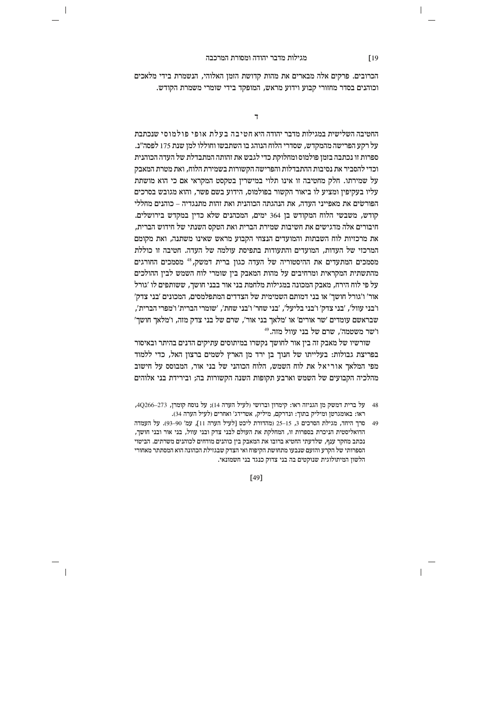$\overline{\phantom{a}}$ 

הכרובים. פרקים אלה מבארים את מהות קדושת הזמן האלוהי, הנשמרת בידי מלאכים וכוהנים בסדר מחזורי קבוע וידוע מראש, המופקד בידי שומרי משמרת הקודש.

 $\overline{7}$ 

החטיבה השלישית במגילות מדבר יהודה היא חטיבה בעלת אופי פולמוסי שנכתבת על רקע הפרישה מהמקדש, שסדרי הלוח הנוהג בו השתבשו וחוללו למן שנת 175 לפסה"נ. ספרות זו נכתבה בזמן פולמוס ומחלוקת כדי לגבש את זהותה המתבדלת של העדה הכוהנית וכדי להסביר את נסיבות ההתבדלות והפרישה הקשורות בשמירת הלוח, ואת מטרת המאבק על שמירתו. חלק מחטיבה זו אינו תלוי במישרין בטקסט המקראי אם כי הוא מושתת עליו בעקיפין ומציע לו ביאור הקשור בפולמוס, הידוע בשם פשר, והוא מגובש בסרכים הפורשים את מאפייני העדה, את הנהגתה הכוהנית ואת זהות מתנגדיה – כוהנים מחללי קודש. משבשי הלוח המקודש בו 364 ימים. המכהנים שלא כדיו במקדש בירושלים. חיבורים אלה מדגישים את חשיבות שמירת הברית ואת הטקס השנתי של חידוש הברית, את מרכזיות לוח השבתות והמועדים הנצחי הקבוע מראש שאינו משתנה, ואת מקומם המרכזי של העדות, המועדים והתעודות בתפיסת עולמה של העדה. חטיבה זו כוללת מסמכים המתעדים את ההיסטוריה של העדה כגון ברית דמשק, <sup>48</sup> מסמכים החורגים מהתשתית המקראית ומרחיבים על מהות המאבק ביו שומרי לוח השמש לביו ההולכים. על פי לוח הירח, מאבק המכונה במגילות מלחמת בני אור בבני חושך, ששותפים לו 'גורל אור' ו'גורל חושך' או בני דמותם השמימית של הצדדים המתפלמסים, המכונים 'בני צדק' ו'בני עוול', 'בני צדק' ו'בני בליעל', 'בני שחר' ו'בני שחת', 'שומרי הברית' ו'מפרי הברית', שבראשם עומדים 'שר אורים' או 'מלאך בני אור', שרם של בני צדק מזה, ו'מלאך חושך' ו'שר משטמה'. שרם של בני עוול מזה.49

שורשיו של מאבק זה בין אור לחושך נקשרו במיתוסים עתיקים הדנים בהיתר ובאיסור בפריצת גבולות: בעלייתו של חנוך בן ירד מן הארץ לשמים ברצון האל, כדי ללמוד מפי המלאך אוריאל את לוח השמש, הלוח הכוהני של בני אור, המבוסס על חישוב מהלכיה הקבועים של השמש וארבע תקופות השנה הקשורות בה; ובירידת בני אלוהים

- 48 על ברית דמשק מז הגניזה ראו: קימרוז וברושי (לעיל הערה 14): על נוסח קומרו, 273–40266, ראו: באומגרטן ומיליק בתוך: ונדרקם, מיליק, אטרידג' ואחרים (לעיל הערה 34).
- 49 סרך היחד, מגילת הסרכים 3, 15–25 (מהדורת ליכט [לעיל הערה 11], עמ' 90–93). על העמדה הדואליסטית הניכרת בספרות זו, המחלקת את העולם לבני צדק ובני עוול, בני אור ובני חושך, נכתב מחקר ענף, שלדעתי החטיא ברובו את המאבק בין כוהנים מודחים לכוהנים משרתים. הביטוי הספרותי של הקרע והזעם שנבעו מתחושת הקיפוח ואי הצדק שבגזילת הכהונה הוא המסתתר מאחורי הלשון המיתולוגית שנוקטים בה בני צדוק כנגד בני חשמונאי.

 $\sqrt{19}$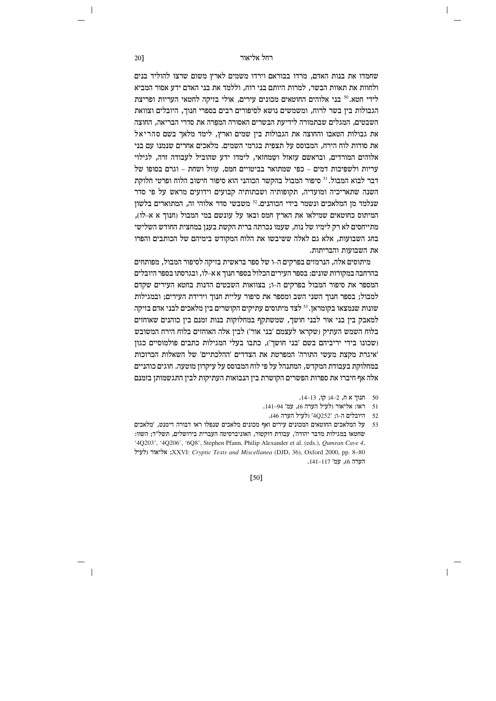שחמדו את בנות האדם, מרדו בבוראם וירדו משמים לארץ משום שרצו להוליד בנים ולחוות את תאוות הבשר, למרות היותם בני רוח, וללמד את בני האדם ידע אסור המביא לידי חטא.<sup>50</sup> בני אלוהים החוטאים מכונים עירים, אולי בזיקה לחטאי העריות ופריצת הגבולות בין בשר לרוח, ומשמשים נושא לסיפורים רבים בספרי חנוך, היובלים וצוואת השבטים, המגלים שבתמורה לידיעת הבשרים האסורה המפרה את סדרי הבריאה, החוצה את גבולות הטאבו והחוצה את הגבולות בין שמים וארץ, לימד מלאך בשם סהריאל את סודות לוח הירח, המבוסס על תצפית בגרמי השמים. מלאכים אחרים שנמנו עם בני אלוהים המורדים. ובראשם עזאזל ושמחזאי. לימדו ידע שהוביל לעבודה זרה. לגילוי עריות ולשפיכות דמים – כפי שמתואר בביטויים חמס, עוול ושחת – וגרם בסופו של דבר לבוא המבול.<sup>51</sup> סיפור המבול בהקשר הכוהני הוא סיפור חישוב הלוח ופרטי חלוקת השנה שתאריכיה ומועדיה, תקופותיה ושבתותיה קבועים וידועים מראש על פי סדר שנלמד מן המלאכים ונשמר בידי הכוהנים.<sup>52</sup> משבשי סדר אלוהי זה, המתוארים בלשון המיתוס כחוטאים שמילאו את הארץ חמס ובאו על עונשם במי המבול (חנור א א–לו). מתייחסים לא רק לימיו של נוח, שעמו נכרתה ברית הקשת בענן במחצית החודש השלישי בחג השבועות, אלא גם לאלה ששיבשו את הלוח המקודש בימיהם של הכותבים והפרו את השבועות והבריתות.

מיתוסים אלה, הנרמזים בפרקים ה–ו של ספר בראשית בזיקה לסיפור המבול, מפותחים בהרחבה במקורות שונים: בספר העירים הכלול בספר חנוד א א–לו, ובגרסתו בספר היובלים המספר את סיפור המבול בפרקים ה–ו; בצוואות השבטים הדנות בחטא העירים שקדם למבול; בספר חנוך השני השב ומספר את סיפור עליית חנוך וירידת העירים; ובמגילות שונות שנמצאו בקומראן. <sup>53</sup> לצד מיתוסים עתיקים הקושרים בין מלאכים לבני אדם בזיקה למאבק בין בני אור לבני חושך, שמשתקף במחלוקות בנות זמנם בין כוהנים שאוחזים בלוח השמש העתיק (שקראו לעצמם 'בני אור') לבין אלה האוחזים בלוח הירח המשובש (שכונו בידי יריביהם בשם 'בני חושך'), כתבו בעלי המגילות כתבים פולמוסיים כגון 'איגרת מקצת מעשי התורה' המפרטת את הצדדים 'ההלכתיים' של השאלות הכרוכות במחלוקת בעבודת המקדש, המתנהל על פי לוח המבוסס על עיקרון מוטעה. חוגים כוהניים אלה אף חיברו את ספרות הפשרים הקושרת בין הנבואות העתיקות לבין התגשמותן בזמנם

- 50 חנור אח, 2–4; קו, 13–14.
- 51 ראו: אליאור (לעיל הערה 6), עמ' 94–141.
- 52 היובלים ה-ו; 20252' (לעיל הערה 46).
- 53 על המלאכים החוטאים המכונים עירים ואף מכונים מלאכים שנפלו ראו דבורה דימנט. 'מלאכים שחטאו במגילות מדבר יהודה׳, עבודת דוקטור, האוניברסיטה העברית בירושלים, תשל״ד; השוו: '4Q203', '4Q206', '6Q8', Stephen Pfann, Philip Alexander et al. (eds.), Qumran Cave 4, לעיל; XXVI: Cryptic Texts and Miscellanea (DJD, 36), Oxford 2000, pp. 8-80 הערה 6), עמ' 141–141.

[50]

20]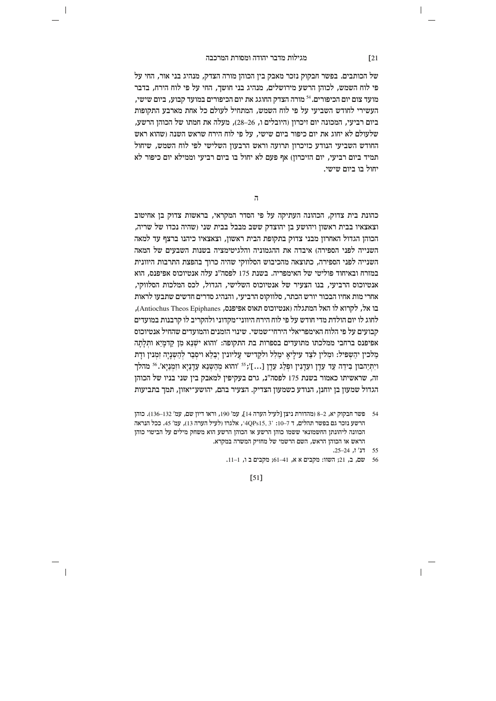$\overline{\phantom{a}}$ 

של הכותבים. בפשר חבקוק נזכר מאבק בין הכוהן מורה הצדק, מנהיג בני אור, החי על פי לוח השמש, לכוהן הרשע מירושלים, מנהיג בני חושך, החי על פי לוח הירח, בדבר מועד צום יום הכיפורים.<sup>54</sup> מורה הצדק החוגג את יום הכיפורים במועד קבוע, ביום שישי, העשירי לחודש השביעי על פי לוח השמש, המתחיל לעולם כל אחת מארבע התקופות ביום רביעי, המכונה יום זיכרון (היובלים ו, 26–28), מעלה את חמתו של הכוהן הרשע, שלעולם לא יחוג את יום כיפור ביום שישי. על פי לוח הירח שראש השנה ושהוא ראש החודש השביעי הנודע כזיכרון תרועה וראש הרבעון השלישי לפי לוח השמש, שיחול תמיד ביום רביעי. יום הזיכרוז) אף פעם לא יחול בו ביום רביעי וממילא יום כיפור לא יחול בו ביום שישי.

 $\mathbf{a}$ 

כהונת בית צדוק. הכהונה העתיקה על פי הסדר המקראי. בראשות צדוק בז אחיטוב וצאצאיו בבית ראשון ויהושע בן יהוצדק ששב מבבל בבית שני (שהיה נכדו של שריה, הכוהן הגדול האחרון מבני צדוק בתקופת הבית ראשון, וצאצאיו כיהנו ברצף עד למאה השנייה לפני הספירה) איבדה את ההגמוניה והלגיטימציה בשנות השבעים של המאה השנייה לפני הספירה. כתוצאה מהכיבוש הסלווקי שהיה כרור בהפצת התרבות היוונית במזרח ובאיחוד פוליטי של האימפריה. בשנת 175 לפסה"נ עלה אנטיוכוס אפיפנס. הוא אנטיוכוס הרביעי, בנו הצעיר של אנטיוכוס השלישי, הגדול, לכס המלכות הסלווקי, אחרי מות אחיו הבכור יורש הכתר, סלווקוס הרביעי, והנהיג סדרים חדשים שתבעו לראות בו אל, לקרוא לו האל המתגלה (אנטיוכוס תאוס אפיפנס, Antiochus Theos Epiphanes), לחוג לו יום הולדת מדי חודש על פי לוח הירח היווני־מקדוני ולהקריב לו קרבנות במועדים קבועים על פי הלוח האימפריאלי הירחי־שמשי. שינוי הזמנים והמועדים שהחיל אנטיוכוס אפיפנס ברחבי ממלכתו מתועדים בספרות בת התקופה: 'והוא ישנא מן קדמיא ותלתה מֲלכין יהַשְפִיל: ומִלין לִצָד עִילַיאֵ ימַלְל ולקדישי עֲליונין יִבָלֵא ויסִבַר לְהַשְנֵיה זִמְנִין ודַת וַיְתְיַהבון בְיִדֶה עַד עָדַן ועָדָנִין ופְלֵג עָדַן [...]'ז<sup>55</sup> 'והוא מְהָשְנֵא עָדָנָיַא וזִמְנַיַא'.<sup>56</sup> מהלך זה, שראשיתו כאמור בשנת 175 לפסה"נ, גרם בעקיפין למאבק בין שני בניו של הכוהן הגדול שמעוז בז יוחנז. הנודע כשמעוז הצדיק. הצעיר בהם, יהושע־יאזוז, תמר בתביעות

 $[51]$ 

# $\sqrt{21}$

<sup>54</sup> פשר חבקוק יא, 2–8 (מהדורת ניצן [לעיל הערה 14], עמ' 190, וראו דיון שם, עמ' 132–136). כוהן הרשע נזכר גם בפשר תהלים, ד 7–10: 2, 4QPs15, 3+ אלגרו (לעיל הערה 13), עמ' 45. ככל הנראה הכוונה ליהונתן החשמונאי ששמו כוהן הרשע או הכוהן הרשע הוא משחק מילים על הביטוי כוהן הראש או הכוהן הראש, השם הרשמי של מחזיק המשרה במקרא.

 $.25-24$ , דנ' ז, 24

<sup>56</sup> שם, ב, 21; השוו: מקבים א א, 41–61; מקבים ב ו, 1–11.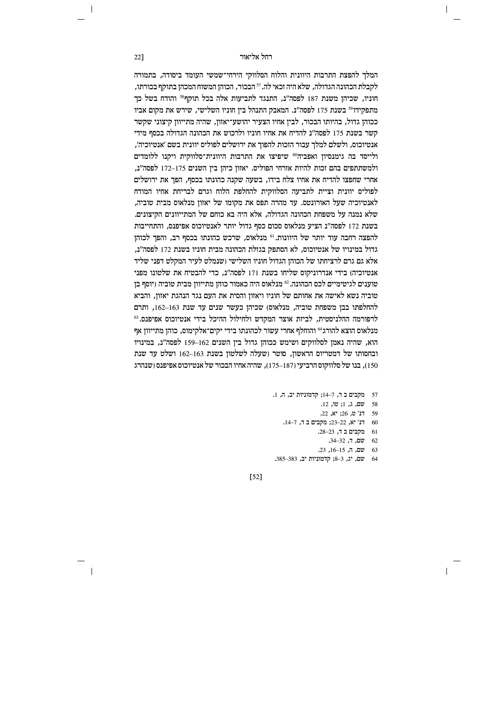המלך להפצת התרבות היוונית והלוח הסלווקי הירחי־שמשי העומד ביסודה, בתמורה לקבלת הכהונה הגדולה, שלא היה זכאי לה. <sup>57</sup> הבכור, הכוהן המשוח המכהן בתוקף בכורתו, חוניו, שכיהן משנת 187 לפסה"נ, התנגד לתביעות אלה בכל תוקף<sup>58</sup> והודח בשל כך מתפקידו<sup>59</sup> בשנת 175 לפסה"נ. המאבק התנהל בין חוניו השלישי, שירש את מקום אביו ככוהו גדול. בהיותו הבכור, לביו אחיו הצעיר יהושע־יאזוז. שהיה מתייווז קיצוני שקשר קשר בשנת 175 לפסה"ג להדיח את אחיו חוניו ולרכוש את הכהונה הגדולה בכסף מידי אנטיוכוס. ולשלם למלד עבור הזכות להפור את ירושלים לפוליס יוונית בשם 'אנטיוכיה'. ולייסד בה גימנסיון ואפביה® שיפיצו את התרבות היוונית־סלווקית ויקנו ללומדים ולמשתתפים בהם זכות להיות אזרחי הפוליס. יאזון כיהן בין השנים 175–172 לפסה"נ, אחרי שחפצו להדיח את אחיו צלח בידו, בשעה שקנה כהונתו בכסף, הפך את ירושלים לפוליס יוונית וציית לתביעה הסלווקית להחלפת הלוח וגרם לבריחת אחיו המודח לאנטיוכיה שעל האורונטס. עד מהרה תפס את מקומו של יאזוז מנלאוס מבית טוביה. שלא נמנה על משפחת הכהונה הגדולה, אלא היה בא כוחם של המתייוונים הקיצונים. בשנת 172 לפסה"נ הציע מנלאוס סכום כסף גדול יותר לאנטיוכוס אפיפנס, והתחייבות להפצה רחבה עוד יותר של היוונות.<sup>61</sup> מנלאוס, שרכש כהונתו בכסף רב, והפך לכוהן גדול במינויו של אנטיוכוס, לא הסתפק בגזלת הכהונה מבית חוניו בשנת 172 לפסה"נ, אלא גם גרם לרציחתו של הכוהו הגדול חוניו השלישי ושנמלט לעיר המקלט דפני שליד אנטיוכיה) בידי אנדרוניקוס שליחו בשנת 171 לפסה"נ, כדי להבטיח את שלטונו מפני טוענים לגיטימיים לכס הכהונה.<sup>62</sup> מנלאוס היה כאמור כוהן מתייוון מבית טוביה (יוסף בן טוביה נשא לאישה את אחותם של חוניו ויאזון והסית את העם נגד הנהגת יאזון, והביא להחלפתו בבן משפחת טוביה, מנלאוס) שכיהן כעשר שנים עד שנת 163–162, ותרם לרפורמה ההלניסטית, לביות אוצר המקדש ולחילול ההיכל בידי אנטיוכוס אפיפנס.<sup>63</sup> מנלאוס הוצא להורג<sup>64</sup> והוחלף אחרי עשור לכהונתו בידי יקים־אלקימוס, כוהן מתייוון אף הוא, שהיה נאמן לסלווקים ושימש ככוהן גדול בין השנים 162–159 לפסה"נ, במינויו ובחסותו של דמטריוס הראשון, סוטר (שעלה לשלטון בשנת 162–162 ושלט עד שנת 150), בנו של סלווקוס הרביעי (187–175), שהיה אחיו הבכור של אנטיוכוס אפיפנס (שנהרג

- 57 מקבים ב ד, 7-14; קדמוניות יב, ה, 1.
	- 58 שם, ג, 1: טו, 12.
		- 59 דנ' ט, 26; יא, 22.
	- 60 דנ' יא, 22–23; מקבים ב ד, 7–14.
		- 61 מקבים ב ד, 23–28.
			- 62 שם, ד, 32–34.
			- $.23$ , שם. ה. 15–16. 23.

 $\mathbf{I}$ 

64 שם, יג, 3–8; קדמוניות יב, 385–385.

 $[52]$ 

22]

 $\overline{\phantom{a}}$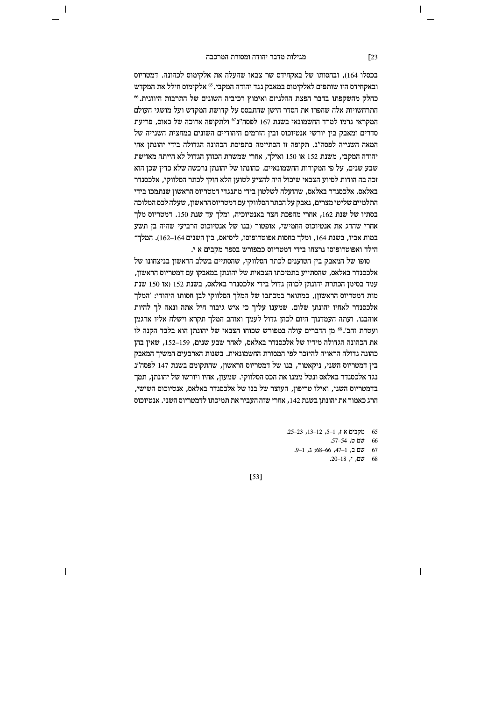$\overline{\phantom{a}}$ 

בכסלו 164), ובחסותו של באקחידס שר צבאו שהעלה את אלקימוס לכהונה. דמטריוס ובאקחידס היו שותפים לאלקימוס במאבק נגד יהודה המקבי. <sup>65</sup> אלקימוס חילל את המקדש כחלק מהשקפתו בדבר הפצת ההלניזם ואימוץ רכיביה השונים של התרבות היוונית. 66 התרחשויות אלה שהפרו את הסדר הישו שהתבסס על קדושת המקדש ועל מושגי העולם המקראי גרמו למרד החשמונאי בשנת 167 לפסה"נ<sup>67</sup> ולתקופה ארוכה של כאוס. פריעת סדרים ומאבק ביז יורשי אנטיוכוס וביז הזרמים היהודיים השונים במחצית השנייה של המאה השנייה לפסה"ג. תקופה זו הסתיימה בתפיסת הכהונה הגדולה בידי יהונתו אחי יהודה המקבי, משנת 152 או 150 ואילך, אחרי שמשרת הכוהן הגדול לא הייתה מאוישת שבע שנים, על פי המקורות החשמונאיים. כהונתו של יהונתן נרכשה שלא כדין שכן הוא זכה בה הודות לסיוע הצבאי שיכול היה להציע לטוען הלא חוקי לכתר הסלווקי, אלכסנדר באלאס. אלכסנדר באלאס, שהועלה לשלטון בידי מתנגדי דמטריוס הראשון שנתמכו בידי התלמיים שליטי מצרים, נאבק על הכתר הסלווקי עם דמטריוס הראשון, שעלה לכס המלוכה בסתיו של שנת 162, אחרי מהפכת חצר באנטיוכיה, ומלך עד שנת 150. דמטריוס מלך אחרי שהיה בן תשע אנטיוכוס החמישי, אופטור (בנו של אנטיוכוס הרביעי שהיה בן תשע במות אביו, בשנת 164, ומלך בחסות אפוטרופוסו, ליסיאס, בין השנים 164–162). המלך־ הילד ואפוטרופוסו נרצחו בידי דמטריוס כמפורש בספר מקבים א י.

סופו של המאבק בין הטוענים לכתר הסלווקי, שהסתיים בשלב הראשון בניצחונו של אלכסנדר באלאס, שהסתייע בתמיכתו הצבאית של יהונתן במאבקו עם דמטריוס הראשון, עמד בסימן הכתרת יהונתן לכוהן גדול בידי אלכסנדר באלאס, בשנת 152 (או 150 שנת מות דמטריוס הראשון), כמתואר במכתבו של המלך הסלווקי לבן חסותו היהודי: 'המלך אלכסנדר לאחיו יהונתן שלום. שמענו עליך כי איש גיבור חיל אתה ונאה לך להיות אוהבנו. ועתה העמדנוך היום לכהן גדול לעמך ואוהב המלך תקרא וישלח אליו ארגמן ועטרת זהב'.<sup>68</sup> מן הדברים עולה במפורש שכוחו הצבאי של יהונתן הוא בלבד הקנה לו את הכהונה הגדולה מידיו של אלכסנדר באלאס, לאחר שבע שנים, 159–152, שאין בהן כהונה גדולה הראויה להיזכר לפי המסורת החשמונאית. בשנות הארבעים המשיך המאבק בין דמטריוס השני, ניקאטור, בנו של דמטריוס הראשון, שהתקומם בשנת 147 לפסה"נ נגד אלכסנדר באלאס ונטל ממנו את הכס הסלווקי. שמעון, אחיו ויורשו של יהונתן, תמך בדמטריוס השני. ואילו טריפוז. העוצר של בנו של אלכסנדר באלאס. אנטיוכוס השישי. הרג כאמור את יהונתו בשנת 142, אחרי שזה העביר את תמיכתו לדמטריוס השני. אנטיוכוס

> 65 מקבים אז, 1–5, 12–13, 25–23. 66 שם ט, 54–57. 67 שם ב, 1–47, 66–68; ג, 1–9.

68 שם, י, 18–20.

 $[53]$ 

 $[23]$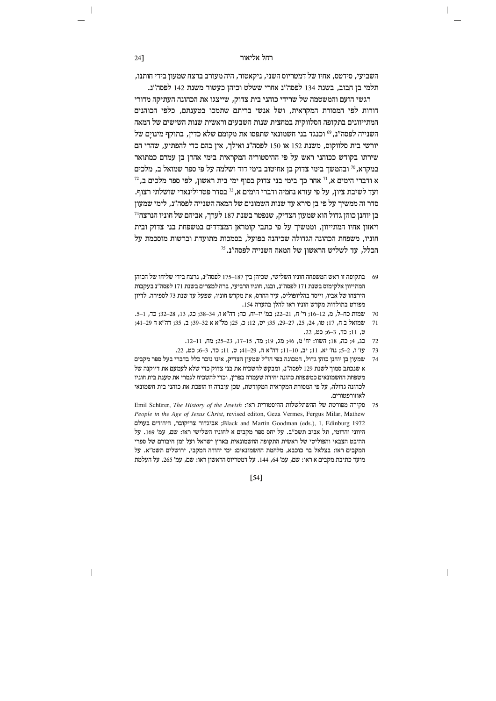השביעי, סידטס, אחיו של דמטריוס השני, ניקאטור, היה מעורב ברצח שמעון בידי חותנו, תלמי בן חבוב, בשנת 134 לפסה"נ אחרי ששלט וכיהן כעשור משנת 142 לפסה"נ.

רגשי הזעם והמשטמה של שרידי כוהני בית צדוק. שייצגו את הכהונה העתיקה מדורי דורות לפי המסורת המקראית, ושל אנשי בריתם שתמכו בטענתם, כלפי הכוהנים המתייוונים בתקופה הסלווקית במחצית שנות השבעים וראשית שנות השישים של המאה השנייה לפסה"נ,<sup>69</sup> וכנגד בני חשמונאי שתפסו את מקומם שלא כדין, בתוקף מינוים של יורשי בית סלווקוס, משנת 152 או 150 לפסה"נ ואילך, אין בהם כדי להפתיע, שהרי הם שירתו בקודש ככוהני ראש על פי ההיסטוריה המקראית בימי אהרז בז עמרם כמתואר במקרא, <sup>70</sup> ובהמשך בימי צדוק בן אחיטוב בימי דוד ושלמה על פי ספר שמואל ב, מלכים  $^{72}$ א ודברי הימים א,  $^{71}$ אחר כך בימי בני צדוק בסוף ימי בית ראשון, לפי ספר מלכים ב ועד לשיבת ציון, על פי עזרא נחמיה ודברי הימים א, <sup>73</sup> בסדר פטרילינארי שושלתי רצוף. סדר זה ממשיך על פי בן סירא עד שנות השמונים של המאה השנייה לפסה"נ, לימי שמעון  $^{74}$ בז יוחנז כוהז גדול הוא שמעוז הצדיק. שנפטר בשנת 187 לערד, אביהם של חוניו הנרצח ויאזון אחיו המתייוון, וממשיך על פי כתבי קומראן המצדדים במשפחת בני צדוק ובית חוניו, משפחת הכהונה הגדולה שכיהנה בפועל, בסמכות מתועדת וברשות מוסכמת על הכלל, עד לשליש הראשון של המאה השנייה לפסה"נ.<sup>75</sup>

- 69 בתקופה זו ראש המשפחה חוניו השלישי, שכיהן בין 175–175 לפסה"ג, נרצח בידי שליחו של הכוהן המתייוון אלקימוס בשנת 171 לפסה"נ, ובנו, חוניו הרביעי, ברח למצרים בשנת 171 לפסה"נ בעקבות הירצחו של אביו, וייסד בהליופוליס, עיר החרס, את מקדש חוניו, שפעל עד שנת 73 לספירה. לדיון מפורט בתולדות מקדש חוניו ראו להלן בהערה 154.
- 70 שמות כח-ל, מ, 12-16; וי' ח, 21-22; במ' יז-יח, כה; דה"א ו, 34-38; כג, 13, 28-32; כד, 1-5.
- 71 שמואל ב ח, 17; טו, 24, 25, 27-29, 35; יט, 12; כ, 25; מל"א א 32-39; ב, 35; דה"א ה 29-41; ט, 11; כד, 3-6; כט, 22.
	- 72 כג, 4; כה, 18; השוו: יח' מ, 46; מג, 19; מד, 15-17, 23-25; מח, 11-11.
	- 73 עז' ז, 2-5; נח' יא, 11; יב, 10-11; דה"א ה, 29-41; ט, 11; כד, 3-6; כט, 22.
- 74 שמעון בן יוחנן כוהן גדול, המכונה בפי חז"ל שמעון הצדיק, אינו נזכר כלל בדברי בעל ספר מקבים א שנכתב סמוך לשנת 129 לפסה"נ, ומבקש להשכיח את בני צדוק כדי שלא לעמעם את דיוקנה של משפחת החשמונאים כמשפחת כהונה יחידה שעמדה בפרץ, וכדי להשכיח לגמרי את טענת בית חוניו לכהונה גדולה, על פי המסורת המקראית המקודשת, שכן עובדה זו הופכת את כוהני בית חשמונאי לאוזורפטורים.
- Emil Schürer, The History of the Jewish :<br>ד. ההשתלשלות ההיסטורית האונה היא ה People in the Age of Jesus Christ, revised editon, Geza Vermes, Fergus Milar, Mathew Black and Martin Goodman (eds.), 1, Edinburg 1972; אביגדור צריקובר, היהודים בעולם היווני והרומי, תל אביב תשכ"ב. על יחס ספר מקבים א לחוניו השלישי ראו: שם, עמ' 169. על ההיבט הצבאי והפוליטי של ראשית התקופה החשמונאית בארץ ישראל ועל זמן חיבורם של ספרי המקבים ראו: בצלאל בר כוכבא, מלחמת החשמונאים: ימי יהודה המקבי, ירושלים תשמ"א. על מועד כתיבת מקבים א ראו: שם, עמ׳ 64, 144. על דמטריוס הראשון ראו: שם, עמ׳ 265. על העלמת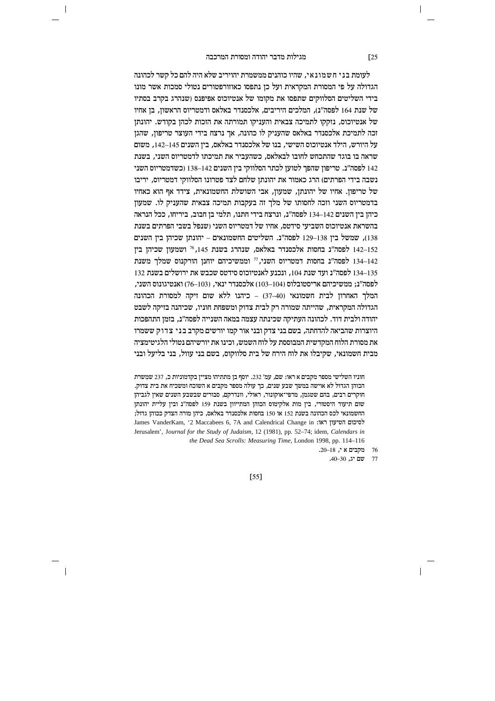$\overline{\phantom{a}}$ 

לעומת בני חשמונאי, שהיו כוהנים ממשמרת יהויריב שלא היה להם כל קשר לכהונה הגדולה על פי המסורת המקראית ועל כן נתפסו כאוזורפטורים נטולי סמכות אשר מונו בידי השליטים הסלווקים שתפסו את מקומו של אנטיוכוס אפיפנס (שנהרג בקרב בסתיו של שנת 164 לפסה״נ). המלכים היריבים. אלכסנדר באלאס ודמטריוס הראשוו. בו אחיו של אנטיוכוס. נזקקו לתמיכה צבאית והעניקו תמורתה את הזכות לכהז בקודש. יהונתז זכה לתמיכת אלכסנדר באלאס שהעניק לו כהונה. אך נרצח בידי העוצר טריפוז. שהגז על היורש, הילד אנטיוכוס השישי, בנו של אלכסנדר באלאס, ביו השנים 145–142, משום שראה בו בוגד שהתכחש לחובו לבאלאס, כשהעביר את תמיכתו לדמטריוס השני, בשנת 142 לפסה"ג. טריפון שהפך לטוען לכתר הסלווקי בין השנים 142–138 (כשדמטריוס השני נשבה בידי הפרתים) הרג כאמור את יהונתן שלחם לצד פטרונו הסלווקי דמטריוס, יריבו של טריפון. אחיו של יהונתן, שמעון, אבי השושלת החשמונאית, צידד אף הוא כאחיו בדמטריוס השני וזכה לחסותו של מלך זה בעקבות תמיכה צבאית שהעניק לו. שמעון כיהן בין השנים 134–134 לפסה"נ, ונרצח בידי חתנו, תלמי בן חבוב, ביריחו, ככל הנראה בהשראת אנטיוכוס השביעי סידטס, אחיו של דמטריוס השני (שנפל בשבי הפרתים בשנת 138), שמשל בין 138–129 לפסה"נ. השליטים החשמונאים – יהונתן שכיהן בין השנים לפסה"נ בחסות אלכסנדר באלאס, שנהרג בשנת 145, <sup>76</sup> ושמעון שכיהן בין 142–142 לפסה"ג בחסות דמטריוס השני.<sup>77</sup> וממשיכיהם יוחנו הורקנוס שמלך משנת (134–142 134–135 לפסה"נ ועד שנת 104, ונכנע לאנטיוכוס סידטס שכבש את ירושלים בשנת 132  $\tau$ לפסה"ג; ממשיכיהם אריסטובלוס (104–103) אלכסנדר ינאי, (103–76) ואנטיגונוס השני, המלך האחרון לבית חשמונאי (40–37) - כיהנו ללא שום זיקה למסורת הכהונה הגדולה המקראית, שהייתה שמורה רק לבית צדוק ומשפחת חוניו, שכיהנה בזיקה לשבט יהודה ולבית דוד. לכהונה העתיקה שכינתה עצמה במאה השנייה לפסה"נ, בזמן התהפכות היוצרות שהביאה להדחתה, בשם בני צדק ובני אור קמו יורשים מקרב בני צדוק ששמרו את מסורת הלוח המקדשית המבוססת על לוח השמש, וכינו את יורשיהם נטולי הלגיטימציה מבית חשמונאי, שקיבלו את לוח הירח של בית סלווקוס, בשם בני עוול, בני בליעל ובני

חוניו השלישי מספר מקבים א ראו: שם, עמ' 232. יוסף בן מתתיהו מציין בקדמוניות כ, 237 שמשרת הכוהן הגדול לא אוישה במשך שבע שנים, כך עולה מספר מקבים א השוכח ומשכיח את בית צדוק. חוקרים רבים, בהם שטגמן, מרפי־אוקונור, ראולי, וונדרקם, סבורים שבשבע השנים שאין לגביהן שום תיעוד היסטורי, בין מות אלקימוס הכוהן המתייוון בשנת 159 לפסה"נ ובין עליית יהונתן החשמונאי לכס הכהונה בשנת 152 או 150 בחסות אלכסנדר באלאס, כיהן מורה הצדק ככוהן גדול; James VanderKam, '2 Maccabees 6, 7A and Calendrical Change in :לסיכום הטיעון ראו Jerusalem', Journal for the Study of Judaism, 12 (1981), pp. 52-74; idem, Calendars in the Dead Sea Scrolls: Measuring Time, London 1998, pp. 114-116

 $[55]$ 

76 מקבים א $\cdot$  18–20. 77 שם יג, 30–40.

 $[25$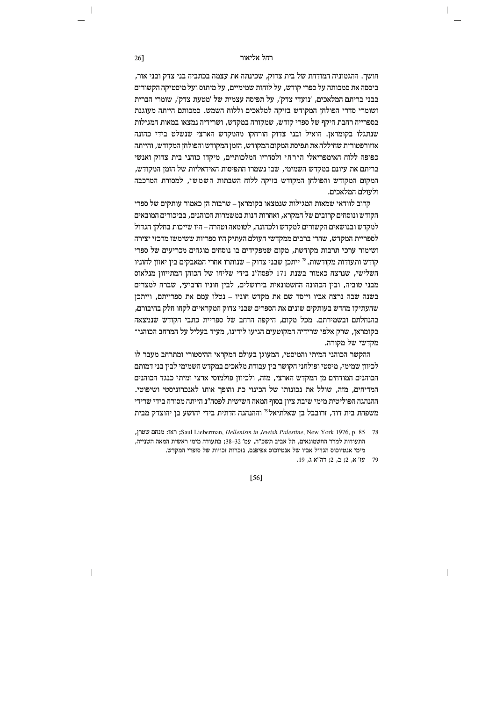# וקל אליאור החל אליאור בא

חושך. ההגמוניה המודחת של בית צדוק, שכינתה את עצמה בכתביה בני צדק ובני אור, ביססה את סמכותה על ספרי קודש, על לוחות שמימיים, על מיתוס ועל מיסטיקה הקשורים בבני בריתם המלאכים. 'נועדי צדק', על תפיסה עצמית של 'מטעת צדק', שומרי הברית i ושומרי סדרי הפולחן המקודש בזיקה למלאכים וללוח השמש. סמכותם הייתה מעוגנת בספרייה רחבת היקף של ספרי קודש, שמקורה במקדש, ושרידיה נמצאו במאות המגילות שנתגלו בקומראן. הואיל ובני צדוק הורחקו מהמקדש הארצי שנשלט בידי כהונה אוזורפטורית שחיללה את תפיסת המקום המקודש, הזמן המקודש והפולחן המקודש, והייתה כפופה ללוח האימפריאלי הירחי ולסדריו המלכותיים. מיקדו כוהני בית צדוק ואנשי בריתם את עיונם במקדש השמימי, שבו נשמרו התפיסות האידאליות של הזמן המקודש, המקום המקודש והפולחן המקודש בזיקה ללוח השבתות השמשי, למסורת המרכבה ולעולם המלאכים.

ה'ונדאי שמאות המגילות שנמצאו בקומראן – שרבות הן כאמור עותקים של ספרי  $\epsilon$ הקודש ונוסחים קרובים של המקרא, ואחרות דנות במשמרות הכוהנים, בביכורים המובאים למקדש ובנושאים הקשורים למקדש ולכהונה. לטומאה וטהרה – היו שייכות בחלקו הגדול<sup>.</sup> לספריית המקדש, שהרי ברבים ממקדשי העולם העתיק היו ספריות ששימשו מרכזי יצירה ושימור ערכי תרבות מקודשת, מקום שמפקידים בו נוסחים מוגהים מכריעים של ספרי הודש ותעודות מקודשות. <sup>78</sup> ייתכז שבני צדוק – שנותרו אחרי המאבקים ביז יאזוז לחוניו השלישי. שנרצח כאמור בשנת 171 לפסה"ג בידי שליחו של הכוהז המתייווז מנלאוס מבני טוביה, ובין הכהונה החשמונאית בירושלים, לבין חוניו הרביעי, שברח למצרים בשנה שבה נרצח אביו וייסד שם את מקדש חוניו – נטלו עמם את ספרייתם, וייתכן שהעתיקו מחדש בעותקים שונים את הספרים שבני צדוק המקראיים לקחו חלק בחיבורם, בהנחלתם ובשמירתם. מכל מקום, היקפה הרחב של ספריית כתבי הקודש שנמצאה בקומראן, שרק אלפי שרידיה המקוטעים הגיעו לידינו, מעיד בעליל על המרחב הכוהני־ מקדשי של מקורה.

ההקשר הכוהני המיתי והמיסטי, המעוגן בעולם המקראי ההיסטורי ומתרחב מעבר לו לכיוון שמימי, מיסטי ופולחני הקושר בין עבודת מלאכים במקדש השמימי לבין בני דמותם הכוהנים המודחים מן המקדש הארצי, מזה, ולכיוון פולמוסי ארצי ומיתי כנגד הכוהנים המדיחים. מזה, שולל את נכונותו של הכינוי כת והופר אותו לאנכרוניסטי ושיפוטי. ההנהגה הפוליטית מימי שיבת ציון בסוף המאה השישית לפסה"נ הייתה מסורה בידי שרידי משפחת בית דוד, זרובבל בן שאלתיאל<sup>79</sup> וההנהגה הדתית בידי יהושע בן יהוצדק מבית

[56]

<sup>57 .58 .57 .58</sup> km 1976, Palestine, New York IST, Palestine , Tex: מנחם שטרן, התעודות למרד החשמונאים, תל אביב תשכ"ה, עמ' 32–33; בתעודה מימי ראשית המאה השנייה, מימי אנטיוכוס הגדול אביו של אנטיוכוס אפיפנס, נזכרות זכויות של סופרי המקדש.

<sup>79</sup> עז' א, 2; ב, 2; דה"א ג, 19.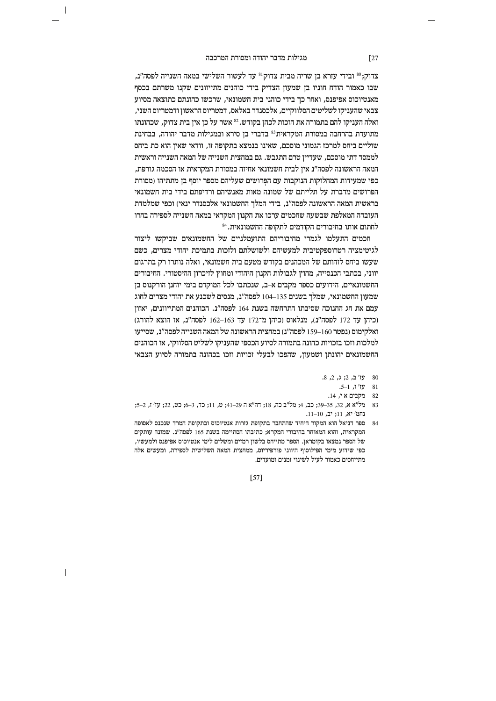$\overline{\phantom{a}}$ 

צדוק;<sup>80</sup> ובידי עזרא בן שריה מבית צדוק<sup>81</sup> עד לעשור השלישי במאה השנייה לפסה"נ, שבו כאמור הודח חוניו בן שמעון הצדיק בידי כוהנים מתייוונים שקנו משרתם בכסף מאנטיוכוס אפיפנס, ואחר כך בידי כוהני בית חשמונאי, שרכשו כהונתם כתוצאה מסיוע צבאי שהעניקו לשליטים הסלווקיים, אלכסנדר באלאס, דמטריוס הראשון ודמטריוס השני, ואלה העניקו להם בתמורה את הזכות לכהן בקודש.<sup>23</sup> אשר על כן אין בית צדוק, שכהונתו מתועדת בהרחבה במסורת המקראית<sup>83</sup> בדברי בן סירא ובמגילות מדבר יהודה, בבחינת שוליים ביחס למרכז הגמוני מוסכם, שאינו בנמצא בתקופה זו, וודאי שאין הוא כת ביחס לממסד דתי מוסכם. שעדייז טרם התגבש. גם במחצית השנייה של המאה השנייה וראשית המאה הראשונה לפסה"נ אין לבית חשמונאי אחיזה במסורת המקראית או הסכמה גורפת, כפי שמעידות המחלוקות הנוקבות עם הפרושים שעליהם מספר יוסף בן מתתיהו (מסורת הפרושים מדברת על תלייתם של שמונה מאות מאנשיהם ורדיפתם בידי בית חשמונאי בראשית המאה הראשונה לפסה״נ, בידי המלך החשמונאי אלכסנדר ינאי) וכפי שמלמדת העובדה המאלפת שבשעה שחכמים ערכו את הקנוז המקראי במאה השנייה לספירה בחרו לחתום אותו בחיבורים הקודמים לתקופה החשמונאית.  $^{\rm 84}$ 

חכמים התעלמו לגמרי מחיבוריהם התועמלניים של החשמונאים שביקשו ליצור לגיטימציה רטרוספקטיבית למעשיהם ולשושלתם ולזכות בתמיכת יהודי מצרים, כשם שעשו ביחס לזהותם של המכהנים בקודש מטעם בית חשמונאי. ואלה נותרו רק בתרגום יווני. בכתבי הכנסייה. מחוץ לגבולות הקנוז היהודי ומחוץ לזיכרוז ההיסטורי. החיבורים החשמונאיים, הידועים כספר מקבים א–ב, שנכתבו לכל המוקדם בימי יוחנן הורקנוס בן שמעון החשמונאי, שמלך בשנים 135–104 לפסה"נ, מנסים לשכנע את יהודי מצרים לחוג עמם את חג החנוכה שסיבתו התרחשה בשנת 164 לפסה"נ. הכוהנים המתייוונים, יאזון (כיהן עד 172 לפסה"נ), מנלאוס (כיהן מ־172 עד 163–162 לפסה"נ, אז הוצא להורג) ואלקימוס (נפטר 160–159 לפסה"נ) במחצית הראשונה של המאה השנייה לפסה"נ. שסייעו למלכות וזכו בזכויות כהונה בתמורה לסיוע הכספי שהעניקו לשליט הסלווקי, או הכוהנים החשמונאים יהונתן ושמעון, שהפכו לבעלי זכויות וזכו בכהונה בתמורה לסיוע הצבאי

- 80 עז' ב, 2; ג, 2, 8.
	- .5–1, עז' ז,  $1 81$
	- 82 מקבים א $\,$  ,  $\,$  82
- 83 מל"א א. 32. 35–39: כב. 4: מל"ב כה. 18: דה"א ה 29–41: ט. 11: כד. 3–6: כט. 22: עז' ז. 2–5: נחמ' יא. 11: יב. 10–11.
- 84 ספר דניאל הוא המקור היחיד שהתחבר בתקופת גזרות אנטיוכוס ובתקופת המרד שנכנס לאסופה המקראית, והוא המאוחר בחיבורי המקרא; כתיבתו הסתיימה בשנת 165 לפסה"נ. שמונה עותקים של הספר נמצאו בקומראן. הספר מתייחס בלשון רמזים ומשלים לימי אנטיוכוס אפיפנס ולמעשיו, כפי שידוע מימי הפילוסוף היווני פורפיריוס, ממחצית המאה השלישית לספירה, ומעשים אלה מתייחסים כאמור לעיל לשינוי זמנים ומועדים.

 $\sqrt{27}$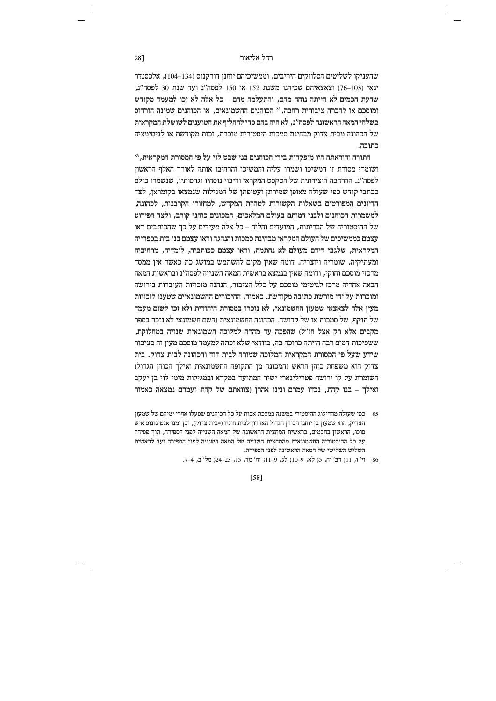שהעניקו לשליטים הסלווקים היריבים, וממשיכיהם יוחנן הורקנוס (134–104), אלכסנדר ינאי (103–76) וצאצאיהם שכיהנו משנת 152 או 150 לפסה"ג ועד שנת 30 לפסה"ג, שדעת חכמים לא הייתה נוחה מהם. והתעלמה מהם – כל אלה לא זכו למעמד מקודש ומוסכם או להכרה ציבורית רחבה.<sup>85</sup> הכוהגים החשמונאים. או הכוהגים שמינה הורדוס בשלהי המאה הראשונה לפסה״נ. לא היה בהם כדי להחליף את הטוענים לשושלת המקראית של הכהונה מבית צדוק מבחינת סמכות היסטורית מוכרת, זכות מקודשת או לגיטימציה כתובה.

התורה והוראתה היו מופקדות בידי הכוהנים בני שבט לוי על פי המסורת המקראית.<sup>86</sup> ושומרי מסורת זו המשיכו ושמרו עליה והמשיכו והרחיבו אותה לאורך האלף הראשון לפסה"נ. ההרחבה היצירתית של הטקסט המקראי וריבוי נוסחיו וגרסותיו, שנשמרו כולם ככתבי קודש כפי שעולה מאופן שמירתן ועטיפתן של המגילות שנמצאו בקומראן, לצד הדיונים המפורטים בשאלות הקשורות לטהרת המקדש, למחזורי הקרבנות, לכהונה, למשמרות הכוהנים ולבני דמותם בעולם המלאכים. המכונים כוהני קורב. ולצד הפירוט של ההיסטוריה של הבריתות. המועדים והלוח – כל אלה מעידים על כד שהכותבים ראו עצמם כממשיכים של העולם המקראי מבחינת סמכות והנהגה וראו עצמם בני בית בספרייה המקראית, שלגבי דידם מעולם לא נחתמה, וראו עצמם ככותביה, לומדיה, מרחיביה ומעתיקיה, שומריה ויוצריה. דומה שאין מקום להשתמש במושג כת כאשר איו ממסד מרכזי מוסכם וחוקי, ודומה שאיז בנמצא בראשית המאה השנייה לפסה"נ ובראשית המאה הבאה אחריה מרכז לגיטימי מוסכם על כלל הציבור, הנהנה מזכויות העוברות בירושה ומוכרות על ידי מורשת כתובה מקודשת. כאמור, החיבורים החשמונאיים שטענו לזכויות מעין אלה לצאצאי שמעון החשמונאי, לא נזכרו במסורת היהודית ולא זכו לשום מעמד של תוקף, של סמכות או של קדושה. הכהונה החשמונאית (השם חשמונאי לא נזכר בספר מקבים אלא רק אצל חז"ל) שהפכה עד מהרה למלוכה חשמונאית שנויה במחלוקת, ששפיכות דמים רבה הייתה כרוכה בה, בוודאי שלא זכתה למעמד מוסכם מעין זה בציבור שידע שעל פי המסורת המקראית המלוכה שמורה לבית דוד והכהונה לבית צדוק. בית צדוק הוא משפחת כוהן הראש (המכונה מן התקופה החשמונאית ואילך הכוהן הגדול) השומרת על קו ירושה פטרילינארי ישיר המתועד במקרא ובמגילות מימי לוי בן יעקב ואילר – בנו קהת. נכדו עמרם ונינו אהרז (צוואתם של קהת ועמרם נמצאה כאמור

[58]

28]

<sup>85 –</sup> כפי שעולה מהדילוג ההיסטורי במשנה במסכת אבות על כל הכוהנים שפעלו אחרי ימיהם של שמעון הצדיק, הוא שמעון בן יוחנן הכוהן הגדול האחרון לבית חוניו (=בית צדוק), ובן זמנו אנטיגונוס איש סוכו, הראשון בחכמים, בראשית המחצית הראשונה של המאה השנייה לפני הספירה, תוך פסיחה על כל ההיסטוריה החשמונאית מהמחצית השנייה של המאה השנייה לפני הספירה ועד לראשית השליש השלישי של המאה הראשונה לפני הספירה.

<sup>86</sup> וי' ו, 11; דב' יח, 5; לא, 9-10; לג, 9-11; יח' מד, 15, 23-24; מל' ב, 4-7.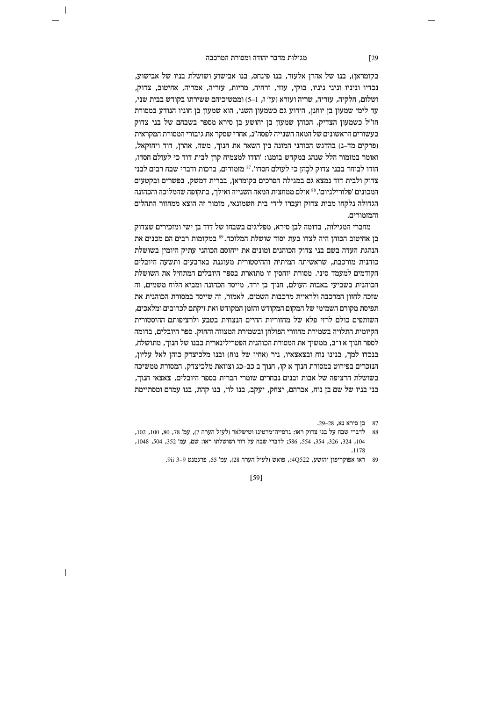$\overline{\phantom{a}}$ 

בקומראן), בנו של אהרן אלעזר, בנו פינחס, בנו אבישוע ושושלת בניו של אבישוע, נכדיו וניניו וניני ניניו, בוקי, עוזי, זרחיה, מריות, עזריה, אמריה, אחיטוב, צדוק, ושלום. חלקיה, עזריה, שריה ועזרא (עז' ז, 1–5) וממשיכיהם ששירתו בקודש בבית שני. עד לימי שמעון בן יוחנן, הידוע גם כשמעון השני, הוא שמעון בן חוניו הנודע במסורת חז"ל כשמעון הצדיק. הכוהן שמעון בן יהושע בן סירא מספר בשבחם של בני צדוק בעשורים הראשונים של המאה השנייה לפסה"נ, אחרי שסקר את גיבורי המסורת המקראית (פרקים מד-נ) בהדגש הכוהני המונה בין השאר את חנוך, משה, אהרן, דוד ויחזקאל, ואומר במזמור הלל שנהג במקדש בזמנו: ׳הודו למצמיח קרז לבית דוד כי לעולם חסדו. הודו לבוחר בבני צדוק לכֲהן כי לעולם חסדו'.<sup>87</sup> מזמורים, ברכות ודברי שבח רבים לבני צדוק ולבית דוד נמצא גם במגילת הסרכים בקומראן, בברית דמשק, בפשרים ובקטעים המכונים 'פלורילגיום'. 88 אולם ממחצית המאה השנייה ואילך, בתקופה שהמלוכה והכהונה הגדולה נלקחו מבית צדוק ועברו לידי בית חשמונאי, מזמור זה הוצא ממחזור התהלים והמזמורים.

מחברי המגילות. בדומה לבו סירא. מפליגים בשבחו של דוד בו ישי ומזכירים שצדוק בן אחיטוב הכוהן היה לצדו בעת יסוד שושלת המלוכה.<sup>89</sup> במקומות רבים הם מכנים את הנהגת העדה בשם בני צדוק הכוהנים ומונים את ייחוסם הכוהני עתיק היומין בשושלת כוהנית מורכבת. שראשיתה המיתית וההיסטורית מעוגנת בארבעים ותשעה היובלים הקודמים למעמד סיני. מסורת יוחסיו זו מתוארת בספר היובלים המתחיל את השושלת הכוהנית בשביעי באבות העולם, חנוך בן ירד, מייסד הכהונה ומביא הלוח משמים, זה שזכה לחזון המרכבה ולראיית מרכבות השמים, לאמור, זה שייסד במסורת הכוהנית את תפיסת מקורם השמימי של המקום המקודש והזמן המקודש ואת זיקתם לכרובים ומלאכים, השותפים כולם לרזי פלא של מחזוריות החיים הנצחית בטבע ולרציפותם ההיסטורית הקיומית התלויה בשמירת מחזורי הפולחן ובשמירת המצווה והחוק. ספר היובלים, בדומה לספר חנוך א ו־ב, ממשיך את המסורת הכוהנית הפטרילינארית בבנו של חנוך, מתושלח, בנכדו למך, בנינו נוח ובצאצאיו, ניר (אחיו של נוח) ובנו מלכיצדק כוהן לאל עליון, הנזכרים בפירוט במסורת חנוך א קו, חנוך ב כב–כג וצוואת מלכיצדק. המסורת ממשיכה בשושלת הרציפה של אבות ובנים נבחרים שומרי הברית בספר היובלים, צאצאי חנוך, בני בניו של שם בז נוח. אברהם. יצחק. יעקב. בנו לוי. בנו קהת. בנו עמרם ומסתיימת

 $[59]$ 

 $\sqrt{29}$ 

<sup>87 -</sup> בז סירא נא, 29–29.

<sup>88</sup> לדברי שבח על בני צדוק ראו: גרסייה־מרטינז וטישלאר (לעיל הערה 7), עמ' 78, 80, 100, 102, 104, 324, 326, 354, 554, 586; לדברי שבח על דוד ושושלתו ראו: שם, עמ' 552, 504, 1048,  $.1178$ 

<sup>89</sup> ראו אפוקריפון יהושע, 4Q522:, פואש (לעיל הערה 28), עמ' 55, פרגמנט 9–3 9ii.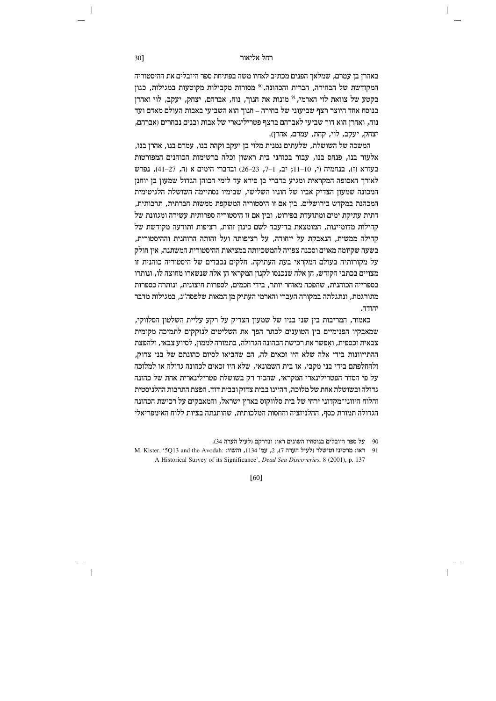באהרן בן עמרם, שמלאך הפנים מכתיב לאחיו משה בפתיחת ספר היובלים את ההיסטוריה המקודשת של הבחירה, הברית והכהונה.<sup>90</sup> מסורות מקבילות מקוטעות במגילות, כגון בקטע של צוואת לוי הארמי, <sup>91</sup> מונות את חנוך, נוח, אברהם, יצחק, יעקב, לוי ואהרן בנוסח אחד היוצר רצף שביעוני של בחירה – חנוך הוא השביעי באבות העולם מאדם ועד נוח, ואהרן הוא דור שביעי לאברהם ברצף פטרילינארי של אבות ובנים נבחרים (אברהם, יצחק, יעקב, לוי, קהת, עמרם, אהרן).

המשכה של השושלת, שלעתים נמנית מלוי בן יעקב וקהת בנו, עמרם בנו, אהרן בנו, אלעזר בנו. פנחס בנו, עבור בכוהני בית ראשוז וכלה ברשימות הכוהנים המפורטות בעזרא (ז), בנחמיה (י, 10-11; יב, 1-7, 23-26) ובדברי הימים א (ה, 27-41), נפרש לאורך האסופה המקראית ומגיע בדברי בן סירא עד לימי הכוהן הגדול שמעון בן יוחנן המכונה שמעון הצדיק אביו של חוניו השלישי, שבימיו נסתיימה השושלת הלגיטימית המכהנת במקדש בירושלים. בין אם זו היסטוריה המשקפת ממשות חברתית, תרבותית, דתית עתיקת ימים ומתועדת בפירוט. וביז אם זו היסטוריה ספרותית עשירה ומגוונת של קהילות מדומיינות, המומצאת בדיעבד לשם כינון זהות, רציפות ותודעה מקודשת של קהילה ממשית, הנאבקת על ייחודה, על רציפותה ועל זהותה הרוחנית וההיסטורית, בשעה שקיומה מאוים וסכנה צפויה להמשכיותה במציאות ההיסטורית המשתנה, אין חולק על מקורותיה בעולם המקראי בעת העתיקה. חלקים נכבדים של היסטוריה כוהנית זו מצויים בכתבי הקודש. הו אלה שנכנסו לקנוז המקראי הז אלה שנשארו מחוצה לו. ונותרו בספרייה הכוהנית, שהפכה מאוחר יותר, בידי חכמים, לספרות חיצונית, ונותרה כספרות מתורגמת, ונתגלתה במקורה העברי והארמי העתיק מן המאות שלפסה״נ, במגילות מדבר יהודה.

כאמור, המריבות בין שני בניו של שמעון הצדיק על רקע עליית השלטון הסלווקי, שמאבקיו הפנימיים בין הטוענים לכתר הפך את השליטים לנזקקים לתמיכה מקומית צבאית וכספית, ואפשר את רכישת הכהונה הגדולה, בתמורה לממון, לסיוע צבאי, ולהפצת ההתייוונות בידי אלה שלא היו זכאים לה, הם שהביאו לסיום כהונתם של בני צדוק, ולהחלפתם בידי בני מקבי, או בית חשמונאי, שלא היו זכאים לכהונה גדולה או למלוכה על פי הסדר הפטרילינארי המקראי, שהכיר רק בשושלת פטרילינארית אחת של כהונה גדולה ובשושלת אחת של מלוכה. דהיינו בבית צדוק ובבית דוד. הפצת התרבות ההלניסטית והלוח היווני־מקדוני ירחי של בית סלווקוס בארץ ישראל, והמאבקים על רכישת הכהונה הגדולה תמורת כסף, ההלניזציה והחסות המלכותית, שהותנתה בציות ללוח האימפריאלי

 $F601$ 

30]

<sup>90</sup> על ספר היובלים בנוסחיו השונים ראו: ונדרקם (לעיל הערה 34).

<sup>91 –</sup> ראו: מרטינז וטישלר (לעיל הערה 7), 2, עמ' 1134, והשוו: :M. Kister, '5Q13 and the Avodah A Historical Survey of its Significance', Dead Sea Discoveries, 8 (2001), p. 137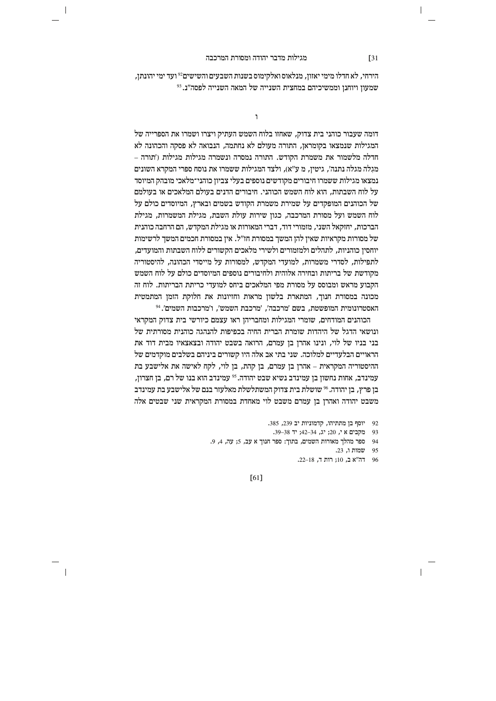$\overline{\phantom{a}}$ 

הירחי, לא חדלו מימי יאזון, מנלאוס ואלקימוס בשנות השבעים והשישים<sup>92</sup> ועד ימי יהונתן, שמעון ויוחנן וממשיכיהם במחצית השנייה של המאה השנייה לפסה"ג. <sup>93</sup>

 $\mathbf{1}$ 

דומה שעבור כוהני בית צדוק, שאחזו בלוח השמש העתיק ויצרו ושמרו את הספרייה של המגילות שנמצאו בקומראן, התורה מעולם לא נחתמה, הנבואה לא פסקה והכהונה לא חדלה מלשמור את משמרת הקודש. התורה נמסרה ונשמרה מגילות מגילות ('תורה – מגְלֹה מגלה נתנה׳, גיטין, מ ע׳׳א), ולצד המגילות ששמרו את נוסח ספרי המקרא השונים נמצאו מגילות ששמרו חיבורים מקודשים נוספים בעלי צביון כוהני־מלאכי מובהק המיוסד על לוח השבתות, הוא לוח השמש הכוהני. חיבורים הדנים בעולם המלאכים או בעולמם של הכוהנים המופקדים על שמירת משמרת הקודש בשמים ובארץ, המיוסדים כולם על לוח השמש ועל מסורת המרכבה, כגוז שירות עולת השבת. מגילת המשמרות. מגילת הברכות. יחזקאל השני. מזמורי דוד. דברי המאורות או מגילת המקדש. הם הרחבה כוהנית של מסורות מקראיות שאין להן המשך במסורת חז"ל. אין במסורת חכמים המשך לרשימות יוחסין כוהניות, לתהלים ולמזמורים ולשירי מלאכים הקשורים ללוח השבתות והמועדים, לתפילות. לסדרי משמרות. למועדי המקדש. למסורות על מייסדי הכהונה. להיסטוריה מקודשת של בריתות ובחירה אלוהית ולחיבורים נוספים המיוסדים כולם על לוח השמש הקבוע מראש ומבוסס על מסורת מפי המלאכים ביחס למועדי כריתת הבריתות. לוח זה מכונה במסורת חנוך, המתארת בלשון מראות וחזיונות את חלוקת הזמן המתמטית  $^{94}$ האסטרונומית המופשטת, בשם 'מרכבה', 'מרכבת השמש', ו'מרכבות השמים'.

הכוהנים המודחים, שומרי המגילות ומחבריהן ראו עצמם כיורשי בית צדוק המקראי ונושאי הדגל של היהדות שומרת הברית החיה בכפיפות להנהגה כוהנית מסורתית של בני בניו של לוי, ונינו אהרן בן עמרם, הרואה בשבט יהודה ובצאצאיו מבית דוד את הראויים הבלעדיים למלוכה. שני בתי אב אלה היו קשורים ביניהם בשלבים מוקדמים של ההיסטוריה המקראית – אהרן בן עמרם, בן קהת, בן לוי, לקח לאישה את אלישבע בת , עמינדב, אחות נחשון בן עמינדב נשיא שבט יהודה. <sup>95</sup> עמינדב הוא בנו של רם, בן חצרון בז פרץ. בז יהודה. 3⁄8 שושלת בית צדוק המשתלשלת מאלעזר בנם של אלישבע בת עמינדב משבט יהודה ואהרן בן עמרם משבט לוי מאחדת במסורת המקראית שני שבטים אלה

92 יוסף בן מתתיהו, קדמוניות יב 239, 385.

- 93 מקבים אי, 20; יג, 34–42; יד 38–39.
- 94 ספר מהלך מאורות השמים, בתוך: ספר חנוך א עב, 5; עה, 4, 9.
	- 95 שמות ו, 23.
	- 96 רה"א ב, 10; רות ד, 18–22.

 $F611$ 

 $\sqrt{31}$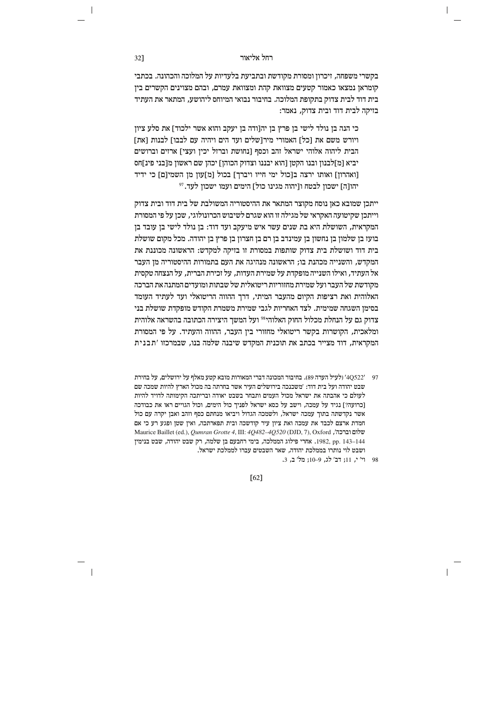בקשרי משפחה, זיכרון ומסורת מקודשת ובתביעת בלעדיות על המלוכה והכהונה. בכתבי קומראן נמצאו כאמור קטעים מצוואת קהת ומצוואת עמרם, ובהם מצוינים הקשרים בין בית דוד לבית צדוק בתקופת המלוכה. בחיבור נבואי המיוחס ליהושע, המתאר את העתיד בזיקה לבית דוד ובית צדוק, נאמר:

כי הנה בן נולד לישי בן פרץ בן יה[ודה בן יעקב והוא אשר ילכוד] את סלע ציון ויורש משם את וכל] האמורי מירושלים ועד הים ויהיה עם לבבו] לבנות ואת] הבית ליהוה אלוהי ישראל זהב וכסף [נחושת וברזל יכין ועצי] ארזים וברושים יביא [מ]לבנון ובנו הקטן [הוא יבננו וצדוק הכוהן] יכהן שם ראשון מ[בני פינ]חס [ואהרון] ואותו ירצה ב[כול ימי חייו ויברך] בכול [מ]עון מן השמי[ם] כי ידיד יהו[ה] ישכון לבטח ו[יהוה מגינו כול] הימים ועמו ישכון לעד.<sup>97</sup>

ייתכן שמובא כאן נוסח מקוצר המתאר את ההיסטוריה המשולבת של בית דוד ובית צדוק וייתכו שקיטועה האקראי של מגילה זו הוא שגרם לשיבוש הכרונולוגי. שכו על פי המסורת המקראית, השושלת היא בת שנים עשר איש מיעקב ועד דוד: בן נולד לישי בן עובד בן בועז בן שלמון בן נחשון בן עמינדב בן רם בן חצרון בן פרץ בן יהודה. מכל מקום שושלת בית דוד ושושלת בית צדוק שותפות במסורת זו בזיקה למקדש: הראשונה מכוננת את המקדש. והשנייה מכהנת בו: הראשונה מנהיגה את העם בתמורות ההיסטוריה מז העבר אל העתיד, ואילו השנייה מופקדת על שמירת העדות, על וכירת הברית, על הנצחה טקסית מקודשת של העבר ועל שמירת מחזוריות ריטואלית של שבתות ומועדים המתנה את הברכה האלוהית ואת רציפות הקיום מהעבר המיתי, דרך ההווה הריטואלי ועד לעתיד העומד בסימן השגחה שמימית. לצד האחריות לגבי שמירת משמרת הקודש מופקדת שושלת בני צדוק גם על הנחלת מכלול החוק האלוהי<sup>98</sup> ועל המשך היצירה הכתובה בהשראה אלוהית ומלאכית, הקושרות בקשר ריטואלי מחזורי בין העבר, ההווה והעתיד. על פי המסורת המקראית, דוד מצייר בכתב את תוכנית המקדש שיבנה שלמה בנו, שבמרכזו 'תבנית

- 97 4Q522′ (לעיל הערה 89). בחיבור המכונה דברי המאורות מובא קטע מאלף על ירושלים, על בחירת שבט יהודה ועל בית דוד: 'משכנכה בירושלים העיר אשר בחרתה בה מכול הארץ להיות שמכה שם לעולם כי אהבתה את ישראל מכול העמים ותבחר בשבט יאודה ובריתכה הקימותה לדויד להיות [כרועה?] נגיד על עמכה, וישב על כסא ישראל לפניך כול הימים, וכול הגויים ראו את כבודכה אשר נקדשתה בתוך עמכה ישראל, ולשמכה הגדול ויביאו מנחתם כסף וזהב ואבן יקרה עם כול חמדת ארצם לכבד את עמכה ואת ציון עיר קודשכה ובית תפארתכה, ואין שטן ופגע רע כי אם Maurice Baillet (ed.), Qumran Grotte 4, III: 4Q482-4Q520 (DJD, 7), Oxford , 143–144. 1982, pp. 143–144 פילוג הממלכה, בימי רחבעם בן שלמה, רק שבט יהודה, שבט בנימין ושבט לוי נותרו בממלכת יהודה, שאר השבטים עברו לממלכת ישראל.
	- 98 וי' י, 11; דב' לג, 9–10; מל' ב, 3.

 $[62]$ 

32]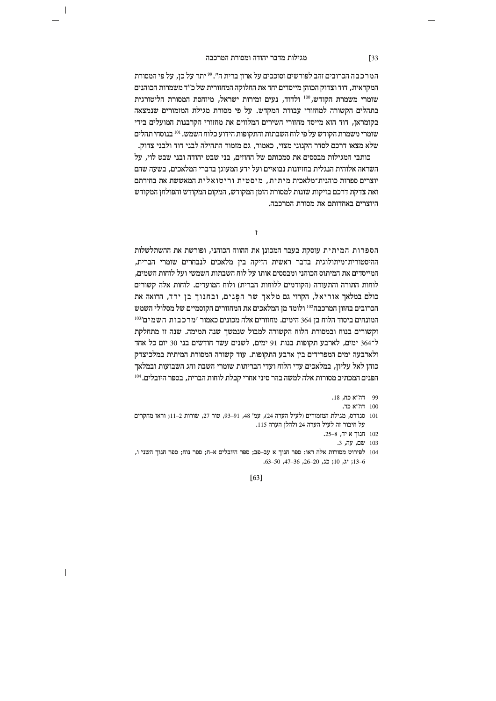$\overline{\phantom{a}}$ 

המרכבה הכרובים זהב לפורשים וסוככים על ארון ברית ה". <sup>99</sup> יתר על כן, על פי המסורת המקראית, דוד וצדוק הכוהן מייסדים יחד את החלוקה המחזורית של כ״ד משמרות הכוהנים שומרי משמרת הקודש.<sup>100</sup> ולדוד, נעים זמירות ישראל, מיוחסת המסורת הליטורגית בתהלים הקשורה למחזורי עבודת המקדש. על פי מסורת מגילת המזמורים שנמצאה בקומראז. דוד הוא מייסד מחזורי השירים המלווים את מחזורי הקרבנות המועלים בידי שומרי משמרת הקודש על פי לוח השבתות והתקופות הידוע כלוח השמש. <sup>101</sup> בנוסחי תהלים שלא מצאו דרכם לסדר הקנוני מצוי, כאמור, גם מזמור התהילה לבני דוד ולבני צדוק.

כותבי המגילות מבססים את סמכותם של החוזים. בני שבט יהודה ובני שבט לוי. על השראה אלוהית הנגלית בחזיונות נבואיים ועל ידע המעוגן בדברי המלאכים, בשעה שהם יוצרים ספרות כוהנית־מלאכית מיתית. מיסטית וריטואלית המאששת את בחירתם ואת צדקת דרכם בזיקות שונות למסורת הזמן המקודש, המקום המקודש והפולחן המקודש היוצרים באחדותם את מסורת המרכבה.

f

הספרות המיתית עוסקת בעבר המכונן את ההווה הכוהני, ופורשת את ההשתלשלות ההיסטורית־מיתולוגית בדבר ראשית הזיקה בין מלאכים לנבחרים שומרי הברית, המייסדים את המיתוס הכוהני ומבססים אותו על לוח השבתות השמשי ועל לוחות השמים. לוחות התורה והתעודה (הקודמים ללוחות הברית) ולוח המועדים. לוחות אלה קשורים כולם במלאך אוריאל, הקרוי גם מלאך שר הפנים, ובחנוך בן ירד, הרואה את הכרובים בחזון המרכבה<sup>102</sup> ולומד מן המלאכים את המחזורים הקוסמיים של מסלולי השמש  $^{103}$ המונחים ביסוד הלוח בו 364 הימים. מחזורים אלה מכונים כאמור 'מרכבות השמים' וקשורים בנוח ובמסורת הלוח הקשורה למבול שנמשך שנה תמימה. שנה זו מתחלקת ל־364 ימים, לארבע תקופות בנות 91 ימים, לשנים עשר חודשים בני 30 יום כל אחד ולארבעה ימים המפרידים בין ארבע התקופות. עוד קשורה המסורת המיתית במלכיצדק כוהן לאל עליון, במלאכים עדי הלוח ועדי הבריתות שומרי השבת וחג השבועות ובמלאך  $^{104}$  הפנים המכתיב מסורות אלה למשה בהר סיני אחרי קבלת לוחות הברית. בספר היובלים. $^{\rm 104}$ 

- 99 <sup>דה"א כח, 18.</sup>
	- 100 הה"א כד.
- 101 סנדרס, מגילת המזמורים (לעיל הערה 24), עמ' 48, 91–93, טור 27, שורות 2-11; וראו מחקרים . על חיבור זה לעיל הערה 24 ולהלז הערה 115
	- 102 תנוך א יד,  $8-8$ .
		- 103 שם, עה, 3.
- 104 לפירוט מסורות אלה ראו: ספר חנוך א עב–פב; ספר היובלים א–ח; ספר נוח; ספר חנוך השני ו, 13−6; יג, 10; כג, 20–26, 36–47, 50–63.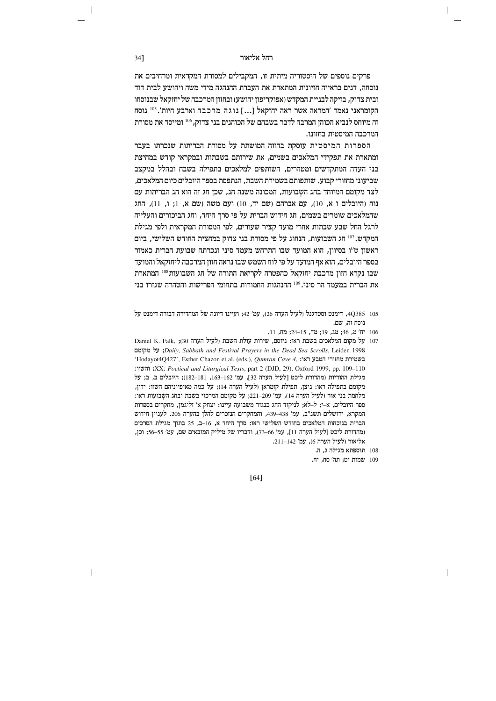פרקים נוספים של היסטוריה מיתית זו, המקבילים למסורת המקראית ומרחיבים את נוסחה, דנים בראייה חזיונית המתארת את העברת ההנהגה מידי משה ויהושע לבית דוד ובית צדוק, בזיקה לבניית המקדש (אפוקריפון יהושע) ובחזון המרכבה של יחזקאל שבנוסחו הקומראני נאמר 'המראה אשר ראה יחזקאל [...] נוגה מרכבה וארבע חיות'. <sup>105</sup> נוסח זה מיוחס לנביא הכוהו המרבה לדבר בשבחם של הכוהנים בני צדוק. 106 ומייסד את מסורת המרכבה המיסטית בחזונו.

הספרות המיסטית עוסקת בהווה המושתת על מסורת הבריתות שנכרתו בעבר ומתארת את תפקידי המלאכים בשמים. את שירותם בשבתות ובמקראי קודש במחיצת בני העדה המתקדשים ומטהרים, השותפים למלאכים בתפילה בשבח ובהלל במקצב שביעוני מחזורי קבוע. שותפותם בשמירת השבת, הנתפסת בספר היובלים כיום המלאכים, לצד מקומם המיוחד בחג השבועות, המכונה משנה חג, שכן חג זה הוא חג הבריתות עם נוח (היובלים ו א, 10), עם אברהם (שם יד, 10) ועם משה (שם א, 1; ו, 11), החג שהמלאכים שומרים בשמים. חג חידוש הברית על פי סרד היחד. וחג הביכורים והעלייה לרגל החל שבע שבתות אחרי מועד קציר שעורים, לפי המסורת המקראית ולפי מגילת המקדש.<sup>107</sup> חג השבועות, הנחוג על פי מסורת בני צדוק במחצית החודש השלישי, ביום ראשון ט"ו בסיוון, הוא המועד שבו התרחש מעמד סיני ונכרתה שבועת הברית כאמור בספר היובלים. הוא אף המועד על פי לוח השמש שבו נראה חזוז המרכבה ליחזקאל והמועד שבו נקרא חזוז מרכבת יחזקאל כהפטרה לקריאת התורה של חג השבועות108 המתארת את הברית במעמד הר סיני.<sup>109</sup> ההנהגות החמורות בתחומי הפרישות והטהרה שגזרו בני

- 105 ב-40385, דימנט וסטרגנל (לעיל הערה 26), עמ' 42; ועיינו דיונה של המהדירה דבורה דימנט על נוסח זה. שם.
	- 106 יח' מ, 46; מג, 19; מד, 15–24; מח, 11.
- 107 על מקום המלאכים בשבת ראו: ניוסם, שירות עולת השבת (לעיל הערה 30); Daniel K. Falk, y ;Daily, Sabbath and Festival Prayers in the Dead Sea Scrolls, Leiden 1998; על מקומם 'Hodayot<br/>4Q427', Esther Chazon et al. (eds.),  $Qumran \;Cave \; 4, \; :\!\! \text{Ker} \;$  בשמירת בשמירת ב : והשוו; XX: Poetical and Liturgical Texts, part 2 (DJD, 29), Oxford 1999, pp. 109-110 מגילת ההודיות (מהדורת ליכט [לעיל הערה 32], עמ' 162–163, 181–182); היובלים ב, ב; על מקומם בתפילה ראו: ניצן, תפילת קומראן (לעיל הערה 14); על כמה מאיפיוניהם השוו: ידין, מלחמת בני אור (לעיל הערה 14), עמ' 209–221; על מקומם המרכזי בשבת ובחג השבועות ראו: ספר היובלים, א-י; ל-לא; לניקוד החג כנגזר משבועה עיינו: יצחק א' זליגמן, מחקרים בספרות המקרא, ירושלים תשנ"ב, עמ' 438–439, והמחקרים הנזכרים להלן בהערה 206. לעניין חידוש הברית בנוכחות המלאכים בחודש השלישי ראו: סרך היחד א, 16–ב, 25 בתוך מגילת הסרכים (מהדורת ליכט [לעיל הערה 11], עמ' 66–73), ודבריו של מיליק המובאים שם, עמ' 55–56; וכן, אליאור (לעיל הערה 6), עמ' 11-142.
	- 108 תוספתא מגילה ג, ה.
	- 109 שמות יט; תה' סח, יח.

 $[64]$ 

34]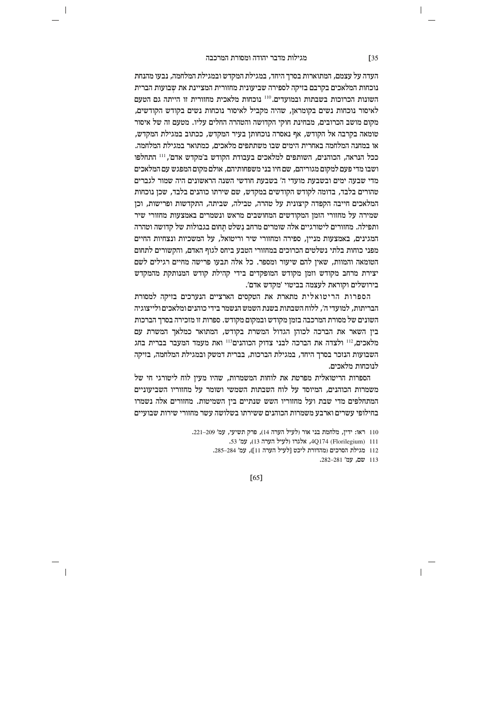$\overline{\phantom{a}}$ 

העדה על עצמם, המתוארות בסרך היחד, במגילת המקדש ובמגילת המלחמה, נבעו מהנחת נוכחות המלאכים בקרבם בזיקה לספירה שביעונית מחזורית המציינת את שבועות הברית השונות הכרוכות בשבתות ובמועדים.<sup>110</sup> נוכחות מלאכית מחזורית זו הייתה גם הטעם לאיסור נוכחות נשים בקומראן, שהיה מקביל לאיסור נוכחות נשים בקודש הקודשים, מקום מושב הכרובים, מבחינת חוקי הקדושה והטהרה החלים עליו. מטעם זה של איסור טומאה בקרבה אל הקודש, אף נאסרה נוכחותן בעיר המקדש, ככתוב במגילת המקדש, או במחנה המלחמה באחרית הימים שבו משתתפים מלאכים, כמתואר במגילת המלחמה. ככל הנראה, הכוהנים, השותפים למלאכים בעבודת הקודש ב'מקדש אדם', <sup>111</sup> התחלפו ושבו מדי פעם למקום מגוריהם, שם חיו בני משפחותיהם, אולם מקום המפגש עם המלאכים מדי שבעה ימים ובשבעת מועדי ה' בשבעת חודשי השנה הראשונים היה שמור לגברים טהורים בלבד, בדומה לקודש הקודשים במקדש, שם שירתו כוהנים בלבד, שכן נוכחות המלאכים חייבה הקפדה קיצונית על טהרה, טבילה, שביתה, התקדשות ופרישות, וכן שמירה על מחזורי הזמז המקודשים המחושבים מראש ונשמרים באמצעות מחזורי שיר ותפילה. מחזורים ליטורגיים אלה שומרים מרחב נשלט תחום בגבולות של קדושה וטהרה המגינים, באמצעות מניין, ספירה ומחזורי שיר וריטואל, על המשכיות ונצחיות החיים מפני כוחות בלתי נשלטים הכרוכים במחזורי הטבע ביחס לגוף האדם, והקשורים לתחום הטומאה והמוות. שאיז להם שיעור ומספר. כל אלה תבעו פרישה מחיים רגילים לשם יצירת מרחב מקודש וזמז מקודש המופקדים בידי קהילת קודש המנותקת מהמקדש בירושלים וקוראת לעצמה בביטוי 'מקדש אדם'.

הספרות הריטואלית מתארת את הטקסים הארציים הנערכים בזיקה למסורת הבריתות, למועדי ה', ללוח השבתות בשנת השמש הנשמר בידי כוהנים ומלאכים ולייצוגיה השונים של מסורת המרכבה בזמן מקודש ובמקום מקודש. ספרות זו מזכירה בסרך הברכות בין השאר את הברכה לכוהן הגדול המשרת בקודש, המתואר כמלאך המשרת עם מלאכים, 112 ולצדה את הברכה לבני צדוק הכוהנים 113 ואת מעמד המעבר בברית בחג השבועות הנזכר בסרך היחד, במגילת הברכות, בברית דמשק ובמגילת המלחמה, בזיקה לנוכחות מלאכים.

הספרות הריטואלית מפרטת את לוחות המשמרות, שהיו מעין לוח ליטורגי חי של משמרות הכוהנים. המיוסד על לוח השבתות השמשי ושומר על מחזוריו השביעוניים המתחלפים מדי שבת ועל מחזוריו השש שנתיים בין השמיטות. מחזורים אלה נשמרו בחילופי עשרים וארבע משמרות הכוהנים ששירתו בשלושה עשר מחזורי שירות שבועיים

[65]

<sup>110</sup> ראו: ידין, מלחמת בני אור (לעיל הערה 14), פרק תשיעי, עמ' 209–221.

<sup>111 (</sup>Florilegium) 4Q174 (Florilegium) 13, עמ' 53

<sup>112</sup> מגילת הסרכים (מהדורת ליכט [לעיל הערה 11]), עמ' 284–285.

<sup>113</sup> שם, עמ' 281–282.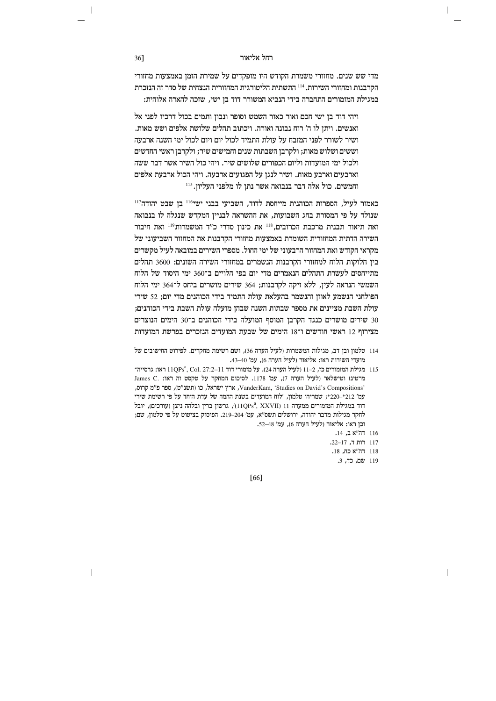מדי שש שנים. מחזורי משמרת הקודש היו מופקדים על שמירת הזמן באמצעות מחזורי הקרבנות ומחזורי השירות. 114 התשתית הליטורגית המחזורית הנצחית של סדר זה הנזכרת במגילת המזמורים התחברה בידי הנביא המשורר דוד בז ישי. שזכה להארה אלוהית:

ויהי דוד בן ישי חכם ואור כאור השמש וסופר ונבון ותמים בכול דרכיו לפני אל ואנשים. ויתן לו ה' רוח נבונה ואורה. ויכתוב תהלים שלושת אלפים ושש מאות. ושיר לשורר לפני המזבח על עולת התמיד לכול יום ויום לכול ימי השנה ארבעה וששים ושלוש מאות; ולקרבן השבתות שנים וחמישים שיר; ולקרבן ראשי החדשים ולכול ימי המועדות וליום הכפורים שלושים שיר. ויהי כול השיר אשר דבר ששה וארבעים וארבע מאות. ושיר לנגן על הפגועים ארבעה. ויהי הכול ארבעת אלפים וחמשים. כול אלה דבר בנבואה אשר נתן לו מלפני העליוז.<sup>115</sup>

כאמור לעיל, הספרות הכוהנית מייחסת לדוד, השביעי בבני ישי<sup>116</sup> בן שבט יהודה<sup>117</sup> שנולד על פי המסורת בחג השבועות. את ההשראה לבנייז המקדש שנגלה לו בנבואה ואת תיאור תבנית מרכבת הכרובים, <sup>118</sup> את כינון סדרי כ"ד המשמרות<sup>119</sup> ואת חיבור השירה הדתית המחזורית השומרת באמצעות מחזורי הקרבנות את המחזור השביעוני של מקראי הקודש ואת המחזור הרבעוני של ימי החול. מספרי השירים במובאה לעיל מקשרים ביו חלוקות הלוח למחזורי הקרבנות הנשמרים במחזורי השירה השונים: 3600 תהלים מתייחסים לעשרת התהלים הנאמרים מדי יום בפי הלויים ב־360 ימי היסוד של הלוח השמשי הנראה לעין, ללא זיקה לקרבנות; 364 שירים מושרים ביחס ל־364 ימי הלוח הפולחני הנשמע לאוזן והנשמר בהעלאת עולת התמיד בידי הכוהנים מדי יום; 52 שירי עולת השבת מציינים את מספר שבתות השנה שבהן מועלה עולת השבת בידי הכוהנים; 30 שירים מושרים כנגד הקרבן המוסף המועלה בידי הכוהנים ב־30 הימים הנוצרים מצירוף 12 ראשי חודשים ו־18 הימים של שבעת המועדים הנזכרים בפרשת המועדות

- 114 טלמון ובן דב, מגילות המשמרות (לעיל הערה 36), ושם רשימת מחקרים. לפירוט החישובים של מועדי השירות ראו: אליאור (לעיל הערה 6), עמ' 40–43.
- ראו: גרסייה־ 115 מגילת המזמורים כז, 11–11<br/>(לעיל הערה 24). על מזמורי דוד 11QPsª, Col. 27:2–11 ולעיל ה נורטינז וטישלאר (לעיל הערה 7), עמ' 1178. לסיכום המחקר על טקסט זה ראו: .James C , ספר פ"מ קרוס, VanderKam, 'Studies on David's Compositions', ארץ ישראל, כו (תשנ"ט), ספר פ"מ קרוס, עמ' 212\*-220\*; שמריהו טלמון, 'לוח המועדים בשנת החמה של עדת היחד על פי רשימת שירי יובל (עורכים), ובלהה ניצן (11QPs<sup>a</sup>, XXVII) ודוד במגילת המזמורים ממערה 11 (11QPs<sup>a</sup>, XXVII) לחקר מגילות מדבר יהודה, ירושלים תשס"א, עמ' 204–219. הפיסוק בציטוט על פי טלמון, שם; וכן ראו: אליאור (לעיל הערה 6), עמ' 48–52.
	- 116 דה"א ב, 14.
	- 117 רות ד, 17–22.
	- 118 הה"א כח, 18. 119 שם, כד, 3.
	-

[66]

36]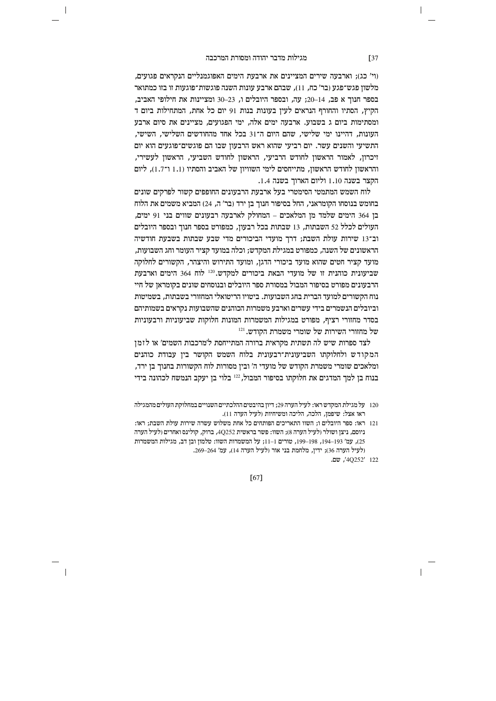$\overline{\phantom{a}}$ 

(וי' כג); וארבעה שירים המציינים את ארבעת הימים האפוגמנליים הנקראים פגועים, מלשון פגש־פגע (בר׳ כח, 11), שבהם ארבע עונות השנה פוגשות־פוגעות זו בזו כמתואר בספר חנור א פב. 14–20: עה, ובספר היובלים ו, 23–30 ומציינות את חילופי האביב. הקיץ, הסתיו והחורף הנראים לעין בעונות בנות 91 יום כל אחת, המתחילות ביום ד ומסתימות ביום ג בשבוע. ארבעה ימים אלה, ימי הפגועים, מציינים את סיום ארבע העונות. דהיינו ימי שלישי. שהם היום ה־31 בכל אחד מהחודשים השלישי. השישי. התשיעי והשנים עשר. יום רביעי שהוא ראש הרבעון שבו הם פוגשים־פוגעים הוא יום זיכרון, לאמור הראשון לחודש הרביעי, הראשון לחודש השביעי, הראשון לעשירי, והראשון לחודש הראשון, מתייחסים לימי השוויון של האביב והסתיו (1.1 ו־1.7), ליום הקצר בשנה 1.10 וליום הארוך בשנה 1.4.

לוח השמש המתמטי הסימטרי בעל ארבעת הרבעונים החופפים קשור לפרקים שונים בחומש בנוסחו הקומראני, החל בסיפור חנוך בן ירד (בר' ה, 24) המביא משמים את הלוח בו 364 הימים שלמד מז המלאכים – המחולק לארבעה רבעונים שווים בני 91 ימים. העולים לכלל 52 השבתות, 13 שבתות בכל רבעון, כמפורט בספר חנוך ובספר היובלים וב־13 שירות עולת השבת; דרך מועדי הביכורים מדי שבע שבתות בשבעת חודשיה הראשונים של השנה, כמפורט במגילת המקדש; וכלה במועד קציר העומר וחג השבועות, מועד קציר חטים שהוא מועד ביכורי הדגז. ומועד התירוש והיצהר. הקשורים לחלוקה שביעונית כוהנית זו של מועדי הבאת ביכורים למקדש.<sup>120</sup> לוח 364 הימים וארבעת הרבעונים מפורט בסיפור המבול במסורת ספר היובלים ובנוסחים שונים בקומראן של חיי נוח הקשורים למועד הברית בחג השבועות. ביטויו הריטואלי המחזורי בשבתות, בשמיטות וביובלים הנשמרים בידי עשרים וארבע משמרות הכוהנים שהשבועות נקראים בשמותיהם בסדר מחזורי רציף, מפורט במגילות המשמרות המונות חלוקות שביעוניות ורבעוניות  $^{121}.$ הקודש. השירות של שומרי משמרת ה

לצד ספרות שיש לה תשתית מקראית ברורה המתייחסת ל'מרכבות השמים' או לזמן המקודש ולחלוקתו השביעונית־רבעונית בלוח השמש הקושר בין עבודת כוהנים ומלאכים שומרי משמרת הקודש של מועדי ה' ובין מסורות לוח הקשורות בחנוך בן ירד, בנוח בן למך המדגים את חלוקתו בסיפור המבול, 122 בלוי בן יעקב הנמשח לכהונה בידי

- 120 על מגילת המקדש ראו: לעיל הערה 29; דיון בהיבטים ההלכתיים השנויים במחלוקת העולים מהמגילה ראו אצל: שיפמן, הלכה, הליכה ומשיחיות (לעיל הערה 11).
- 121 ראו: ספר היובלים ו; השוו התאריכים הפותחים כל אחת משלוש עשרה שירות עולת השבת; ראו: ניוסם, ניצן ושולר (לעיל הערה 8); השוו: פשר בראשית 4Q252, ברוק, קולינס ואחרים (לעיל הערה 25), עמ' 193–194, 198–199, טורים 1–11; על המשמרות השוו: טלמון ובן דב, מגילות המשמרות (לעיל הערה 36); ידין, מלחמת בני אור (לעיל הערה 14), עמ' 264–269.

122 '40252'. שם.

 $[67]$ 

 $\sqrt{37}$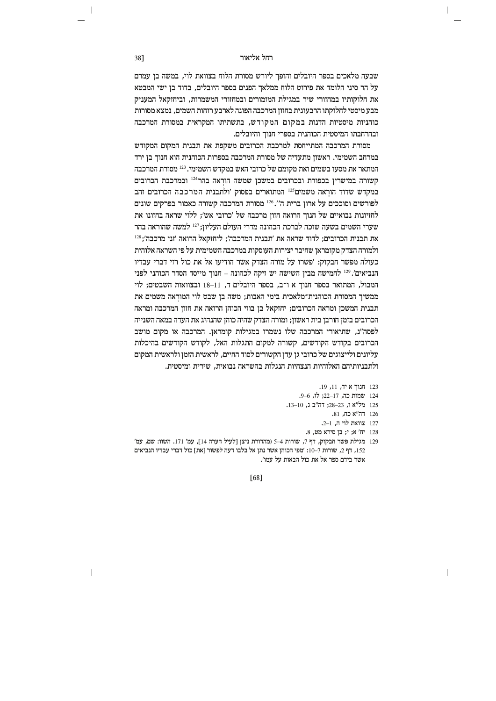# וועל אליאור האליאור האליאור הא

שבעה מלאכים בספר היובלים והופך ליורש מסורת הלוח בצוואת לוי, במשה בן עמרם  $\alpha$ על הר סיני הלומד את פירוט הלוח ממלאך הפנים בספר היובלים, בדוד בן ישי המבטא את חלוקותיו במחזורי שיר במגילת המזמורים ובמחזורי המשמרות, וביחזקאל המעניק מבע מיסטי לחלוקתו הרבעונית בחזון המרכבה הפונה לארבע רוחות השמים, נמצא מסורות כוהגיות מיסטיות הדנות במקום המקודש, בתשתיתו המקראית במסורת המרכבה ובהרחבתו המיסטית הכוהנית בספרי חנוך והיובלים.

מסורת המרכבה המתייחסת למרכבת הכרובים משקפת את תבנית המקום המקודש במרחב השמימי. ראשוו מתעדיה של מסורת המרכבה בספרות הכוהנית הוא חנור בז ירד המתאר את מסעו בשמים ואת מקומם של כרובי האש במקדש השמימי. <sup>123</sup> מסורת המרכבה  $5$ קשורה במישרין בכפורת ובכרובים במשכן שמשה הוראה בהר $^{124}$  ובמרכבת הכרובים במקדש שדוד הוראה משמים<sup>125</sup> המתוארים בפסוק 'ולתבנית המרכבה הכרובים זהב לפורשים וסוככים על ארון ברית ה'<sup>126</sup> מסורת המרכבה קשורה כאמור בפרקים שונים לחזיונות נבואיים של חנור הרואה חזוז מרכבה של ׳כרובי אש׳: ללוי שראה בחזונו את שערי השמים בשעה שזכה לברכת הכהונה מדרי העולם העליוז: <sup>127</sup> למשה שהוראה בהר 128  $\cdot$ את תבנית הכרובים: לדוד שראה את ׳תבנית המרכבה׳: ליחזקאל הרואה ׳זני מרכבה׳: ולמורה הצדק מקומראן שחיבר יצירות העוסקות במרכבה השמימית על פי השראה אלוהית בעולה מפשר חבקוק: 'פשרו על מורה הצדק אשר הודיעו אל את כול רזי דברי עבדיו הנביאים'.<sup>129</sup> לחמישה מביו השישה יש זיקה לכהונה – חנור מייסד הסדר הכוהני לפני המבול, המתואר בספר חנוך א ו־ב, בספר היובלים ד, 11–18 ובצוואות השבטים; לוי  $\alpha$ ממשיך המסורת הכוהנית־מלאכית בימי האבות; משה בן שבט לוי המוראה משמים את תבנית המשכן ומראה הכרובים; יחזקאל בן בוזי הכוהן הרואה את חזון המרכבה ומראה הכרובים בזמן חורבן בית ראשון; ומורה הצדק שהיה כוהן שהנהיג את העדה במאה השנייה לפסה"נ, שתיאורי המרכבה שלו נשמרו במגילות קומראן. המרכבה או מקום מושב הכרובים בקודש הקודשים, קשורה למקום התגלות האל, לקודש הקודשים בהיכלות  $n$ עליונים ולייצוגים של כרובי גן עדן הקשורים לסוד החיים, לראשית הזמן ולראשית המקום ולתבניותיהם האלוהיות הנצחיות הנגלות בהשראה נבואית. שירית ומיסטית.

- 123 חנוך איד, 11, 19.
- 124 שמות כה, 17-22; לז, 6-9.
- 125 מל"א ו. 23–28: דה"ב ג. 10–13.
	- 126 הה"א כח, 81.
	- 127 צוואת לוי ה, 1–2.
	- ו יח' א; י; בן סירא מט, 8.
- 129 מגילת פשר חבקוק, דף 7, שורות 4–5 (מהדורת ניצן [לעיל הערה 14], עמ' 171. השוו: שם, עמ' 152, דף 2, שורות 7–10: 'מפי הכוהן אשר נתן אל בלבו דעה לפשור [את] כול דברי עבדיו הנביאים אשר בידם ספר אל את כול הבאות על עמו'.

[68]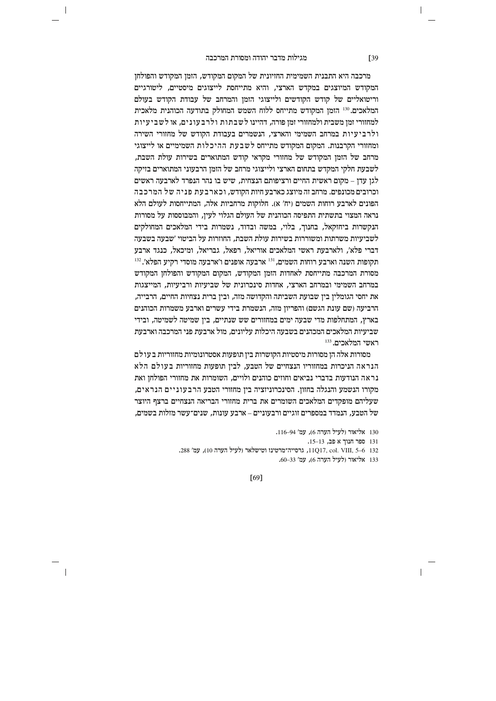$\overline{\phantom{a}}$ 

מרכבה היא התבנית השמימית החזיונית של המקום המקודש, הזמן המקודש והפולחן המקודש המיוצגים במקדש הארצי, והיא מתייחסת לייצוגים מיסטיים, ליטורגיים וריטואליים של קודש הקודשים ולייצוגי הזמז והמרחב של עבודת הקודש בעולם המלאכים.<sup>130</sup> הומן המקודש מתייחס ללוח השמש המחולק בתודעה הכוהנית מלאכית למחזורי זמן משבית ולמחזורי זמן פורה, דהיינו לשבתות ולרבעונים, או לשביעיות ולרביעיות במרחב השמימי והארצי. הנשמרים בעבודת הקודש של מחזורי השירה ומחזורי הקרבנות. המקום המקודש מתייחס לשבעת ההיכלות השמימיים או לייצוגי מרחב של הזמז המקודש של מחזורי מקראי קודש המתוארים בשירות עולת השבת. לשבעת חלקי המקדש בתחום הארצי ולייצוגי מרחב של הזמן הרבעוני המתוארים בזיקה  $\tau$ לגן עדן – מקום ראשית החיים ורציפותם הנצחית, שיש בו נהר הנפרד לארבעה ראשים וכרובים מכונפים. מרחב זה מיוצג כארבע חיות הקודש, וכארבעת פניה של המרכבה הפונים לארבע רוחות השמים (יח' א). חלוקות מרחביות אלה, המתייחסות לעולם הלא נראה המצוי בתשתית התפיסה הכוהנית של העולם הגלוי לעיז. והמבוססות על מסורות הנקשרות ביחזקאל, בחנוך, בלוי, במשה ובדוד, נשמרות בידי המלאכים המחולקים לשביעיות משרתות ומשוררות בשירות עולת השבת. החוזרות על הביטוי 'שבעה בשבעה דברי פלא', ולארבעת ראשי המלאכים אוריאל, רפאל, גבריאל, ומיכאל, כנגד ארבע  $^{132}.{\rm 'X}$ תקופות השנה וארבע רוחות השמים.  $^{131}$  ארבעה אופנים ו'ארבעה מוסדי רקיע הפלא מסורת המרכבה מתייחסת לאחדות הזמז המקודש. המקום המקודש והפולחז המקודש  $a$ במרחב השמימי ובמרחב הארצי, אחדות סינכרונית של שביעיות ורביעיות, המייצגות את יחסי הגומלין בין שבועת השביתה והקדושה מזה, ובין ברית נצחיות החיים, הרבייה, הרביעה (שם עונת הגשם) והפריון מזה, הנשמרת בידי עשרים וארבע משמרות הכוהנים בארץ, המתחלפות מדי שבעה ימים במחזורים שש שנתיים, בין שמיטה לשמיטה, ובידי שביעיות המלאכים המכהנים בשבעה היכלות עליונים. מול ארבעת פני המרכבה וארבעת  $133$  ראשי המלאכים.

מסורות אלה הן מסורות מיסטיות הקושרות בין תופעות אסטרונומיות מחזוריות בעולם הנראה הניכרות במחזוריו הנצחיים של הטבע, לבין תופעות מחזוריות בעולם הלא  $\alpha$ נראה הנודעות בדברי נביאים וחוזים כוהנים ולויים, השומרות את מחזורי הפולחן ואת מקורו הנשמע והנגלה בחזוז. הסינכרוניזציה ביז מחזורי הטבע הרבעוניים הנראים. שעליהם מופקדים המלאכים השומרים את ברית מחזורי הבריאה הנצחיים ברצף היוצר של הטבע, הנמדד במספרים זוגיים ורבעוניים – ארבע עונות, שנים־עשר מזלות בשמים,

130 אליאור (לעיל הערה 6), עמ' 94–116.

131 ספר חנוך א פב, 13–15.

132 6–5 ,11017, col VIII, גרסייה־מרטינז וטישלאר (לעיל הערה 10), עמ' 288.

133 אליאור (לעיל הערה 6), עמ' 33–60.

[69]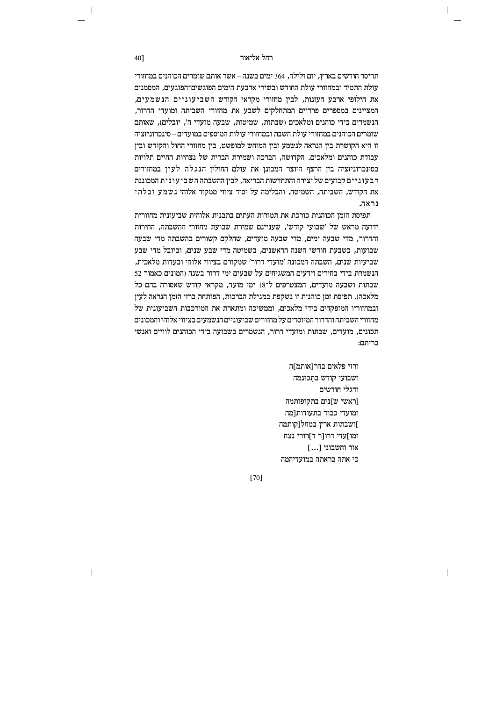תריסר חודשים בארץ, יום ולילה, 364 ימים בשנה – אשר אותם שומרים הכוהגים במחזורי עולת התמיד ובמחזורי עולת החודש ובשירי ארבעת הימים הפוגשים־הפוגעים, המסמנים את חילופי ארבע העונות. לביו מחזורי מקראי הקודש השביעוניים הנשמעים. המציינים במספרים פרדיים המתחלקים לשבע את מחזורי השביתה ומועדי הדרור, הנשמרים בידי כוהנים ומלאכים (שבתות, שמיטות, שבעה מועדי ה', יובלים), שאותם שומרים הכוהגים במחזורי עולת השבת ובמחזורי עולות המוספים במועדים – סינכרוניזציה זו היא הקושרת בין הנראה לנשמע ובין המוחש למופשט, בין מחזורי החול והקודש ובין עבודת כוהנים ומלאכים. הקדושה, הברכה ושמירת הברית של נצחיות החיים תלויות בסינכרוניזציה בין הרצף היוצר המכונן את עולם החולין הנגלה לעין במחזורים רבעוניים קבועים של יצירה והתחדשות הבריאה, לבין ההשבתה השביעונית המכוננת את הקודש, השביתה, השמיטה, והבלימה על יסוד ציווי ממקור אלוהי נשמע ובלתי נראה.

תפיסת הזמז הכוהנית כורכת את תמורות העתים בתבנית אלוהית שביעונית מחזורית ידועה מראש של 'שבועי קודש'. שעניינם שמירת שבועת מחזורי ההשבתה. החירות והדרור, מדי שבעה ימים, מדי שבעה מועדים, שחלקם קשורים בהשבתה מדי שבעה שבועות, בשבעת חודשי השנה הראשנים, בשמיטה מדי שבע שנים, וביובל מדי שבע שביעיות שנים. השבתה המכונה 'מועדי דרור' שמקורם בציווי אלוהי ובעדות מלאכית. הנשמרת בידי בחירים וידעים המשגיחים על שבעים ימי דרור בשנה (המונים כאמור 52 שבתות ושבעה מועדים, המצטרפים ל־18 ימי מועד, מקראי קודש שאסורה בהם כל מלאכה). תפיסת זמן כוהנית זו נשקפת במגילת הברכות, הפותחת ברזי הזמן הנראה לעין ובמחזוריו המופקדים בידי מלאכים, וממשיכה ומתארת את המורכבות השביעונית של מחזורי השביתה והדרור המיוסדים על מחזורים שביעוניים הנשמעים בציווי אלוהי והמכונים תכונים. מועדים. שבתות ומועדי דרור. הנשמרים בשבועה בידי הכוהנים לוויים ואנשי בריתם:

> ורזי פלאים בהר[אותמ]ה ושבועי קודש בתכונמה ודגלי חודשים [ראשי ש]נים בתקופותמה ומועדי כבוד בתעודות[מה ]ושבתות ארץ במחל[קותמה ומו]עדי דרוןר ד]רורי נצח אור וחשבוני [...] כי אתה בראתה במועדיהמה

[70]

40]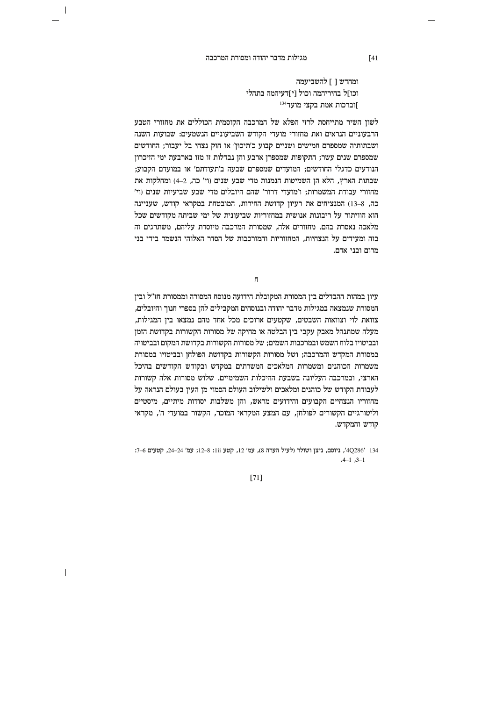$\overline{\phantom{a}}$ 

ומחדש 1 1 להשביעמה וכו]ל בחיריהמה וכול [י]דעיהמה בתהלי וברכות אמת בקצי מועד<sup>134</sup>

לשוז השיר מתייחסת לרזי הפלא של המרכבה הקוסמית הכוללים את מחזורי הטבע הרבעוניים הנראים ואת מחזורי מועדי הקודש השביעוניים הנשמעים: שבועות השנה ושבתותיה שמספרם חמישים ושניים קבוע כ'תיכון' או חוק נצחי בל יעבור; החודשים שמספרם שנים עשר; התקופות שמספרן ארבע והן נבדלות זו מזו בארבעת ימי הזיכרון הנודעים כדגלי החודשים; המועדים שמספרם שבעה ב'תעודתם' או במועדם הקבוע; שבתות הארץ, הלא הן השמיטות הנמנות מדי שבע שנים (וי' כה, 2–4) ומחלקות את מחזורי עבודת המשמרות; ו'מועדי דרור' שהם היובלים מדי שבע שביעיות שנים (וי' כה, 8–13) המנציחים את רעיון קדושת החירות, המובטחת במקראי קודש, שעניינה הוא הוויתור על ריבונות אנושית במחזוריות שביעונית של ימי שביתה מקודשים שכל מלאכה נאסרת בהם. מחזורים אלה. שמסורת המרכבה מיוסדת עליהם. משתרגים זה בזה ומעידים על הנצחיות. המחזוריות והמורכבות של הסדר האלוהי הנשמר בידי בני מרום ובני אדם.

 $\mathbf{a}$ 

עיון במהות ההבדלים בין המסורת המקובלת הידועה מנוסח המסורה וממסורת חז"ל ובין המסורת שנמצאה במגילות מדבר יהודה ובנוסחים המקבילים להן בספרי חנוך והיובלים, צוואת לוי וצוואות השבטים, שקטעים ארוכים מכל אחד מהם נמצאו בין המגילות, מעלה שמתנהל מאבק עקבי בין הבלטה או מחיקה של מסורות הקשורות בקדושת הזמן ובביטויו בלוח השמש ובמרכבות השמים; של מסורות הקשורות בקדושת המקום ובביטויה במסורת המקדש והמרכבה; ושל מסורות הקשורות בקדושת הפולחן ובביטויו במסורת משמרות הכוהנים ומשמרות המלאכים המשרתים במקדש ובקודש הקודשים בהיכל הארצי, ובמרכבה העליונה בשבעת ההיכלות השמימיים. שלוש מסורות אלה קשורות לעבודת הקודש של כוהנים ומלאכים ולשילוב העולם הסמוי מז העיז בעולם הנראה על מחזוריו הנצחיים הקבועים והידועים מראש, והן משלבות יסודות מיתיים, מיסטיים וליטורגיים הקשורים לפולחן, עם המצע המקראי המוכר, הקשור במועדי ה', מקראי קודש והמקדש.

134 /4Q286', ניוסם, ניצן ושולר (לעיל הערה 8), עמ' 12, קטע iii: 8–12; עמ' 24–24, קטעים 6–7:  $-4-1$   $-3-1$ 

 $[71]$ 

 $[41]$ 

 $\overline{\phantom{a}}$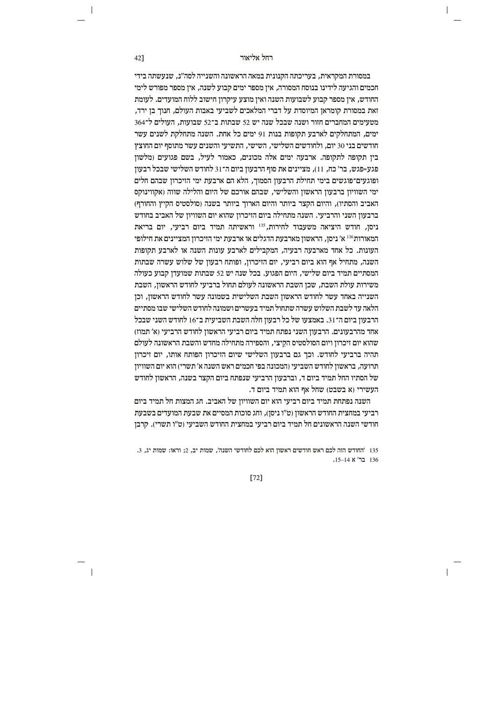במסורת המקראית, בעריכתה הקנונית במאה הראשונה והשנייה לסה״נ, שנעשתה בידי חכמים והגיעה לידינו בנוסח המסורה, אין מספר ימים קבוע לשנה, אין מספר מפורש לימי החודש. איז מספר קבוע לשבועות השנה ואיז מוצע עיקרוז חישוב ללוח המועדים. לעומת זאת במסורת קומראן המיוסדת על דברי המלאכים לשביעי באבות העולם, חנוך בן ירד, מטעימים המחברים חזור ושנה שבכל שנה יש 52 שבתות ב־52 שבועות. העולים ל־364 ימים. המתחלקים לארבע תקופות בנות 91 ימים כל אחת. השנה מתחלקת לשנים עשר חודשים בני 30 יום, ולחודשים השלישי, השישי, התשיעי והשנים עשר מתוסף יום החוצץ ביו תקופה לתקופה. ארבעה ימים אלה מכונים, כאמור לעיל, בשם פגועים ומלשוו פגע=פגש, בר' כח, 11), מציינים את סוף הרבעון ביום ה־31 לחודש השלישי שבכל רבעון ופוגעים־פוגשים בימי תחילת הרבעון הסמוך, הלא הם ארבעת ימי הזיכרון שבהם חלים ימי השוויון ברבעון הראשון והשלישי, שבהם אורכם של היום והלילה שווה (אקווינוקס האביב והסתיו), והיום הקצר ביותר והיום הארוך ביותר בשנה (סולסטיס הקיץ והחורף) ברבעוז השני והרביעי. השנה מתחילה ביום הזיכרוז שהוא יום השוויוז של האביב בחודש ניסו. חודש היציאה משעבוד לחירות.<sup>135</sup> וראשיתה תמיד ביום רביעי. יום בריאת המאורות<sup>136</sup> א' ניסן, הראשון מארבעת הדגלים או ארבעת ימי הזיכרון המציינים את חילופי העונות. כל אחד מארבעה רבעיה, המקבילים לארבע עונות השנה או לארבע תקופות השנה. מתחיל אף הוא ביום רביעי. יום הזיכרוז. ופותח רבעוז של שלוש עשרה שבתות המסתיים תמיד ביום שלישי. היום הפגוע. בכל שנה יש 52 שבתות שמועדו קבוע כעולה משירות עולת השבת, שכן השבת הראשונה לעולם תחול ברביעי לחודש הראשון, השבת השנייה באחד עשר לחודש הראשון השבת השלישית בשמונה עשר לחודש הראשון, וכן הלאה עד לשבת השלוש עשרה שתחול תמיד בעשרים ושמונה לחודש השלישי שבו מסתיים הרבעון ביום ה־31. באמצעו של כל רבעון חלה השבת השביעית ב־16 לחודש השני שבכל אחד מהרבעונים. הרבעוז השני נפתח תמיד ביום רביעי הראשוז לחודש הרביעי (א׳ תמוז) שהוא יום זיכרון ויום הסולסטיס הקיצי, והספירה מתחילה מחדש והשבת הראשונה לעולם תהיה ברביעי לחודש. וכך גם ברבעון השלישי שיום הזיכרון הפותח אותו, יום זיכרון תרועה, בראשון לחודש השביעי (המכונה בפי חכמים ראש השנה א' תשרי) הוא יום השוויון של הסתיו החל תמיד ביום ד, וברבעון הרביעי שנפתח ביום הקצר בשנה, הראשון לחודש .<br>העשירי (א בשבט) שחל אף הוא תמיד ביום ד

השנה נפתחת תמיד ביום רביעי הוא יום השוויון של האביב. חג המצות חל תמיד ביום רביעי במחצית החודש הראשון (ט"ו ניסן), וחג סוכות המסיים את שבעת המועדים בשבעת חודשי השנה הראשונים חל תמיד ביום רביעי במחצית החודש השביעי (ט״ו תשרי). קרבז

135 'החודש הזה לכם ראש חודשים ראשון הוא לכם לחודשי השנה', שמות יב, 2; וראו: שמות יג, 3. 136 בר' א 14–15.

 $[72]$ 

42]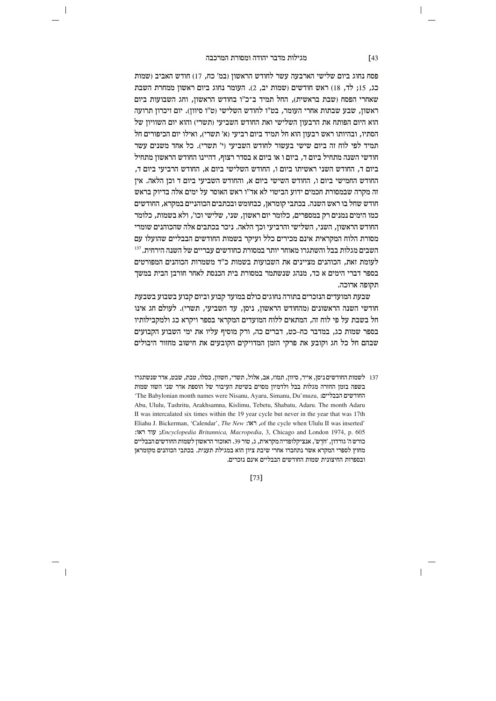$\overline{\phantom{a}}$ 

פסח נחוג ביום שלישי הארבעה עשר לחודש הראשון (במ' כח, 17) חודש האביב (שמות כג, 15; לר, 18) ראש חודשים (שמות יב, 2). העומר נחוג ביום ראשון ממחרת השבת שאחרי הפסח ושבת בראשית). החל תמיד ב־כ״ו בחודש הראשוז, וחג השבועות ביום ראשון, שבע שבתות אחרי העומר, בט"ו לחודש השלישי (ט"ו סיוון). יום זיכרון תרועה הוא היום הפותח את הרבעון השלישי ואת החודש השביעי (תשרי) והוא יום השוויון של הסתיו, ובהיותו ראש רבעון הוא חל תמיד ביום רביעי (א' תשרי), ואילו יום הכיפורים חל תמיד לפי לוח זה ביום שישי בעשור לחודש השביעי (י' תשרי). כל אחד משנים עשר חודשי השנה מתחיל ביום ד. ביום ו או ביום א בסדר רצוף. דהיינו החודש הראשוז מתחיל ביום ד, החודש השני ראשיתו ביום ו, החודש השלישי ביום א, החודש הרביעי ביום ד, החודש החמישי ביום ו, החודש השישי ביום א, והחודש השביעי ביום ד וכן הלאה. אין זה מקרה שבמסורת חכמים ידוע הביטוי לא אד"ו ראש האוסר על ימים אלה בדיוק בראש חודש שחל בו ראש השנה. בכתבי קומראן, כבחומש ובכתבים הכוהניים במקרא, החודשים כמו הימים נמנים רק במספרים. כלומר יום ראשוז. שני. שלישי וכו׳. ולא בשמות. כלומר החודש הראשון, השני, השלישי והרביעי וכך הלאה. ניכר בכתבים אלה שהכוהנים שומרי מסורת הלוח המקראית אינם מכירים כלל ועיקר בשמות החודשים הבבליים שהועלו עם השבים מגלות בבל והשתגרו מאוחר יותר במסורת כחודשים עבריים של השנה הירחית. <sup>137</sup> לעומת זאת. הכוהנים מציינים את השבועות בשמות כ״ד משמרות הכוהנים המפורטים בספר דברי הימים א כד. מנהג שנשתמר במסורת בית הכנסת לאחר חורבו הבית במשר תקופה ארוכה.

שבעת המועדים הנזכרים בתורה נחוגים כולם במועד קבוע וביום קבוע בשבוע בשבעת חודשי השנה הראשונים (מהחודש הראשון, ניסן, עד השביעי, תשרי). לעולם חג אינו חל בשבת על פי לוח זה, המתאים ללוח המועדים המקראי בספר ויקרא כג ולמקבילותיו בספר שמות כג, במדבר כח–כט, דברים כה, ורק מוסיף עליו את ימי השבוע הקבועים שבהם חל כל חג וקובע את פרקי הזמן המדויקים הקובעים את חישוב מחזור היבולים

137 לשמות החודשים ניסן, אייר, סיוון, תמוז, אב, אלול, תשרי, חשוון, כסלו, טבת, שבט, אדר שנשתגרו בשפה בזמן החזרה מגלות בבל ולדמיון מסוים בשיטת העיבור של הוספת אדר שני השוו שמות 'The Babylonian month names were Nisanu, Ayaru, Simanu, Du'muzu, החודשים הבבליים: Abu, Ululu, Tashritu, Arakhsamna, Kislimu, Tebetu, Shabatu, Adaru, The month Adaru II was intercalated six times within the 19 year cycle but never in the year that was 17th Eliahu J. Bickerman, 'Calendar', The New: האו: of the cycle when Ululu II was inserted' : עוד ראו; Encyclopedia Britannica, Macropedia, 3, Chicago and London 1974, p. 605 כורשה' גורדון, 'חֹדֵש', אנציקלופדיה מקראית, ג, טור 39. האזכור הראשון לשמות החודשים הבבליים מחוץ לספרי המקרא אשר נתחברו אחרי שיבת ציון הוא במגילת תענית. בכתבי הכוהנים מקומראן ובספרות החיצונית שמות החודשים הבבליים אינם נזכרים.

# $[73]$

 $\sqrt{43}$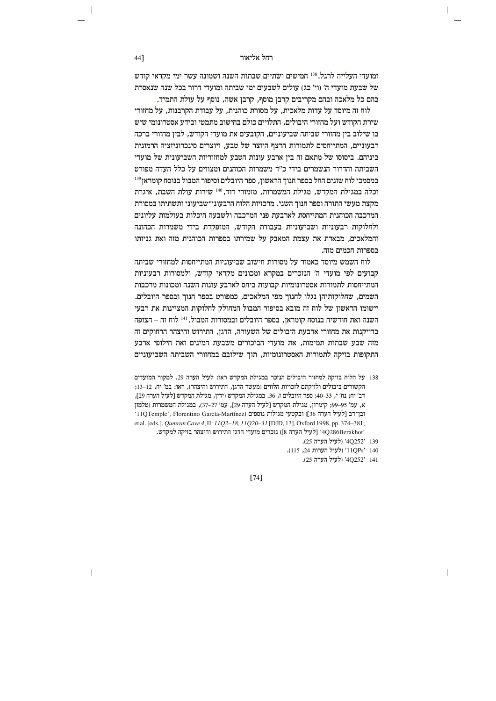ומועדי העלייה לרגל. <sup>138</sup> חמישים ושתיים שבתות השנה ושמונה עשר ימי מקראי קודש של שבעת מועדי ה' (וי' כג) עולים לשבעים ימי שביתה ומועדי דרור בכל שנה שנאסרת בהם כל מלאכה ובהם מקריבים קרבן מוסף, קרבן אשה, נוסף על עולת התמיד.

לוח זה מיוסד על עדות מלאכית, על מסורת כוהנית, על עבודת הקרבנות, על מחזורי שירת הקודש ועל מחזורי היבולים. התלויים כולם בחישוב מתמטי ובידע אסטרונומי שיש בו שילוב בין מחזורי שביתה שביעוניים, הקובעים את מועדי הקודש, לבין מחזורי ברכה רבעוניים, המתייחסים לתמורות הרצף היוצר של טבע, ויוצרים סינכרוניזציה הרמונית ביניהם. ביסוסו של מתאם זה ביז ארבע עונות הטבע למחזוריות השביעונית של מועדי השביתה והדרור הנשמרים בידי כ"ד משמרות הכוהנים ומצווים על כלל העדה מפורט במסמכי לוח שונים החל בספר חנוך הראשון, ספר היובלים וסיפור המבול בנוסח קומראן139 וכלה במגילת המקדש, מגילת המשמרות, מזמורי דוד, 140 שירות עולת השבת, איגרת מקצת מעשי התורה וספר חנוך השני. מרכזיות הלוח הרבעוני־שביעוני ותשתיתו במסורת המרכבה הכוהנית המתייחסת לארבעת פני המרכבה ולשבעה היכלות בעולמות עליונים ולחלוקות רבעוניות ושביעוניות בעבודת הקודש, המופקדת בידי משמרות הכהונה והמלאכים, מבארת את עצמת המאבק על שמירתו בספרות הכוהנית מזה ואת גניזתו בספרות חכמים מזה.

לוח השמש מיוסד כאמור על מסורות חישוב שביעוניות המתייחסות למחזורי שביתה קבועים לפי מועדי ה' הנזכרים במקרא ומכונים מקראי קודש. ולמסורות רבעוניות המתייחסות לתמורות אסטרונומיות קבועות ביחס לארבע עונות השנה ומכונות מרכבות השמים, שחלוקותיהן נגלו לחנוך מפי המלאכים, כמפורט בספר חנוך ובספר היובלים. יישומו הראשון של לוח זה מובא בסיפור המבול המחולק לחלוקות המציינות את רבעי השנה ואת חודשיה בנוסח קומראן, בספר היובלים ובמסורות המבול. <sup>141</sup> לוח זה – הצופה בדייקנות את מחזורי ארבעת היבולים של השעורה, הדגן, התירוש והיצהר הרחוקים זה מזה שבע שבתות תמימות, את מועדי הביכורים משבעת המינים ואת חילופי ארבע התקופות בזיקה לתמורות האסטרונומיות, תוך שילובם במחזורי השביתה השביעוניים

- 138 על הלוח בזיקה למחזור היבולים הנזכר במגילת המקדש ראו: לעיל הערה 29. למקור המועדים הקשורים ביבולים ולזיקתם לזכויות הלווים (מעשר הדגן, התירוש והיצהר), ראו: במ' יח, 12–13; דב' יח; נח' י, 33–40; ספר היובלים ז, 36. במגילת המקדש (ידין, מגילת המקדש [לעיל הערה 29], א, עמ' 95–99; קימרון, מגילת המקדש [לעיל הערה 29], עמ' 27–37), במגילת המשמרות (טלמון ובן־דב [לעיל הערה 36]) ובקטעי מגילות נוספים (11QTemple', Florentino García-Martínez) et al. [eds.], *Qumran Cave 4*, II: 11Q2-18, 11Q20-31 [DJD, 13], Oxford 1998, pp. 374-381; '4Q286Berakhot' [לעיל הערה 8]) נזכרים מועדי הדגן התירוש והיצהר בזיקה למקדש.
	- 139 '40252' (לעיל הערה 25).
	- 110Ps' 140 (לעיל הערות 24, 115).
		- 141 '4Q252' (לעיל הערה 25).

 $[74]$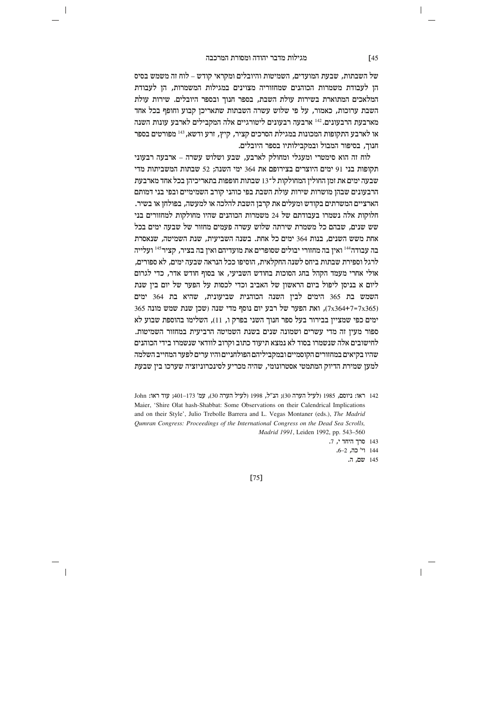$\overline{\phantom{a}}$ 

של השבתות, שבעת המועדים, השמיטות והיובלים ומקראי קודש – לוח זה משמש בסיס הן לעבודת משמרות הכוהנים שמחזוריה מצוינים במגילות המשמרות, הן לעבודת המלאכים המתוארת בשירות עולת השבת, בספר חנוך ובספר היובלים. שירות עולת השבת ערוכות, כאמור, על פי שלוש עשרה השבתות שתאריכן קבוע וחופף בכל אחד מארבעת הרבעונים.<sup>142</sup> ארבעה רבעונים ליטורגיים אלה המקבילים לארבע עונות השנה או לארבע התקופות המכונות במגילת הסרכים קציר, קיץ, זרע ודשא, <sup>143</sup> מפורטים בספר חנוך, בסיפור המבול ובמקבילותיו בספר היובלים.

לוח זה הוא סימטרי ומעגלי ומחולק לארבע, שבע ושלוש עשרה – ארבעה רבעוני תקופות בני 91 ימים היוצרים בצירופם את 364 ימי השנה; 52 שבתות המשביתות מדי שבעה ימים את זמן החולין המחולקות ל־13 שבתות חופפות בתאריכיהן בכל אחד מארבעת הרבעונים שבהן מושרות שירות עולת השבת בפי כוהני קורב השמימיים ובפי בני דמותם הארציים המשרתים בקודש ומעלים את קרבן השבת להלכה או למעשה, בפולחן או בשיר. חלוקות אלה נשמרו בעבודתם של 24 משמרות הכוהנים שהיו מחולקות למחזורים בני שש שנים. שבהם כל משמרת שירתה שלוש עשרה פעמים מחזור של שבעה ימים בכל אחת משש השנים, בנות 364 ימים כל אחת. בשנה השביעית, שנת השמיטה, שנאסרת בה עבודה<sup>144</sup> ואין בה מחזורי יבולים שסופרים את מועדיהם ואין בה בציר, קציר<sup>145</sup> ועלייה לרגל וספירת שבתות ביחס לשנה החקלאית, הוסיפו ככל הנראה שבעה ימים, לא ספורים, אולי אחרי מעמד הקהל בחג הסוכות בחודש השביעי. או בסוף חודש אדר. כדי לגרום ליום א בניסן ליפול ביום הראשון של האביב וכדי לכסות על הפער של יום בין שנת השמש בת 365 הימים לבין השנה הכוהנית שביעונית, שהיא בת 364 ימים 365 (7x364+7=7x365), ואת הפער של רבע יום נוסף מדי שנה (שכן שנת שמש מונה) ימים כפי שמציין בבירור בעל ספר חנוך השני בפרק ו, 11), השלימו בהוספת שבוע לא ספור מעין זה מדי עשרים ושמונה שנים בשנת השמיטה הרביעית במחזור השמיטות. לחישובים אלה שנשמרו בסוד לא נמצא תיעוד כתוב וקרוב לוודאי שנשמרו בידי הכוהנים שהיו בקיאים במחזורים הקוסמיים ובמקביליהם הפולחניים והיו ערים לפער המחייב השלמה למען שמירת הדיוק המתמטי אסטרונומי, שהיה מכריע לסינכרוניזציה שערכו בין שבעת

 $r<sub>751</sub>$ 

 $[45]$ 

<sup>142</sup> ראו: ניוסם, 1985 (לעיל הערה 30); הנ"ל, 1998 (לעיל הערה 30), עמ' 173-401; עוד ראו: John Maier, 'Shire Olat hash-Shabbat: Some Observations on their Calendrical Implications and on their Style', Julio Trebolle Barrera and L. Vegas Montaner (eds.), The Madrid Qumran Congress: Proceedings of the International Congress on the Dead Sea Scrolls, Madrid 1991, Leiden 1992, pp. 543-560

<sup>143</sup> סרך היחד י, 7.

<sup>144</sup> וי' כה, 2-6. 145 שם, ה.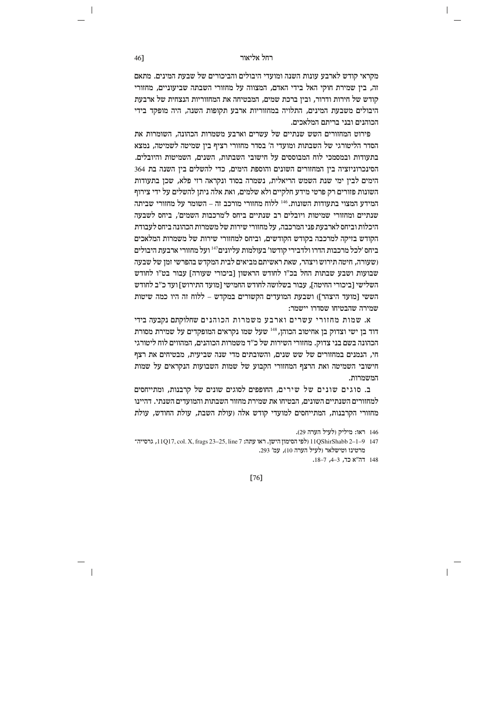מקראי קודש לארבע עונות השנה ומועדי היבולים והביכורים של שבעת המינים. מתאם זה, בין שמירת חוקי האל בידי האדם, המצווה על מחזורי השבתה שביעוניים, מחזורי קודש של חירות ודרור. וביו ברכת שמים. המבטיחה את המחזוריות הנצחית של ארבעת היבולים משבעת המינים, התלויה במחזוריות ארבע תקופות השנה, היה מופקד בידי הכוהנים ובני בריתם המלאכים.

פירוט המחזורים השש שנתיים של עשרים וארבע משמרות הכהונה. השומרות את הסדר הליטורגי של השבתות ומועדי ה' בסדר מחזורי רציף בין שמיטה לשמיטה, נמצא בתעודות ובמסמכי לוח המבוססים על חישובי השבתות. השנים. השמיטות והיובלים. הסינכרוניזציה בין המחזורים השונים והוספת הימים, כדי להשלים בין השנה בת 364 הימים לבין ימי שנת השמש הריאלית, נשמרה בסוד ונקראה רזי פלא, שכן בתעודות השונות פזורים רק פרטי מידע חלקיים ולא שלמים, ואת אלה ניתן להשלים על ידי צירוף המידע המצוי בתעודות השונות. <sup>146</sup> ללוח מחזורי מורכב זה – השומר על מחזורי שביתה שנתיים ומחזורי שמיטות ויובלים רב שנתיים ביחס ל'מרכבות השמים'. ביחס לשבעה היכלות וביחס לארבעת פני המרכבה. על מחזורי שירות של משמרות הכהונה ביחס לעבודת הקודש בזיקה למרכבה בקודש הקודשים, וביחס למחזורי שירות של משמרות המלאכים ביחס ׳לכל מרכבות הדרו ולדבירי קודשו׳ בעולמות עליונים׳147 ועל מחזורי ארבעת היבולים ושעורה. חיטה תירוש ויצהר. שאת ראשיתם מביאים לבית המקדש בהפרשי זמז של שבעה שבועות ושבע שבתות החל בכ"ו לחודש הראשוז [ביכורי שעורה] עבור בט"ו לחודש השלישי [ביכורי החיטה], עבור בשלושה לחודש החמישי [מועד התירוש] ועד כ״ב לחודש הששי [מועד היצהר]) ושבעת המועדים הקשורים במקדש – ללוח זה היו כמה שיטות שמירה שהבטיחו שסדרו יישמר:

א. שמות מחזורי עשרים וארבע משמרות הכוהנים שחלוקתם נקבעה בידי דוד בן ישי וצדוק בן אחיטוב הכוהן, <sup>148</sup> שעל שמו נקראים המופקדים על שמירת מסורת הכהונה בשם בני צדוק. מחזורי השירות של כ"ד משמרות הכוהנים, המהווים לוח ליטורגי חי, הנמנים במחזורים של שש שנים, והשובתים מדי שנה שביעית, מבטיחים את רצף חישובי השמיטה ואת הרצף המחזורי הקבוע של שמות השבועות הנקראים על שמות המשמרות.

ב. סוגים שונים של שירים, החופפים לסוגים שונים של קרבנות, ומתייחסים למחזורים השנתיים השונים, הבטיחו את שמירת מחזור השבתות והמועדים השנתי. דהיינו מחזורי הקרבנות, המתייחסים למועדי קודש אלה (עולת השבת, עולת החודש, עולת

146 ראו: מיליק (לעיל הערה 29).

 $[76]$ 

46]

<sup>147 0−1–2 11</sup>QShirShabb 2-1 (לפי הסימון הישן. ראו עתה: 129<br/>.23 11QShirShabb 2-1-9 147 מרטינז וטישלאר (לעיל הערה 10), עמ' 293.

<sup>148</sup> הה"א כד, 3–4, 7–18.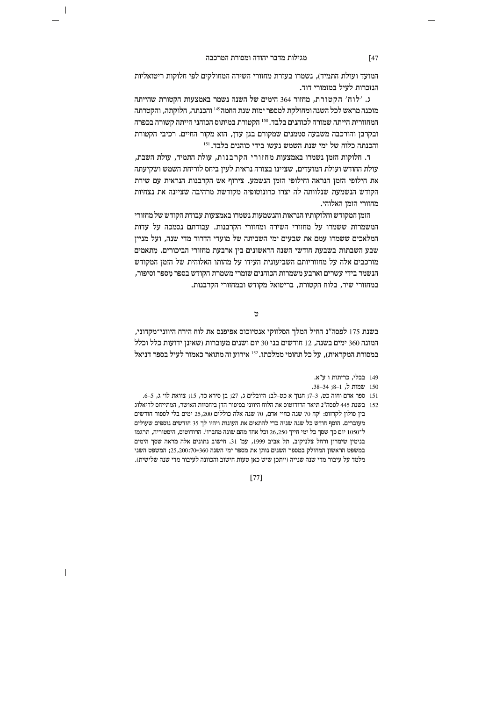$\overline{\phantom{a}}$ 

המועד ועולת התמיד), נשמרו בעזרת מחזורי השירה המחולקים לפי חלוקות ריטואליות הנזכרות לעיל במזמורי דוד.

ג. 'לוח' הקטורת, מחזור 364 הימים של השנה נשמר באמצעות הקטורת שהייתה מוכנה מראש לכל השנה ומחולקת למספר ימות שנת החמה<sup>149</sup> והכנתה, חלוקתה, והקטרתה המחזורית הייתה שמורה לכוהנים בלבד. 150 הקטורת במיתוס הכוהני הייתה קשורה בכפרה ובקרבן והורכבה משבעה סממנים שמקורם בגן עדן, הוא מקור החיים. רכיבי הקטורת והכנתה כלוח של ימי שנת השמש נעשו בידי כוהנים בלבד. 151

ד. חלוקות הזמז נשמרו באמצעות מחזורי הקרבנות, עולת התמיד, עולת השבת, עולת החודש ועולת המועדים, שציינו בצורה נראית לעין ביחס לזריחת השמש ושקיעתה את חילופי הזמן הנראה וחילופי הזמן הנשמע. צירוף אש הקרבנות הנראית עם שירת הקודש הנשמעת שנלוותה לה יצרו כרונוטופיה מקודשת מרהיבה שציינה את נצחיות מחזורי הזמן האלוהי.

הזמז המקודש וחלוקותיו הנראות והנשמעות נשמרו באמצעות עבודת הקודש של מחזורי המשמרות ששמרו על מחזורי השירה ומחזורי הקרבנות. עבודתם נסמכה על עדות המלאכים ששמרו עמם את שבעים ימי השביתה של מועדי הדרור מדי שנה, ועל מניין שבע השבתות בשבעת חודשי השנה הראשונים בין ארבעת מחזורי הביכורים. מתאמים מורכבים אלה על מחזוריותם השביעונית העידו על מהותו האלוהית של הזמז המקודש הנשמר בידי עשרים וארבע משמרות הכוהנים שומרי משמרת הקודש בספר מספר וסיפור. במחזורי שיר, בלוח הקטורת, בריטואל מקודש ובמחזורי הקרבנות.

 $\mathcal{D}$ 

בשנת 175 לפסה"נ החיל המלך הסלווקי אנטיוכוס אפיפנס את לוח הירח היווני־מקדוני, המונה 360 ימים בשנה, 12 חודשים בני 30 יום ושנים מעוברות (שאינן ידועות כלל וכלל במסורת המקראית), על כל תחומי ממלכתו. 152 אירוע זה מתואר כאמור לעיל בספר דניאל

149 בבלי. כריתות ו ע"א.

150 שמות ל, 1-8; 34-34.

 $\overline{\phantom{a}}$ 

151 ספר אדם וחוה כט, 3–7; חנוך א כט-לב; היובלים ג, 27; בן סירא כד, 15; צוואת לוי ג, 5–6.

152 – בשנת 445 לפסה״נ תיאר הרודוטוס את הלוח היווני בסיפור הדז ביחסיות האושר. המתייחס לדיאלוג בין סולון לקרזוס: 'קח 70 שנה כחיי אדם, 70 שנה אלה כוללים 25,200 ימים בלי לספור חודשים מעוברים. הוסף חודש כל שנה שניה כדי להתאים את העונות ויהיו לך 35 חודשים נוספים שעולים ל־1050 יום כך שסך כל ימי חייך 26,250 וכל אחד מהם שונה מחברו'. הרודוטוס, היסטוריה, תרגמו בנימין שימרון ורחל צלניקוב, תל אביב 1999, עמ' 31. חישוב נתונים אלה מראה שסך הימים במשפט הראשון המחולק במספר השנים נותן את מספר ימי השנה 360=25,200:70, המשפט השני מלמד על עיבור מדי שנה שנייה (ייתכן שיש כאן טעות חישוב והכוונה לעיבור מדי שנה שלישית).

 $[47]$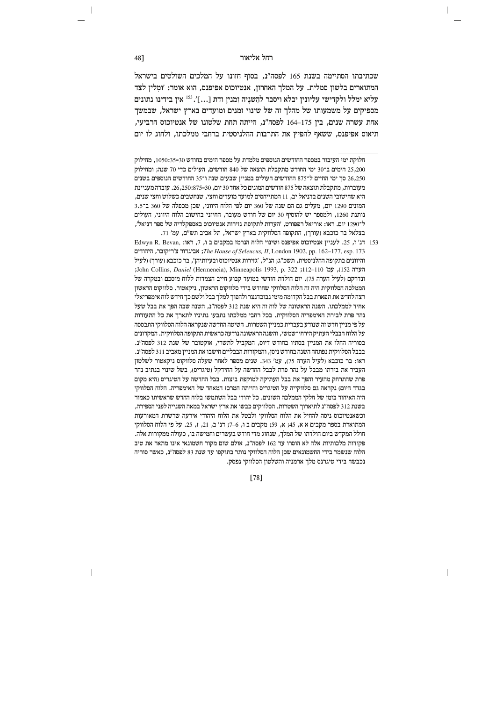שכתיבתו הסתיימה בשנת 165 לפסה"נ, בסוף חזונו על המלכים השולטים בישראל המתוארים בלשון סמלית. על המלך האחרון, אנטיוכוס אפיפנס, הוא אומר: 'ומלין לצד עליא ימלל ולקדישי עליוניו יבלא ויסבר להשניה זמניו ודת […]'. <sup>153</sup> איו בידינו נתונים מספיקים על משמעותו של מהלך זה של שינוי זמנים ומועדים בארץ ישראל, שבמשך אחת עשרה שנים. ביו 164–164 לפסה"ג. הייתה תחת שלטונו של אנטיוכוס הרביעי. תיאוס אפיפנס, ששאף להפיץ את התרבות ההלניסטית ברחבי ממלכתו, ולחוג לו יום

Edwyn R. Bevan, ו-153 הנ' ז, 25. לעניין אנטיוכוס אפיפנס ושינוי הלוח הנרמז במקבים ב $\,$  153 הנ' ז, 25. לעניין ה גביגדור צ'ריקובר, היהודים ;The House of Seleucus, II, London 1902, pp. 162-177, esp. 173 והיוונים בתקופה ההלניסטית, תשכ"ג; הנ"ל, 'גזירות אנטיוכוס ובעיותיהן', בר כוכבא (עורך) (לעיל ;John Collins, *Daniel* (Hermeneia), Minneapolis 1993, p. 322 ;112-110 'הערה 152, ונדרקם ולעיל הערה 75). יום הולדת חודשי במועד קבוע חייב הצמדות ללוח מוסכם ובמקרה של הממלכה הסלווקית היה זה הלוח הסלווקי שחודש בידי סלווקוס הראשון, ניקאטור. סלווקוס הראשון רצה לחדש את תפארת בבל הקדומה מימי נבוכדנצר ולהפוך למלך בבל ולשם כך חידש לוח אימפריאלי אחיד לממלכתו. השנה הראשונה של לוח זה היא שנת 312 לפסה"נ, השנה שבה הפך את בבל שעל נהר פרת לבירת האימפריה הסלווקית. בכל רחבי ממלכתו נתבעו נתיניו לתארך את כל התעודות על פי מניין חדש זה שנודע בעברית כמניין השטרות. השיטה החדשה שנקראה הלוח הסלווקי התבססה על הלוח הבבלי העתיק הירחי־שמשי, והשנה הראשונה נודעה כראשית התקופה הסלווקית. המקדונים בסוריה החלו את המניין בסתיו בחודש דיוס, המקביל לתשרי, אוקטובר של שנת 312 לפסה"ג. בבבל הסלווקית נפתחה השנה בחודש ניסן, והמקורות הבבליים חישבו את המניין מאביב 311 לפסה"נ. ראו: בר כוכבא (לעיל הערה 75), עמ' 343. שנים מספר לאחר שעלה סלווקוס ניקאטור לשלטון העביר את בירתו מבבל על נהר פרת לבבל החדשה על החידקל (טיגריס), בשל שינוי בנתיב נהר פרת שהתרחק מהעיר והפך את בבל העתיקה למוקפת ביצות. בבל החדשה על הטיגריס (היא מקום בגדד היום) נקראה גם סלווקייה על הטיגריס והייתה המרכז המאחד של האימפריה. הלוח הסלווקי היה האיחוד בזמז של חלקי הממלכה השונים. כל יהודי בבל השתמשו בלוח החדש שראשיתו כאמור בשנת 312 לפסה״נ לתיארוך השטרות. הסלווקים כבשו את ארץ ישראל במאה השנייה לפני הספירה, וכשאנטיוכוס ניסה להחיל את הלוח הסלווקי ולבטל את הלוח היהודי אירעה שרשרת המאורעות המתוארת בספר מקבים א א. 45: א. 59: מקבים ב ו. 6–7: דנ' ב. 21. ז. 25. על פי הלוח הסלווקי חולל המקדש ביום הולדתו של המלך, שנחוג מדי חודש בעשרים וחמישה בו, כעולה ממקורות אלה. פקודות מלכותיות אלה לא הוסרו עד 162 לפסה"ג. אולם שום מקור חשמונאי אינו מתאר את טיב הלוח שנשמר בידי החשמונאים שכן הלוח הסלווקי נותר בתוקפו עד שנת 83 לפסה"נ, כאשר סוריה נכבשה בידי טיגרנס מלך ארמניה והשלטון הסלווקי נפסק.

 $[78]$ 

48]

חלוקת ימי העיבור במספר החודשים הנוספים מלמדת על מספר הימים בחודש 1050:35=30, מחילוק .<br>25,200 הימים ב־30 ימי החודש מתקבלת תוצאה של 840 חודשים, העולים כדי 70 שנה: ומחילוק סך ימי החיים ל־875 החודשים העולים במניין שבעים שנה ו־35 החודשים הנוספים בשנים  $26,\!250$ מעוברות, מתקבלת תוצאה של 875 חודשים המונים כל אחד 30 יום, 30=250:875, 50. עובדה מעניינת היא שחישובי השנים בדניאל יב, 11 המתייחסים למועד מועדים וחצי, שנחשבים כשלוש וחצי שנים, המונים 1290 יום, מעלים גם הם שנה של 360 יום לפי הלוח היווני, שכן מכפלה של 360 ב־3.5 נותנת 1260, ולמספר יש להוסיף 30 יום של חודש מעובר, החיוני בחישוב הלוח היווני, העולים ל־1290 יום. ראו: אוריאל רפפורט, 'הערות לתקופת גזירות אנטיוכוס באספקלריה של ספר דניאל', בצלאל בר כוכבא (עורך), התקופה הסלווקית בארץ ישראל, תל אביב תש"ם, עמ' 71.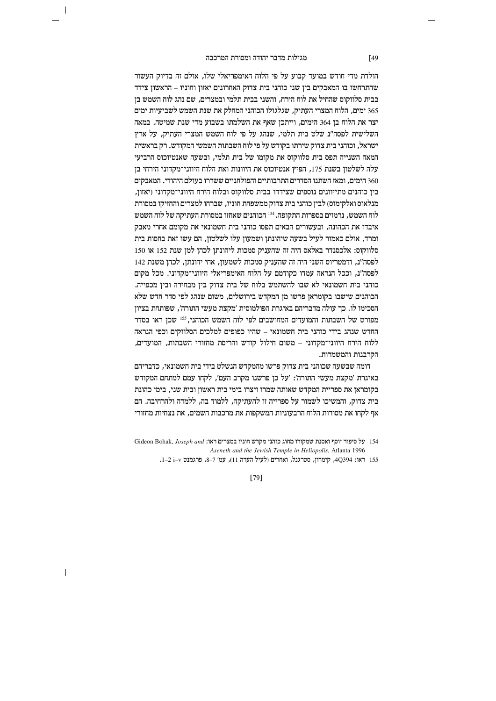$\overline{\phantom{a}}$ 

הולדת מדי חודש במועד קבוע על פי הלוח האימפריאלי שלו, אולם זה בדיוק העשור שהתרחשו בו המאבקים בין שני כוהני בית צדוק האחרונים יאזון וחוניו – הראשון צידד בבית סלווקוס שהחיל את לוח הירח. והשני בבית תלמי ובמצרים. שם נהג לוח השמש בז 365 ימים, הלוח המצרי העתיק, שגלגולו הכוהני המחלק את שנת השמש לשביעיות ימים יצר את הלוח בן 364 הימים, וייתכן שאף את השלמתו בשבוע מדי שנת שמיטה. במאה השלישית לפסה״נ שלט בית תלמי. שנהג על פי לוח השמש המצרי העתיק. על ארץ ישראל, וכוהני בית צדוק שירתו בקודש על פי לוח השבתות השמשי המקודש. רק בראשית המאה השנייה תפס בית סלווקוס את מקומו של בית תלמי. ובשעה שאנטיוכוס הרביעי עלה לשלטון בשנת 175, הפיץ אנטיוכוס את היוונות ואת הלוח היווני־מקדוני הירחי בן 360 הימים. ומאז השתנו הסדרים התרבותיים והפולחניים ששררו בעולם היהודי. המאבקים בין כוהנים מתייוונים נוספים שצידדו בבית סלווקוס ובלוח הירח היווני־מקדוני (יאזון, מנלאוס ואלקימוס) לבין כוהני בית צדוק ממשפחת חוניו, שברחו למצרים והחזיקו במסורת לוח השמש. נרמזים בספרות התקופה. <sup>154</sup> הכוהגים שאחזו במסורת העתיקה של לוח השמש איבדו את הכהונה. ובעשורים הבאים תפסו כוהני בית חשמונאי את מקומם אחרי מאבק ומרד, אולם כאמור לעיל בשעה שיהונתן ושמעון עלו לשלטון, הם עשו זאת בחסות בית סלווקוס: אלכסנדר באלאס היה זה שהעניק סמכות ליהונתן לכהן למן שנת 152 או 150 לפסה״נ. ודמטריוס השני היה זה שהעניק סמכות לשמעוז. אחי יהונתז. לכהו משנת 142 לפסה״נ. וככל הנראה עמדו כקודמם על הלוח האימפריאלי היווני־מקדוני. מכל מקום כוהני בית חשמונאי לא שבו להשתמש בלוח של בית צדוק בין מבחירה ובין מכפייה. הכוהנים שישבו בקומראן פרשו מן המקדש בירושלים, משום שנהג לפי סדר חדש שלא הסכימו לו. כך עולה מדבריהם באיגרת הפולמוסית ׳מקצת מעשי התורה׳, שפותחת בציון מפורט של השבתות והמועדים המחושבים לפי לוח השמש הכוהני, 155 שכן ראו בסדר החדש שנהג בידי כוהני בית חשמונאי – שהיו כפופים למלכים הסלווקים וכפי הנראה ללוח הירח היווני־מקדוני – משום חילול קודש והריסת מחזורי השבתות, המועדים, הקרבנות והמשמרות.

דומה שבשעה שכוהני בית צדוק פרשו מהמקדש הנשלט בידי בית חשמונאי, כדבריהם באיגרת 'מקצת מעשי התורה': 'על כן פרשנו מקרב העם', לקחו עמם למתחם המקודש .<br>בקומראז את ספריית המקדש שאותה שמרו ויצרו בימי בית ראשוז ובית שני. בימי כהונת בית צדוק, והמשיכו לשמור על ספרייה זו להעתיקה, ללמוד בה, ללמדה ולהרחיבה. הם אף לקחו את מסורות הלוח הרבעוניות המשקפות את מרכבות השמים, את נצחיות מחזורי

 $[79]$ 

 $[49]$ 

Gideon Bohak, Joseph and נעל סיפור יוסף ואסנת שמקורו מחוג כוהני מקדש חוניו במצרים ראו: 611 Aseneth and the Jewish Temple in Heliopolis, Atlanta 1996

<sup>155</sup> ראו: 4Q394, קימרון, סטרגנל, ואחרים (לעיל הערה 11), עמ' 7–8, פרגמנט v-1 ב-1.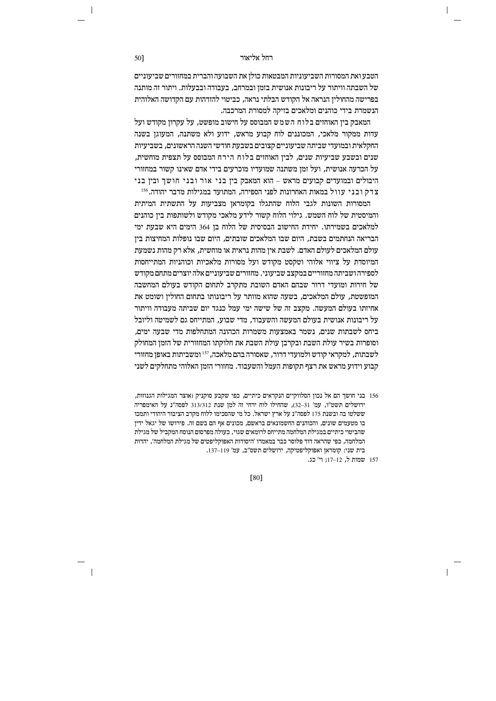#### וקל אליאור החל אליאור ה

הטבע ואת המסורות השביעוניות המבטאות כולן את השבועה והברית במחזורים שביעוניים של השבתה וויתור על ריבונות אנושית בזמן ובמרחב, בעבודה ובבעלות. ויתור זה מותנה בפרישה מהחוליו הנראה אל הקודש הבלתי נראה. כביטוי להזדהות עם הקדושה האלוהית הנשמרת בידי כוהנים ומלאכים בזיקה למסורת המרכבה.

המאבק ביו האוחזים בלוח השמש המבוסס על חישוב מופשט. על עקרוז מקודש ועל צדות ממקור מלאכי, המכוננים לוח קבוע מראש, ידוע ולא משתנה, המעוגו בשנה החקלאית ובמועדי שביתה שביעוניים קצובים בשבעת חודשי השנה הראשונים, בשביעיות שנים ובשבע שביעיות שנים. לביז האוחזים בלוח הירח המבוסס על תצפית מוחשית. על הכרעה אנושית, ועל זמן משתנה שמועדיו מוכרעים בידי אדם שאינו קשור במחזורי  $n$  היבולים ובמועדים קבועים מראש – הוא המאבק בין בני אור ובני חושך ובין בני צדק ובני עוול במאות האחרונות לפני הספירה. המתועד במגילות מדבר יהודה.<sup>156</sup>

המסורות השונות לגבי הלוח שהתגלו בקומראן מצביעות על התשתית המיתית והמיסטית של לוח השמש. גילוי הלוח קשור לידע מלאכי מקודש ולשותפות ביז כוהנים למלאכים בשמירתו. יחידת החישוב הבסיסית של הלוח בו 364 הימים היא שבעת ימי הבריאה הנחתמים בשבת. היום שבו המלאכים שובתים. היום שבו נופלות המחיצות ביז  $m$ עולם המלאכים לעולם האדם. לשבת אין מהות נראית או מוחשית, אלא רק מהות נשמעת המיוסדת על ציווי אלוהי וטקסט מקודש ועל מסורות מלאכיות וכוהגיות המתייחסות לספירה ושביתה מחזוריים במקצב שביעוני. מחזורים שביעוניים אלה יוצרים מתחם מקודש של חירות ומועדי דרור שבהם האדם השובת מתקרב לתחום הקודש בעולם המחשבה המופשטת, עולם המלאכים, בשעה שהוא מוותר על ריבונותו בתחום החולין ושומט את אחיזתו בעולם המעשה. מקצב זה של שישה ימי עמל כנגד יום שביתה מעבודה וויתור  $\gamma$ על ריבונות אנושית בעולם המעשה והשעבוד, מדי שבוע, המתייחס גם לשמיטה וליובל ביחס לשבתות שנים. נשמר באמצעות משמרות הכהונה המתחלפות מדי שבעה ימים. וסופרות בשיר עולת השבת ובקרבן עולת השבת את חלוקתו המחזורית של הזמן המחולק  $\tau$ לשבתות, למקראי קודש ולמועדי דרור, שאסורה בהם מלאכה,  $^{157}$  ומשביתות באופז מחזורי קבוע וידוע מראש את רצף תקופות העמל והשעבוד. מחזורי הזמן האלוהי מתחלקים לשני

, בני חושך הם אל נכון הסלווקיים הנקראים כיתיים, כפי שקבע סוקניק (אוצר המגילות הגנוזות ירושלים תשט״ו. עמ׳ 31–32), שהחילו לוח ירחי זה למז שנת 313/312 לפסה״נ על האימפריה ששלטו בה ובשנת 175 לפסה"נ על ארץ ישראל. כל מי שהסכימו ללוח מקרב הציבור היהודי ותמכו בו מטעמים שונים, והכוהנים החשמונאים בראשם, מכונים אף הם בשם זה. פירושו של יגאל ידין שהביטוי כיתיים במגילת המלחמה מתייחס לרומאים שגוי, כעולה מפרסום הנוסח המקביל של מגילת המלחמה, כפי שהראה דוד פלוסר כבר במאמרו 'היסודות האפוקליפטים של מגילת המלחמה', יהדות  $137-119$ יצוי: הומראן האפוקליפטיקה, ירושלים תשס"ב, עמ' 19

157 שמות ל, 17-12; וי' כג.

[80]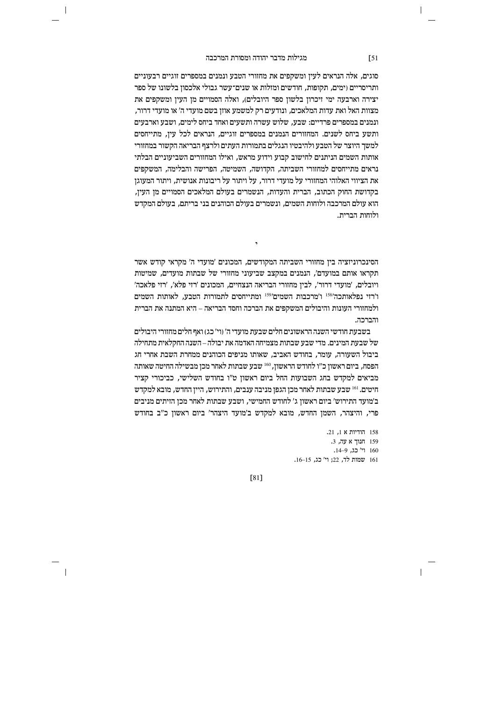$\overline{\phantom{a}}$ 

סוגים, אלה הנראים לעין ומשקפים את מחזורי הטבע ונמנים במספרים זוגיים רבעוניים ותריסריים (ימים, תקופות, חודשים ומזלות או שנים־עשר גבולי אלכסון בלשונו של ספר יצירה וארבעה ימי זיכרון בלשון ספר היובלים), ואלה הסמויים מן העין ומשקפים את מצוות האל ואת עדות המלאכים, ונודעים רק למשמע אוזן בשם מועדי ה' או מועדי דרור, ונמנים במספרים פרדיים: שבע, שלוש עשרה ותשעים ואחד ביחס לימים, ושבע וארבעים ותשע ביחס לשנים. המחזורים הנמנים במספרים זוגיים, הנראים לכל עין, מתייחסים למשך היוצר של הטבע ולהיבטיו הנגלים בתמורות העתים ולרצף הבריאה הקשור במחזורי אותות השמים הניתנים לחישוב קבוע וידוע מראש. ואילו המחזורים השביעוניים הבלתי נראים מתייחסים למחזורי השביתה, הקדושה, השמיטה, הפרישה והבלימה, המשקפים את הציווי האלוהי המחזורי על מועדי דרור. על ויתור על ריבונות אנושית. ויתור המעוגז בקדושת החוק הכתוב, הברית והעדות, הנשמרים בעולם המלאכים הסמויים מן העין, הוא עולם המרכבה ולוחות השמים, ונשמרים בעולם הכוהנים בני בריתם, בעולם המקדש ולוחות הברית.

הסינכרוניזציה ביו מחזורי השביתה המקודשים. המכונים 'מועדי ה' מקראי קודש אשר תקראו אותם במועדם׳. הנמנים במקצב שביעוני מחזורי של שבתות מועדים. שמיטות ויובלים, 'מועדי דרור', לבין מחזורי הבריאה הנצחיים, המכונים 'רזי פלא', 'רזי פלאכה' ו'רזי נפלאותכה'<sup>158</sup> ו'מרכבות השמים<sup>159</sup> ומתייחסים לתמורות הטבע, לאותות השמים ולמחזורי העונות והיבולים המשקפים את הברכה וחסד הבריאה – היא המתנה את הברית והברכה.

בשבעת חודשי השנה הראשונים חלים שבעת מועדי ה' (וי' כג) ואף חלים מחזורי היבולים של שבעת המינים. מדי שבע שבתות מצמיחה האדמה את יבולה – השנה החקלאית מתחילה ביבול השעורה, עומר, בחודש האביב, שאותו מניפים הכוהנים ממחרת השבת אחרי חג הפסח, ביום ראשון כ״ו לחודש הראשון, 160 שבע שבתות לאחר מכן מבשילה החיטה שאותה מביאים למקדש בחג השבועות החל ביום ראשון ט"ו בחודש השלישי, כביכורי קציר חיטים. <sup>161</sup> שבע שבתות לאחר מכז הגפז מניבה ענבים, והתירוש, הייז החדש, מובא למקדש ב׳מועד התירוש׳ ביום ראשון ג׳ לחודש החמישי, ושבע שבתות לאחר מכן הזיתים מניבים פרי, והיצהר, השמן החדש, מובא למקדש ב'מועד היצהר' ביום ראשון כ"ב בחודש

> 158 הודיות א 1, 21. 159 חנוך א עה, 3. 160 וי' כג, 9–14. 161 שמות לד, 22; וי' כג, 15–16.

> > $\overline{\phantom{a}}$

 $[81]$ 

 $\sqrt{51}$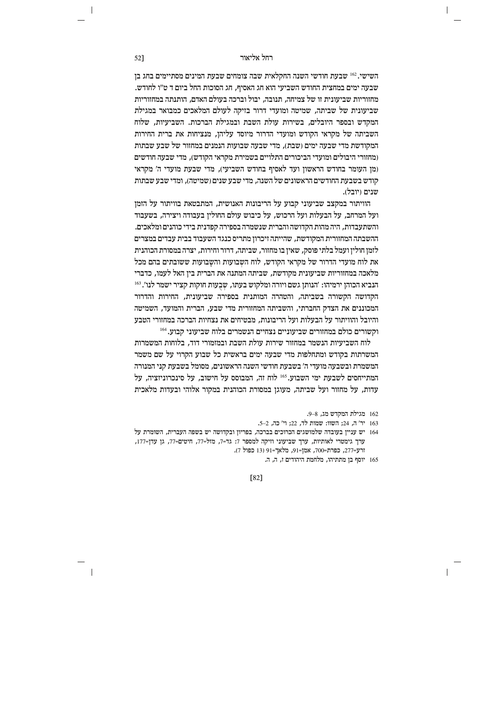השישי.<sup>162</sup> שבעת חודשי השנה החקלאית שבה צומחים שבעת המינים מסתיימים בחג בן שבעה ימים במחצית החודש השביעי הוא חג האסיף, חג הסוכות החל ביום ד ט״ו לחודש. מחזוריות שביעונית זו של צמיחה. תנובה. יבול וברכה בעולם האדם. הותנתה במחזוריות שביעונית של שביתה, שמיטה ומועדי דרור בזיקה לעולם המלאכים כמבואר במגילת המקדש ובספר היובלים. בשירות עולת השבת ובמגילת הברכות. השביעיות. שלוח השביתה של מקראי הקודש ומועדי הדרור מיוסד עליהן, מנציחות את ברית החירות המקודשת מדי שבעה ימים (שבת), מדי שבעה שבועות הנמנים במחזור של שבע שבתות ומחזורי היבולים ומועדי הביכורים התלויים בשמירת מקראי הקודש). מדי שבעה חודשים (מן העומר בחודש הראשון ועד לאסיף בחודש השביעי), מדי שבעת מועדי ה' מקראי קודש בשבעת החודשים הראשונים של השנה. מדי שבע שנים (שמיטה), ומדי שבע שבתות שנים (יובל).

הוויתור במקצב שביעוני קבוע על הריבונות האנושית, המתבטאת בוויתור על הזמן ועל המרחב. על הבעלות ועל הרכוש. על כיבוש עולם החוליו בעבודה ויצירה. בשעבוד והשתעבדות. היה מהות הקדושה והברית שנשמרה בספירה קפדנית בידי כוהגים ומלאכים. ההשבתה המחזורית המקודשת, שהייתה זיכרון מתריס כנגד השעבוד בבית עבדים במצרים לזמן חולין ועמל בלתי פוסק, שאין בו מחזור, שביתה, דרור וחירות, יצרה במסורת הכוהנית את לוח מועדי הדרור של מקראי הקודש. לוח השבועות והשבועות ששובתים בהם מכל מלאכה במחזוריות שביעונית מקודשת. שביתה המתנה את הברית ביז האל לעמו. כדברי הנביא הכוהן ירמיהו: 'הנותן גשם ויורה ומלקוש בעתו, שבעות חוקות קציר ישמר לנו'. 163 הקדושה הקשורה בשביתה, והטהרה המותנית בספירה שביעונית, החירות והדרור המכוננים את הצדק החברתי, והשביתה המחזורית מדי שבע, הברית והמועד, השמיטה והיובל והוויתור על הבעלות ועל הריבונות, מבטיחים את נצחיות הברכה במחזורי הטבע וקשורים כולם במחזורים שביעוניים נצחיים הנשמרים בלוח שביעוני קבוע.<sup>164</sup>

לוח השביעיות הנשמר במחזור שירות עולת השבת ובמזמורי דוד, בלוחות המשמרות המשרתות בקודש ומתחלפות מדי שבעה ימים בראשית כל שבוע הקרוי על שם משמר המשמרת ובשבעה מועדי ה' בשבעת חודשי השנה הראשונים, מסומל בשבעת קני המנורה המתייחסים לשבעת ימי השבוע.<sup>165</sup> לוח זה, המבוסס על חישוב, על סינכרוניזציה, על עדות. על מחזור ועל שביתה. מעוגז במסורת הכוהנית במקור אלוהי ובעדות מלאכית

162 מגילת המקדש מג, 8–9.

 $\overline{\phantom{a}}$ 

- 163 יר' ה, 24; השוו: שמות לד, 22; וי' כה, 2-5.
- 164 יש עניין בעובדה שלמושגים הכרוכים בברכה, בפריון ובקדושה יש בשפה העברית, השומרת על ערך גימטרי לאותיות, ערך שביעוני וזיקה למספר 7: גד=7, מזל=77, חיטים=77, גן עדן=177, ורע-277, כפרת-700, אמן-91, מלאך=91 (13 כפול 7).
	- 165 יוסף בן מתתיהו, מלחמת היהודים ז, ה, ה.

 $[82]$ 

52]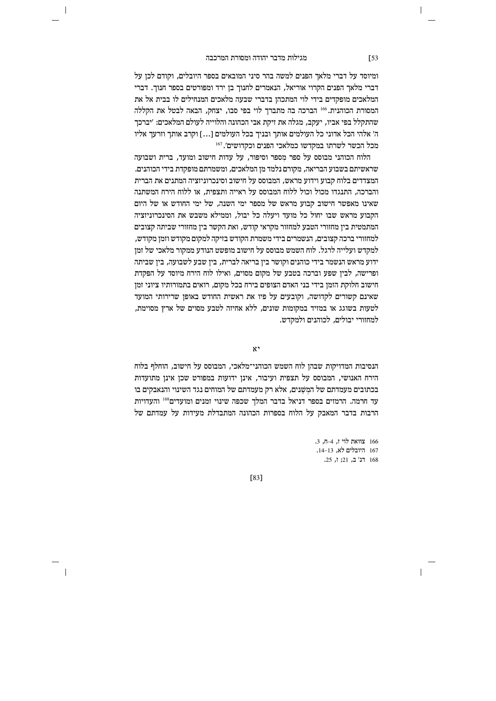$\overline{\phantom{a}}$ 

ומיוסד על דברי מלאך הפנים למשה בהר סיני המובאים בספר היובלים, וקודם לכן על דברי מלאך הפנים הקרוי אוריאל, הנאמרים לחנוך בן ירד ומפורטים בספר חנוך. דברי המלאכים מופקדים בידי לוי המתכהן בדברי שבעה מלאכים המנחילים לו בבית אל את המסורת הכוהנית.<sup>166</sup> הברכה בה מתברך לוי בפי סבו, יצחק, הבאה לבטל את הקללה שהתקלל בפי אביו, יעקב, מגלה את זיקת אבי הכהונה והלוייה לעולם המלאכים: 'יברכך ה' אלהי הכל אדוני כל העולמים אותך ובניך בכל העולמים [...] וקרב אותך וזרעך אליו מכל הכשר לשרתו במקדשו כמלאכי הפנים וכקדושים'.<sup>167</sup>

הלוח הכוהני מבוסס על ספר מספר וסיפור. על עדות חישוב ומועד. ברית ושבועה שראשיתם בשבוע הבריאה, מקורם נלמד מן המלאכים, ומשמרתם מופקדת בידי הכוהנים. המצדדים בלוח קבוע וידוע מראש, המבוסס על חישוב וסינכרוניזציה המתנים את הברית והברכה. התנגדו מכול וכול ללוח המבוסס על ראייה ותצפית. או ללוח הירח המשתנה שאינו מאפשר חישוב קבוע מראש של מספר ימי השנה, של ימי החודש או של היום הקבוע מראש שבו יחול כל מועד ויעלה כל יבול. וממילא משבש את הסינכרוניזציה המתמטית בין מחזורי הטבע למחזור מקראי קודש, ואת הקשר בין מחזורי שביתה קצובים למחזורי ברכה קצובים, הנשמרים בידי משמרת הקודש בזיקה למקום מקודש וזמן מקודש, למקדש ועלייה לרגל. לוח השמש מבוסס על חישוב מופשט הנודע ממקור מלאכי של זמן ידוע מראש הנשמר בידי כוהנים וקושר בין בריאה לברית, בין שבע לשבועה, בין שביתה ופרישה, לביו שפע וברכה בטבע של מקום מסוים, ואילו לוח הירח מיוסד על הפקדת חישוב חלוקת הזמן בידי בני האדם הצופים בירח בכל מקום, רואים בתמורותיו ציוני זמן שאינם קשורים לקדושה, וקובעים על פיו את ראשית החודש באופן שרירותי המועד לטעות בשוגג או במזיד במקומות שונים, ללא אחיזה לטבע מסוים של ארץ מסוימת, למחזורי יבולים, לכוהנים ולמקדש.

 $x$ ,

הנסיבות המדויקות שבהן לוח השמש הכוהני־מלאכי, המבוסס על חישוב, הוחלף בלוח הירח האנושי, המבוסס על תצפית ועיבור, אינן ידועות במפורט שכן אינן מתועדות בכתובים מעמדתם של המשנים. אלא רק מעמדתם של המוחים נגד השינוי והנאבקים בו עד חרמה. הרמזים בספר דניאל בדבר המלך שכפה שינוי זמנים ומועדים<sup>168</sup> והעדויות הרבות בדבר המאבק על הלוח בספרות הכהונה המתבדלת מעידות על עמדתם של

> 166 צוואת לוי ז, 4-ח, 3. 167 היובלים לא, 13–14. 168 דנ' ב, 21; ז, 25.

> > $\overline{\phantom{a}}$

 $[83]$ 

 $\sqrt{53}$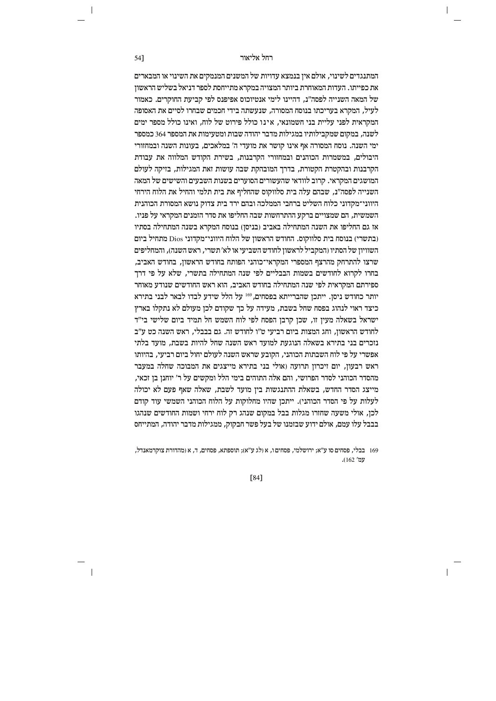המתנגדים לשינוי, אולם אין בנמצא עדויות של המשנים המנמקים את השינוי או המבארים את כפייתו. העדות המאוחרת ביותר המצויה במקרא מתייחסת לספר דניאל בשליש הראשון של המאה השנייה לפסה״נ. דהיינו לימי אנטיוכוס אפיפנס לפי קביעת החוקרים. כאמור לעיל, המקרא בעריכתו בנוסח המסורה, שנעשתה בידי חכמים שבחרו לסיים את האסופה המקראית לפני עליית בני חשמונאי. אינו כולל פירוט של לוח, ואינו כולל מספר ימים לשנה. במקום שמקבילותיו במגילות מדבר יהודה שבות ומטעימות את המספר 364 כמספר ימי השנה. נוסח המסורה אף אינו קושר את מועדי ה' במלאכים, בעונות השנה ובמחזורי היבולים. במשמרות הכוהנים ובמחזורי הקרבנות. בשירת הקודש המלווה את עבודת הקרבנות ובהקטרת הקטורת, בדרך המובהקת שבה עושות זאת המגילות, בזיקה לעולם המושגים המקראי. קרוב לוודאי שהעשורים הסוערים בשנות השבעים והשישים של המאה השנייה לפסה״נ, שבהם עלה בית סלווקוס שהחליף את בית תלמי והחיל את הלוח הירחי היווני־מקדוני כלוח השליט ברחבי הממלכה ובהם ירד בית צדוק נושא המסורת הכוהנית השמשית. הם שמצויים ברקע ההתרחשות שבה החליפו את סדר הזמנים המקראי על פניו. אז גם החליפו את השנה המתחילה באביב ובניסו) בנוסח המקרא בשנה המתחילה בסתיו (בתשרי) בנוסח בית סלווקוס. החודש הראשון של הלוח היווני־מקדוני Dios מתחיל ביום השוויון של הסתיו (המקביל לראשון לחודש השביעי או לא' תשרי, ראש השנה), והמחליפים שרצו להתרחק מהרצף המספרי המקראי־כוהני הפותח בחודש הראשוז. בחודש האביב. בחרו לקרוא לחודשים בשמות הבבליים לפי שנה המתחילה בתשרי. שלא על פי דרד ספירתם המקראית לפי שנה המתחילה בחודש האביב, הוא ראש החודשים שנודע מאוחר יותר כחודש ניסן. ייתכן שהברייתא בפסחים, 169 על הלל שידע לבדו לבאר לבני בתירא כיצד ראוי לנהוג בפסח שחל בשבת, מעידה על כך שקודם לכן מעולם לא נתקלו בארץ ישראל בשאלה מעין זו, שכן קרבן הפסח לפי לוח השמש חל תמיד ביום שלישי בי"ד לחודש הראשוז. וחג המצות ביום רביעי ט״ו לחודש זה. גם בבבלי, ראש השנה כט ע״ב נזכרים בני בתירא בשאלה הנוגעת למועד ראש השנה שחל להיות בשבת. מועד בלתי אפשרי על פי לוח השבתות הכוהני, הקובע שראש השנה לעולם יחול ביום רביעי, בהיותו ראש רבעון, יום זיכרון תרועה (אולי בני בתירא מייצגים את המבוכה שחלה במעבר מהסדר הכוהני לסדר הפרושי, והם אלה התוהים בימי הלל ומקשים על ר׳ יוחנן בן זכאי, מייצג הסדר החדש. בשאלת ההתנגשות ביז מועד לשבת. שאלה שאף פעם לא יכולה לעלות על פי הסדר הכוהני). ייתכן שהיו מחלוקות על הלוח הכוהני השמשי עוד קודם לכן, אולי משעה שחזרו מגלות בבל במקום שנהג רק לוח ירחי ושמות החודשים שנהגו בבבל עלו עמם. אולם ידוע שבזמנו של בעל פשר חבקוק, ממגילות מדבר יהודה, המתייחס

169 – בבלי, פסחים סו ע"א; ירושלמי, פסחים ו, א (לג ע"א); תוספתא, פסחים, ד, א (מהדורת צוקרמאנדל, עמ' 162).

 $[84]$ 

54]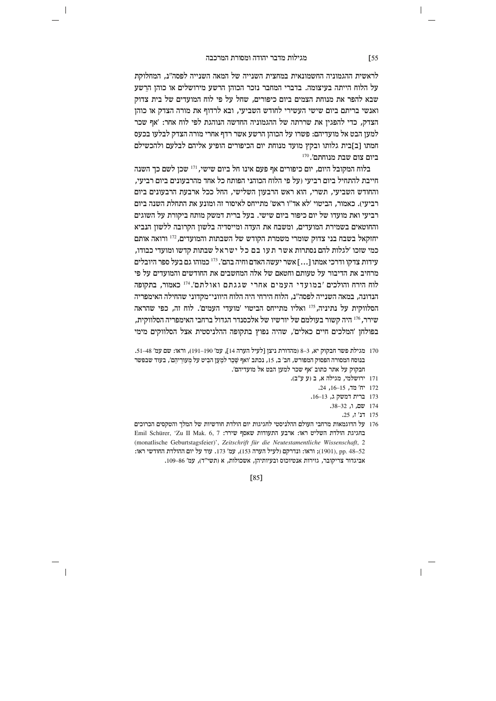$\overline{\phantom{a}}$ 

לראשית ההגמוניה החשמונאית במחצית השנייה של המאה השנייה לפסה״נ, המחלוקת על הלוח הייתה בעיצומה. בדברי המחבר נזכר הכוהן הרשע מירושלים או כוהן הרשע שבא להפר את מנוחת הצמים ביום כיפורים. שחל על פי לוח המועדים של בית צדוק ואנשי בריתם ביום שישי העשירי לחודש השביעי, ובא לרדוף את מורה הצדק או כוהן הצדק, כדי להפגין את שררתה של ההגמוניה החדשה הנוהגת לפי לוח אחר: 'אף שכר למען הבט אל מועדיהם: פשרו על הכוהן הרשע אשר רדף אחרי מורה הצדק לבלעו בכעס חמתו [ב]בית גלותו ובקץ מועד מנוחת יום הכיפורים הופיע אליהם לבלעם ולהכשילם  $^{170}$ יהתם'. ביום שבת מנוחתם'

בלוח המקובל היום, יום כיפורים אף פעם אינו חל ביום שישי, <sup>171</sup> שכן לשם כך השנה חייבת להתחיל ביום רביעי (על פי הלוח הכוהני הפותח כל אחד מהרבעונים ביום רביעי. והחודש השביעי, תשרי, הוא ראש הרבעון השלישי, החל ככל ארבעת הרבעונים ביום רביעי). כאמור, הביטוי 'לא אד"ו ראש' מתייחס לאיסור זה ומונע את התחלת השנה ביום רביעי ואת מועדו של יום כיפור ביום שישי. בעל ברית דמשק מותח ביקורת על השוגים והחוטאים בשמירת המועדים, ומשבח את העדה ומייסדיה בלשון הקרובה ללשוו הנביא יחזקאל בשבח בני צדוק שומרי משמרת הקודש של השבתות והמועדים, <sup>172</sup> ורואה אותם כמי שזכו ׳לגלות להם נסתרות אשר תעו בם כל ישראל שבתות קדשו ומועדי כבודו, עידות צדקו ודרכי אמתו […] אשר יעשה האדם וחיה בהם'. <sup>173</sup> כמוהו גם בעל ספר היובלים מרחיב את הדיבור על טעותם וחטאם של אלה המחשבים את החודשים והמועדים על פי לוח הירח והולכים 'במועדי העמים אחרי שגגתם ואולתם'.<sup>174</sup> כאמור, בתקופה הנדונה, במאה השנייה לפסה"נ, הלוח הירחי היה הלוח היווני־מקדוני שהחילה האימפריה הסלווקית על נתיניה, 175 ואליו מתייחס הביטוי 'מועדי העמים'. לוח זה, כפי שהראה שירר, 176 היה קשור בעולמם של יורשיו של אלכסנדר הגדול ברחבי האימפריה הסלווקית, בפולחן 'המלכים חיים כאלים', שהיה נפוץ בתקופה ההלניסטית אצל הסלווקים מימי

- 170 מגילת פשר חבקוק יא, 3–8 (מהדורת ניצן [לעיל הערה 14], עמ׳ 190–191), וראו: שם עמ׳ 48–51. בנוסח המסורה הפסוק המפורש, חב' ב, 15, נכתב 'ואף שַׁכֵר למַעַן הבִיט על מִעורֲיהֶם', בעוד שבפשר חבקוק על אתר כתוב 'אף שכר למען הבט אל מועדיהם'.
	- 171 ירושלמי, מגילה א, ב (ע ע"ב).
		- 172 יח' מד, 15–16, 24.
		- 173 ברית דמשק ג, 13–16.
			- 174 שם, ו, 32–38.
				- .25 **דנ' ז.** 25
- 176 על הדוגמאות מרחבי העולם ההלניסטי לחגיגות יום הולדת חודשיות של המלך והטקסים הכרוכים Emil Schürer, 'Zu II Mak. 6, 7 בחגיגת הולדת השליט ראו: ארבע התעודות שאסף שירר: ה (monatlische Geburtstagsfeier)', Zeitschrift für die Neutestamentliche Wissenschaft, 2 rx ו-1901); וראו: ונדרקם (לעיל הערה 153), עמ' 173. עוד על יום ההולדת החודשי ראו: אביגדור צריקובר, גזירות אנטיוכוס ובעיותיהן, אשכולות, א (תשי"ד), עמ' 86–109.

#### [85]

 $\sqrt{55}$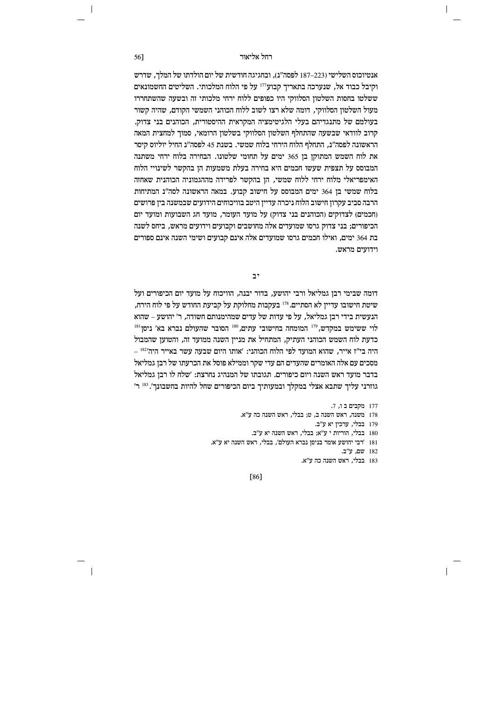# וקל אליאור החל אליאור ה

אנטיוכוס השלישי (223–187 לפסה"ג). ובחגיגה חודשית של יום הולדתו של המלר. שדרש וקיבל כבוד אל, שנערכה בתאריך קבוע $^{\text{\tiny{171}}}$  על פי הלוח המלכותי. השליטים החשמונאים ששלטו בחסות השלטוז הסלווקי היו כפופים ללוח ירחי מלכותי זה ובשעה שהשתחררו מעול השלטוז הסלווקי. דומה שלא רצו לשוב ללוח הכוהני השמשי הקודם. שהיה קשור בעולמם של מתנגדיהם בעלי הלגיטימציה המקראית ההיסטורית. הכוהנים בני צדוק. הרוב לוודאי שבשעה שהתחלף השלטוז הסלווקי בשלטוז הרומאי. סמור למחצית המאה הראשונה לפסה"נ. התחלף הלוח הירחי בלוח שמשי. בשנת 45 לפסה"נ החיל יוליוס קיסר את לוח השמש המתוקן בן 365 ימים על תחומי שלטונו. הבחירה בלוח ירחי משתנה המבוסס על תצפית שעשו חכמים היא בחירה בעלת משמעות הן בהקשר לשינויי הלוח האימפריאלי מלוח ירחי ללוח שמשי, הן בהקשר לפרידה מההגמוניה הכוהנית שאחזה בלוח שמשי בן 364 ימים המבוסס על חישוב קבוע. במאה הראשונה לסה"נ המתיחות הרבה סביב עקרון חישוב הלוח ניכרה עדיין היטב בוויכוחים הידועים שבמשנה בין פרושים (חכמים) לצדוקים (הכוהנים בני צדוק) על מועד העומר, מועד תג השבועות ומועד יום הכיפורים; בני צדוק גרסו שמועדים אלה מחושבים וקבועים וידועים מראש, ביחס לשנה בת 364 ימים, ואילו חכמים גרסו שמועדים אלה אינם קבועים ושימי השנה אינם ספורים וידועים מראש.

יב<sup></sup>

דומה שבימי רבן גמליאל ורבי יהושע, בדור יבנה, הוויכוח על מועד יום הכיפורים ועל שיטת חישובו עדיין לא הסתיים.<sup>178</sup> בעקבות מחלוקת על קביעת החודש על פי לוח הירח, הנעשית בידי רבן גמליאל, על פי עדות של עדים שמהימנותם חשודה, ר' יהושע – שהוא לוי ששימש במקדש, $^{\rm 181}$  המומחה בחישובי עתים, $^{\rm 180}$  הסובר שהעולם נברא בא׳ ניסן $^{\rm 181}$ כדעת לוח השמש הכוהני העתיק, המתחיל את מניין השנה ממועד זה, והטוען שהמבול היה בי״ז אייר, שהוא המועד לפי הלוח הכוהני: ׳אותו היום שבעה עשר באייר היה׳ $^{\rm 182}$ ' – מסכים עם אלה האומרים שהעדים הם עדי שקר וממילא פוסל את הכרעתו של רבז גמליאל  $x$ בדבר מועד ראש השנה ויום כיפורים. תגובתו של המנהיג נחרצת: 'שלח לו רבן גמליאל גוזרני עליך שתבא אצלי במקלך ובמעותיך ביום הכיפורים שחל להיות בחשבונך'.<sup>183</sup> ר'

177 מקבים בו, 7.

- 178 משנה, ראש השנה ב, ט; בבלי, ראש השנה כה ע"א.
	- 179 בבלי, ערכין יא ע"ב.
	- 180 בבלי, הוריות י $x^{\prime\prime}$ יצג. בבלי, הוריות בבלי, ב
- 181 'רבי יהושע אומר בניסן נברא העולם', בבלי, ראש השנה יא ע"א.

182 **שם, ע"ב.** 

 $\mathbf{I}$ 

183 בבלי, ראש השנה כה ע"א.

[86]

 $\overline{\phantom{a}}$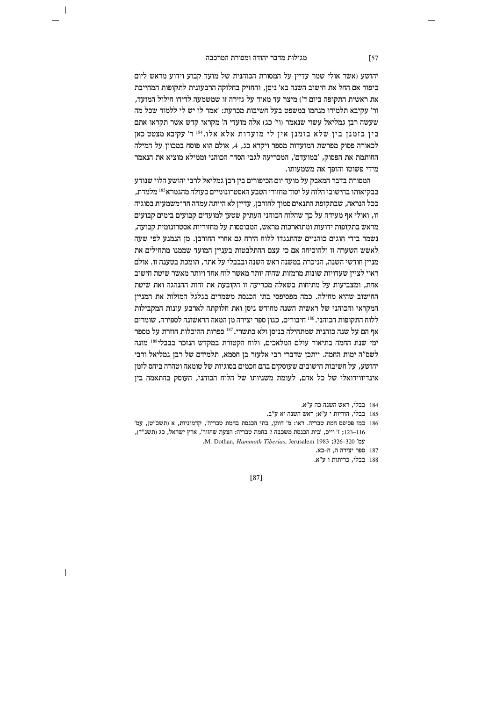$\overline{\phantom{a}}$ 

יהושע (אשר אולי שמר עדיין על המסורת הכוהנית של מועד קבוע וידוע מראש ליום כיפור אם החל את חישוב השנה בא׳ ניסן, והחזיק בחלוקה הרבעונית לתקופות המחייבת את ראשית התקופה ביום ד') מיצר עד מאוד על גזירה זו שמשמעה לדידו חילול המועד. ור׳ עקיבא תלמידו מנחמו במשפט בעל חשיבות מכרעת: ׳אמר לו יש לי ללמוד שכל מה שעשה רבן גמליאל עשוי שנאמר (וי' כג) אלה מועדי ה' מקראי קדש אשר תקראו אתם בין בזמנן בין שלא בזמנן אין לי מועדות אלא אלו.184 ר׳ עקיבא מצטט כאן לכאורה פסוק מפרשת המועדות מספר ויקרא כג, 4, אולם הוא פוסח במכוון על המילה החותמת את הפסוק. 'במועדם'. המכריעה לגבי הסדר הכוהני וממילא מוציא את הנאמר מידי פשוטו והופך את משמעותו.

המסורת בדבר המאבק על מועד יום הכיפורים בין רבן גמליאל לרבי יהושע הלוי שנודע בבקיאותו בחישובי הלוח על יסוד מחזורי הטבע האסטרונומיים כעולה מהגמרא<sup>185</sup> מלמדת, ככל הנראה, שבתקופת התנאים סמוך לחורבן, עדיין לא הייתה עמדה חד־משמעית בסוגיה זו. ואולי אף מעידה על כר שהלוח הכוהני העתיק שטעז למועדים קבועים בימים קבועים מראש בתקופות ידועות ומתוארכות מראש, המבוססות על מחזוריות אסטרונומית קבועה, נשמר בידי חוגים כוהניים שהתנגדו ללוח הירח גם אחרי החורבן. מן הנמנע לפי שעה לאשש השערה זו ולהוכיחה אם כי עצם ההתלבטות בעניין המועד שממנו מתחילים את מנייז חודשי השנה. הניכרת במשנה ראש השנה ובבבלי על אתר. תומכת בטענה זו. אולם ראוי לצייז שעדויות שונות מרמזות שהיה יותר מאשר לוח אחד ויותר מאשר שיטת חישוב אחת, ומצביעות על מתיחות בשאלה מכריעה זו הקובעת את זהות ההנהגה ואת שיטת החישוב שהיא מחילה. כמה מפסיפסי בתי הכנסת משמרים בגלגל המזלות את המניין המקראי והכוהני של ראשית השנה מחודש ניסן ואת חלוקתה לארבע עונות המקבילות ללוח התקופות הכוהני. 186 חיבורים, כגון ספר יצירה מן המאה הראשונה לספירה, שומרים אף הם על שנה כוהנית שמתחילה בניסן ולא בתשרי. 187 ספרות ההיכלות חוזרת על מספר ימי שנת החמה בתיאור עולם המלאכים, ולוח הקטורת במקדש הנזכר בבבלי<sup>188</sup> מונה לשס"ה ימות החמה. ייתכן שדברי רבי אלעזר בן חסמא, תלמידם של רבן גמליאל ורבי יהושע, על חשיבות חישובים שעוסקים בהם חכמים בסוגיות של טומאה וטהרה ביחס לזמן אינדיווידואלי של כל אדם, לעומת משניותו של הלוח הכוהני, העוסק בהתאמה בין

- 184 בבלי, ראש השנה כה ע"א.
- 185 בבלי, הוריות י ע"א; ראש השנה יא ע"ב.
- 186 כמו פסיפס חמת טבריה. ראו: מ' דותן, בתי הכנסת בחמת טבריה', קדמוניות, א (תשכ"ט), עמ' 116–123; ז' וייס, 'בית הכנסת משכבה 2 בחמת טבריה: הצעת שחזור', ארץ ישראל, כג (תשנ"ד), M. Dothan, Hammath Tiberias, Jerusalem 1983 ;326-320 'עמ
	- 187 ספר יצירה ה, ח-כא.
	- 188 בבלי, כריתות ו ע"א.

 $[87]$ 

 $\sqrt{57}$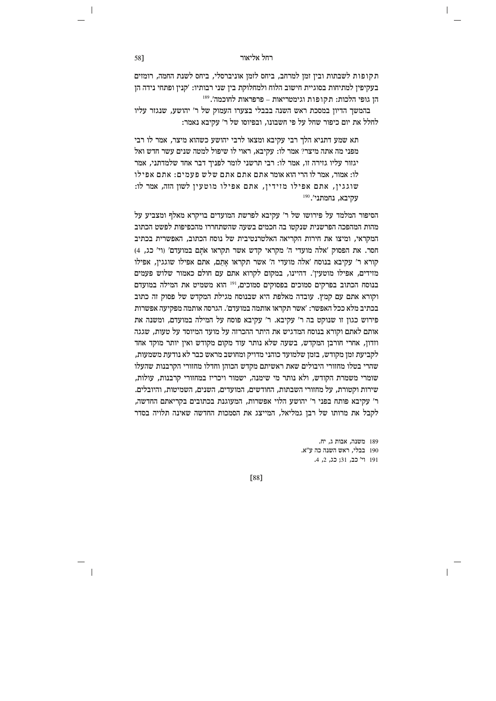תקופות לשבתות ובין זמן למרחב, ביחס לזמן אוניברסלי, ביחס לשנת החמה, רומזים בעקיפין למתיחות בסוגיית חישוב הלוח ולמחלוקת בין שני רבותיו: 'קנין ופתחי נידה הן הו גופי הלכות: תקופות וגימטריאות – פרפראות לחוכמה'.<sup>189</sup>

בהמשך הדיון במסכת ראש השנה בבבלי בצערו העמוק של ר' יהושע, שנגזר עליו לחלל את יום כיפור שחל על פי חשבונו. ובפיוסו של ר' עקיבא נאמר:

תא שמע דתניא הלך רבי עקיבא ומצאו לרבי יהושע כשהוא מיצר, אמר לו רבי מפני מה אתה מיצר? אמר לו: עקיבא, ראוי לו שיפול למטה שנים עשר חדש ואל יגזור עליו גזירה זו, אמר לו: רבי תרשני לומר לפניך דבר אחד שלמדתני, אמר לו: אמור, אמר לו הרי הוא אומר אתם אתם אתם שלש פעמים: אתם אפילו שוגגין, אתם אפילו מזידין, אתם אפילו מוטעין לשון הזה, אמר לו:  $^{190}$  עקיבא. נחמתני

הסיפור המלמד על פירושו של ר' עקיבא לפרשת המועדים בויקרא מאלף ומצביע על מהות המהפכה הפרשנית שנקטו בה חכמים בשעה שהשתחררו מהכפיפות לפשט הכתוב המקראי, ומיצו את חירות הקריאה האלטרנטיבית של נוסח הכתוב, האפשרית בכתיב חסר. את הפסוק 'אלה מועדי ה' מקראי קדש אשר תקראו אתם במועדם' (וי' כג, 4) קורא ר' עקיבא בנוסח 'אלה מועדי ה' אשר תקראו אתם, אתם אפילו שוגגין, אפילו מזידים. אפילו מוטעיז'. דהיינו. במקום לקרוא אתם עם חולם כאמור שלוש פעמים בנוסח הכתוב בפרקים סמוכים בפסוקים סמוכים, <sup>191</sup> הוא משמיט את המילה במועדם וקורא אתם עם קמץ. עובדה מאלפת היא שבנוסח מגילת המקדש של פסוק זה כתוב בכתיב מלא ככל האפשר: 'אשר תקראו אותמה במועדם'. הגרסה אותמה מפקיעה אפשרות פירוש כגון זו שנוקט בה ר' עקיבא. ר' עקיבא פוסח על המילה במועדם, ומשנה את אותם לאתם וקורא בנוסח המדגיש את היתר ההכרזה על מועד המיוסד על טעות, שגגה וזדון, אחרי חורבן המקדש, בשעה שלא נותר עוד מקום מקודש ואין יותר מוקד אחד לקביעת זמן מקודש, בזמן שלמועד כוהני מדויק ומחושב מראש כבר לא נודעת משמעות, שהרי בטלו מחזורי היבולים שאת ראשיתם מקדש הכוהן וחדלו מחזורי הקרבנות שהעלו שומרי משמרת הקודש, ולא נותר מי שימנה, ישמור ויכריז במחזורי קרבנות, עולות, שירות וקטורת. על מחזורי השבתות. החודשים. המועדים. השנים. השמיטות. והיובלים. ר' עקיבא פותח בפני ר' יהושע הלוי אפשרות, המעוגנת בכתובים בקריאתם החדשה, לקבל את מרותו של רבן גמליאל, המייצג את הסמכות החדשה שאינה תלויה בסדר

> 189 משנה, אבות ג, יח. 190 בבלי, ראש השנה כה ע"א. 191 וי' כב, 31; כג, 2, 4.

[88]

58]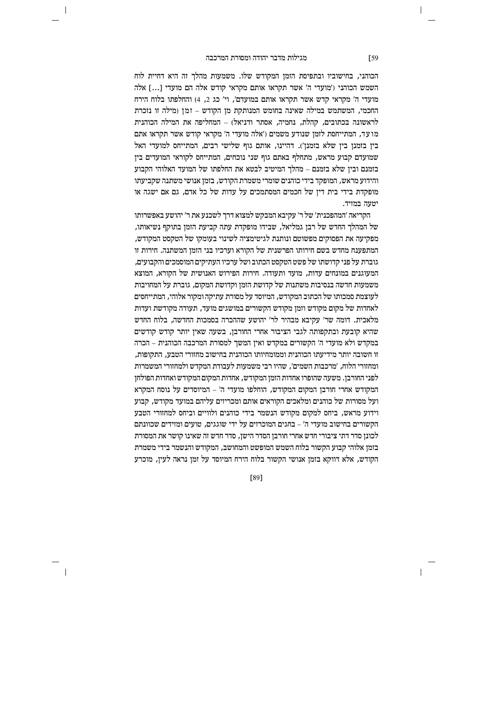$\overline{\phantom{a}}$ 

הכוהני, בחישוביו ובתפיסת הזמן המקודש שלו. משמעות מהלך זה היא דחיית לוח השמש הכוהני ('מועדי ה' אשר תקראו אותם מקראי קודש אלה הם מועדי [...] אלה מועדי ה' מקראי קדש אשר תקראו אותם במועדם'. וי' כג 2. 4) והחלפתו בלוח הירח החכמי, המשתמש במילה שאינה בחומש המנותקת מן הקודש – זמן (מילה זו נזכרת לראשונה בכתובים, קהלת, נחמיה, אסתר ודניאל) – המחליפה את המילה הכוהנית מו עד, המתייחסת לזמן שנודע משמים ('אלה מועדי ה' מקראי קודש אשר תקראו אתם בין בזמנן בין שלא בזמנן'). דהיינו, אותם גוף שלישי רבים, המתייחס למועדי האל שמועדם קבוע מראש. מתחלף באתם גוף שני נוכחים. המתייחס לקוראי המועדים ביז בזמנם ובין שלא בזמנם – מהלך המיטיב לבטא את החלפתו של המועד האלוהי הקבוע והידוע מראש, המופקד בידי כוהנים שומרי משמרת הקודש, בזמן אנושי משתנה שקביעתו מופקדת בידי בית דין של חכמים המסתמכים על עדות של כל אדם, גם אם ישגה או יטעה במזיד.

הקריאה 'המהפכנית' של ר' עקיבא המבקש למצוא דרד לשכנע את ר' יהושע באפשרותו של המהלך החדש של רבו גמליאל. שבידו מופקדת עתה קביעת הזמז בתוקף נשיאותו. מפקיעה את הפסוקים מפשוטם ונותנת לגיטימציה לשינוי בעומקו של הטקסט המקודש, המתפענח מחדש בשם חירותו הפרשנית של הקורא וערכיו בני הזמן המשתנה. חירות זו גוברת על פני קדושתו של פשט הטקסט הכתוב ושל ערכיו העתיקים המוסמכים והקבועים. המעוגנים במונחים עדות. מועד ותעודה. חירות הפירוש האנושית של הקורא. המוצא משמעות חדשה בנסיבות משתנות של קדושת הזמן וקדושת המקום, גוברת על המחויבות לעוצמת סמכותו של הכתוב המקודש, המיוסד על מסורת עתיקה ומקור אלוהי, המתייחסים לאחדות של מקום מקודש וזמן מקודש הקשורים במושגים מועד, תעודה מקודשת ועדות מלאכית. דומה שר' עקיבא מבהיר לר' יהושע שההכרה בסמכות החדשה, בלוח החדש שהיא קובעת ובתקפותה לגבי הציבור אחרי החורבן, בשעה שאין יותר קודש קודשים במקדש ולא מועדי ה' הקשורים במקדש ואין המשך למסורת המרכבה הכוהנית – הכרה זו חשובה יותר מידיעתו הכוהגית וממומחיותו הכוהגית בחישוב מחזורי הטבע, התקופות, ומחזורי הלוח, 'מרכבות השמים', שהיו רבי משמעות לעבודת המקדש ולמחזורי המשמרות לפני החורבן. משעה שהופרו אחדות הזמן המקודש, אחדות המקום המקודש ואחדות הפולחן המקודש אחרי חורבו המקום המקודש. הוחלפו מועדי ה' – המיוסדים על נוסח המקרא ועל מסורות של כוהנים ומלאכים הקוראים אותם ומכריזים עליהם במועד מקודש, קבוע וידוע מראש, ביחס למקום מקודש הנשמר בידי כוהנים ולוויים וביחס למחזורי הטבע הקשורים בחישוב מועדי ה' – בחגים המוכרזים על ידי שוגגים. טועים ומזידים שכוונתם לכונן סדר דתי ציבורי חדש אחרי חורבן הסדר הישן, סדר חדש זה שאינו קושר את המסורת בזמן אלוהי קבוע הקשור בלוח השמש המופשט והמחושב, המקודש והנשמר בידי משמרת הקודש, אלא דווקא בזמן אנושי הקשור בלוח הירח המיוסד על זמן נראה לעין, מוכרע

[89]

 $\sqrt{59}$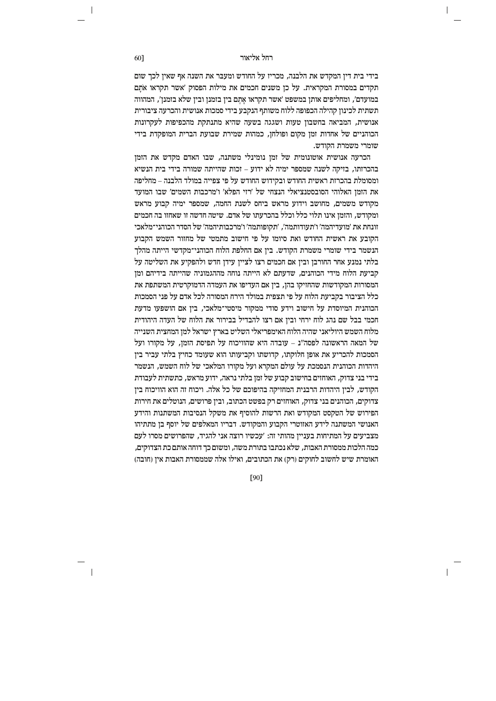בידי בית דין המקדש את הלבנה, מכריז על החודש ומעבר את השנה אף שאין לכך שום תקדים במסורת המקראית. על כן משנים חכמים את מילות הפסוק 'אשר תקראו אתם במועדם׳. ומחליפים אותו במשפט ׳אשר תקראו אתם ביו בזמנו וביו שלא בזמנו׳. המהווה תשתית לכינון קהילה הכפופה ללוח משותף הנקבע בידי סמכות אנושית והכרעה ציבורית אנושית, המביאה בחשבון טעות ושגגה בשעה שהיא מתנתקת מהכפיפות לעקרונות הכוהניים של אחדות זמן מקום ופולחן, כמהות שמירת שבועת הברית המופקדת בידי שומרי משמרת הקודש.

הכרעה אנושית אוטונומית של זמז נומינלי משתנה. שבו האדם מקדש את הזמז בהכרזתו, בזיקה לשנה שמספר ימיה לא ידוע – זכות שהייתה שמורה בידי בית הנשיא ומסומלת בהכרזת ראשית החודש ובקידוש החודש על פי צפייה במולד הלבנה – מחליפה את הזמז האלוהי הסובסטנציאלי הנצחי של 'רזי הפלא' ו'מרכבות השמים' שבו המועד מקודש משמים, מחושב וידוע מראש ביחס לשנת החמה, שמספר ימיה קבוע מראש ומקודש. והזמז אינו תלוי כלל וכלל בהכרעתו של אדם. שיטה חדשה זו שאחזו בה חכמים זונחת את 'מועדיהמה' ו'תעודותמה'. 'תקופותמה' ו'מרכבותיהמה' של הסדר הכוהני־מלאכי הקובע את ראשית החודש ואת סיומו על פי חישוב מתמטי של מחזור השמש הקבוע הנשמר בידי שומרי משמרת הקודש. בין אם החלפת הלוח הכוהני־מקדשי הייתה מהלך בלתי נמנע אחר החורבו וביו אם חכמים רצו לצייו עידו חדש ולהפקיע את השליטה על קביעת הלוח מידי הכוהנים. שדעתם לא הייתה נוחה מההגמוניה שהייתה בידיהם ומז המסורות המקודשות שהחזיקו בהן, בין אם העדיפו את העמדה הדמוקרטית המשתפת את כלל הציבור בקביעת הלוח על פי תצפית במולד הירח המסורה לכל אדם על פני הסמכות הכוהנית המיוסדת על חישוב וידע סודי ממקור מיסטי־מלאכי, בין אם הושפעו מדעת חכמי בבל שם נהג לוח ירחי ובין אם רצו להבדיל בבירור את הלוח של העדה היהודית מלוח השמש היוליאני שהיה הלוח האימפריאלי השליט בארץ ישראל למז המחצית השנייה של המאה הראשונה לפסה"ג – עובדה היא שהוויכוח על תפיסת הזמן, על מקורו ועל הסמכות להכריע את אופן חלוקתו, קדושתו וקביעותו הוא שעומד כחיץ בלתי עביר בין היהדות הכוהנית הנסמכת על עולם המקרא ועל מקורו המלאכי של לוח השמש, הנשמר בידי בני צדוק, האוחזים בחישוב קבוע של זמן בלתי נראה, ידוע מראש, כתשתית לעבודת הקודש. לביו היהדות הרבנית המחזיקה בהיפוכם של כל אלה. ויכוח זה הוא הוויכוח ביז צדוקים, הכוהנים בני צדוק, האוחזים רק בפשט הכתוב, ובין פרושים, הנוטלים את חירות הפירוש של הטקסט המקודש ואת הרשות להוסיף את משקל הנסיבות המשתנות והידע האנושי המשתנה לידע האזוטרי הקבוע והמקודש. דבריו המאלפים של יוסף בו מתתיהו מצביעים על המתיחות בעניין מהותי זה: 'עכשיו רוצה אני להגיד, שהפרושים מסרו לעם כמה הלכות ממסורת האבות, שלא נכתבו בתורת משה, ומשום כך דוחה אותם כת הצדוקים, האומרת שיש לחשוב לחוקים (רק) את הכתובים, ואילו אלה שממסורת האבות אין (חובה)

[90]

60]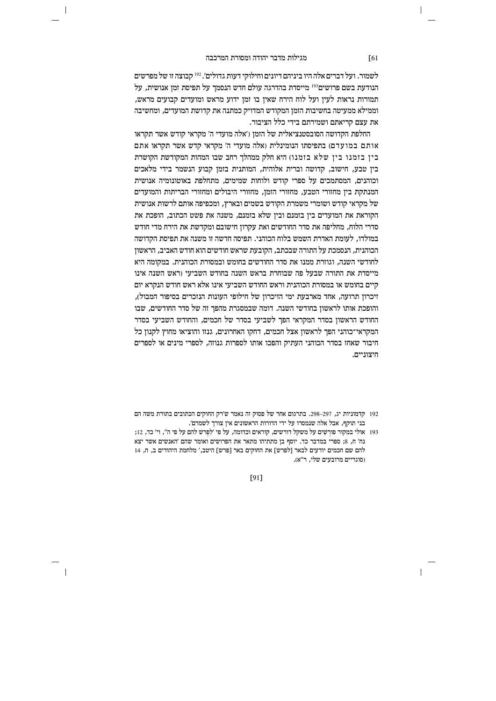$\overline{\phantom{a}}$ 

לשמור. ועל דברים אלה היו ביניהם דיונים וחילוקי דעות גדולים'. <sup>192</sup> קבוצה זו של מפרשים הנודעת בשם פרושים<sup>193</sup> מייסדת בהדרגה עולם חדש הנסמך על תפיסת זמן אנושית, על תמורות נראות לעין ועל לוח הירח שאין בו זמן ידוע מראש ומועדים קבועים מראש, וממילא ממעיטה בחשיבות הזמן המקודש המדויק כמתנה את קדושת המועדים, ומחשיבה את עצם קריאתם ושמירתם בידי כלל הציבור.

החלפת הקדושה הסובסטנציאלית של הזמן ('אלה מועדי ה' מקראי קודש אשר תקראו אותם במועדם) בתפיסתו הנומינלית (אלה מועדי ה' מקראי קדש אשר תקראו אתם בין בזמנו בין שלא בזמנו) היא חלק ממהלך רחב שבו המהות המקודשת הקושרת בין טבע, חישוב, קדושה וברית אלוהית, המותנית בזמן קבוע הנשמר בידי מלאכים וכוהנים. המסתמכים על ספרי קודש ולוחות שמימים. מתחלפת באוטונומיה אנושית המנתקת בין מחזורי הטבע, מחזורי הזמן, מחזורי היבולים ומחזורי הבריתות והמועדים של מקראי קודש ושומרי משמרת הקודש בשמים ובארץ, ומכפיפה אותם לרשות אנושית הקוראת את המועדים ביו בזמנם וביו שלא בזמנם. משנה את פשט הכתוב. הופכת את סדרי הלוח, מחליפה את סדר החודשים ואת עקרון חישובם ומקדשת את הירח מדי חודש במולדו, לעומת האדרת השמש בלוח הכוהני. תפיסה חדשה זו משנה את תפיסת הקדושה הכוהנית, הנסמכת על התורה שבכתב, הקובעת שראש חודשים הוא חודש האביב, הראשון לחודשי השנה. וגוזרת ממנו את סדר החודשים בחומש ובמסורת הכוהנית. במקומה היא מייסדת את התורה שבעל פה שבוחרת בראש השנה בחודש השביעי (ראש השנה אינו קיים בחומש או במסורת הכוהנית וראש החודש השביעי אינו אלא ראש חודש הנקרא יום זיכרון תרועה, אחד מארבעת ימי הזיכרון של חילופי העונות הנזכרים בסיפור המבול), והופכת אותו לראשון בחודשי השנה. דומה שבמסגרת מהפך זה של סדר החודשים, שבו החודש הראשון בסדר המקראי הפך לשביעי בסדר של חכמים, והחודש השביעי בסדר המקראי־כוהני הפך לראשון אצל חכמים, דחקו האחרונים, גנזו והוציאו מחוץ לקנון כל חיבור שאחז בסדר הכוהני העתיק והפכו אותו לספרות גנוזה, לספרי מינים או לספרים חיצוניים.

 $[91]$ 

# $\sqrt{61}$

 $\mathbf{I}$ 

<sup>192</sup> קדמוניות יג, 297–298. בתרגום אחר של פסוק זה נאמר ש'רק החוקים הכתובים בתורת משה הם בני תוקף, אבל אלה שנמסרו על ידי הדורות הראשונים אין צורך לשמרם'.

<sup>193</sup> אולי במקור פורְשִׁים על משקל דורשים, קוראים וכדומה, על פי 'לְפַרִשׁ להם על פי ה", וי' כד, 12; נח' ח, 8; ספרי במדבר כד. יוסף בן מתתיהו מתאר את הפרושים ואומר שהם 'האנשים אשר יצא להם שם חכמים יודעים לבאר [לפרש] את החוקים באר [פרש] היטב,' מלחמת היהודים ב, ח, 14 וסוגריים מרובעים שלי. ר״א).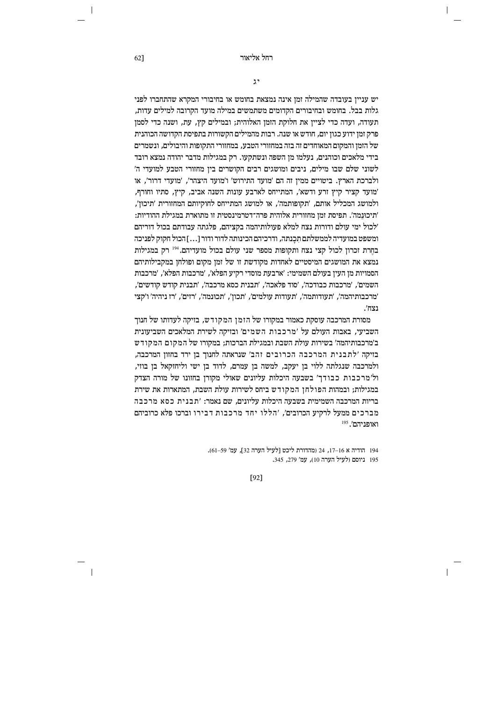$\overline{\phantom{a}}$ 

 $\mathfrak{z}$ 

יש ענייו בעובדה שהמילה זמו אינה נמצאת בחומש או בחיבורי המקרא שהתחברו לפני גלות בבל. בחומש ובחיבורים הקדומים משתמשים במילה מועד הקרובה למילים עדות, תעודה, ועדה כדי לציין את חלוקת הזמן האלוהית; ובמילים קץ, עת, ושנה כדי לסמן פרק זמן ידוע כגון יום, חודש או שנה. רבות מהמילים הקשורות בתפיסת הקדושה הכוהנית של הזמן והמקום המאוחדים זה בזה במחזורי הטבע, במחזורי התקופות והיבולים, ונשמרים בידי מלאכים וכוהנים. נעלמו מז השפה ונשתקעו. רק במגילות מדבר יהודה נמצא רובד לשוני שלם שבו מילים, ניבים ומושגים רבים הקושרים בין מחזורי הטבע למועדי ה' ולברכת הארץ. ביטויים ממין זה הם 'מועד התירוש' ו'מועד היצהר', 'מועדי דרור', או 'מועד קציר קיץ זרע ודשא', המתייחס לארבע עונות השנה אביב, קיץ, סתיו וחורף, ולמושג המכליל אותם, 'תקופותמה', או למושג המתייחס לחוקיותם המחזורית 'תיכון', 'תיכונמה'. תפיסת זמז מחזורית אלוהית פרה־דטרמינסטית זו מתוארת במגילת ההודיות: ׳לכול ימי עולם ודורות נצח למלא פעולותיהמה בקציהם. פלגתה עבודתם בכול דוריהם ומשפט במועדיה לממשלתם תִכַנתה, ודרכיהם הכינותה לדור ודור […] הכול חקוק לפניכה בחרת זכרון לכול קצי נצח ותקופות מספר שני עולם בכול מועדיהם.<sup>194</sup> רק במגילות נמצא את המושגים המיסטיים לאחדות מקודשת זו של זמז מקום ופולחז במקבילותיהם הסמויות מז העיז בעולם השמימי: 'ארבעת מוסדי רקיע הפלא'. 'מרכבות הפלא'. 'מרכבות השמים׳, ׳מרכבות כבודכה׳, ׳סוד פלאכה׳, ׳תבנית כסא מרכבה׳, ׳תבנית קודש קודשים׳, 'מרכבותיהמה', 'תעודותמה', 'תעודות עולמים', 'תכון', 'תכונמה', 'רזים', 'רז ניהיה' ו'קצי נצח'.

מסורת המרכבה עוסקת כאמור במקורו של הזמן המקודש, בזיקה לעדותו של חנוך השביעי. באבות העולם על 'מרכבות השמים' ובזיקה לשירת המלאכים השביעונית ב'מרכבותיהמה' בשירות עולת השבת ובמגילת הברכות; במקורו של המקום המקודש בזיקה 'לתבנית המרכבה הכרובים זהב' שנראתה לחנוך בן ירד בחזון המרכבה, ולמרכבה שנגלתה ללוי בן יעקב, למשה בן עמרם, לדוד בן ישי וליחזקאל בן בוזי, ול׳מרכבות כבודך׳ בשבעה היכלות עליונים שאולי מקורן בחזונו של מורה הצדק במגילות: ובמהות הפולחו המקודש ביחס לשירות עולת השבת. המתארות את שירת בריות המרכבה השמימית בשבעה היכלות עליונים, שם נאמר: 'תבנית כסא מרכבה מברכים ממעל לרקיע הכרובים׳, ׳הללו יחד מרכבות דבירו וברכו פלא כרוביהם  $^{195}$  'ראותו

> 194 הודיה א 16–17, 24 (מהדורת ליכט [לעיל הערה 32], עמ' 59–61). 195 ניוסם (לעיל הערה 10), עמ' 279, 345.

> > $[92]$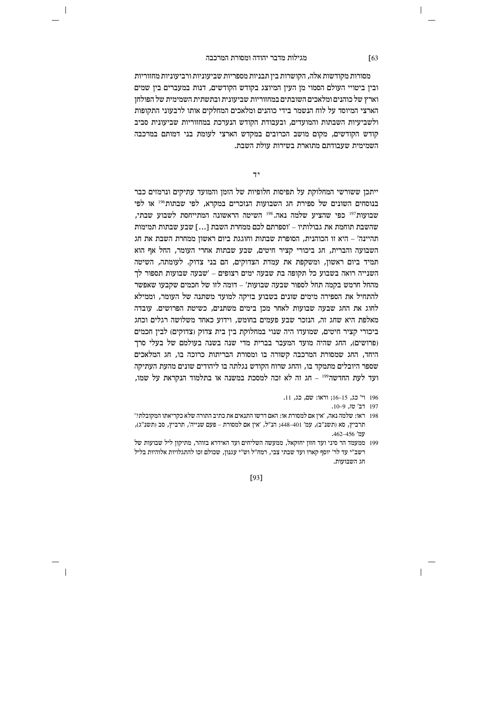$\overline{\phantom{a}}$ 

מסורות מקודשות אלה, הקושרות בין תבניות מספריות שביעוניות ורביעוניות מחזוריות ובין ביטויי העולם הסמוי מן העין המיוצג בקודש הקודשים, דנות במעברים בין שמים וארץ של כוהנים ומלאכים השובתים במחזוריות שביעונית ובתשתית השמימית של הפולחז הארצי המיוסד על לוח הנשמר בידי כוהנים ומלאכים המחלקים אותו לרבעוני התקופות ולשביעיות השבתות והמועדים. ובעבודת הקודש הנערכת במחזוריות שביעונית סביב קודש הקודשים, מקום מושב הכרובים במקדש הארצי לעומת בני דמותם במרכבה השמימית שעבודתם מתוארת בשירות עולת השבת.

 $7,$ 

ייתכן ששורשי המחלוקת על תפיסות חלופיות של הזמן והמועד עתיקים ונרמזים כבר בנוסחים השונים של ספירת חג השבועות הנזכרים במקרא, לפי שבתות196 או לפי שבועות<sup>197</sup> כפי שהציע שלמה נאה.<sup>198</sup> השיטה הראשונה המתייחסת לשבוע שבתי. שהשבת תוחמת את גבולותיו – ׳וספרתם לכם ממחרת השבת […] שבע שבתות תמימות תהיינה' – היא זו הכוהנית, הסופרת שבתות וחוגגת ביום ראשון ממחרת השבת את חג השבועה והברית, חג ביכורי קציר חיטים, שבע שבתות אחרי העומר, החל אף הוא תמיד ביום ראשון, ומשקפת את עמדת הצדוקים, הם בני צדוק. לעומתה, השיטה השנייה רואה בשבוע כל תקופה בת שבעה ימים רצופים – 'שבעה שבועות תספור לד מהחל חרמש בקמה תחל לספור שבעה שבועות׳ – דומה לזו של חכמים שקבעו שאפשר להתחיל את הספירה מימים שונים בשבוע בזיקה למועד משתנה של העומר, וממילא לחוג את החג שבעה שבועות לאחר מכן בימים משתנים, כשיטת הפרושים. עובדה מאלפת היא שחג זה, הנזכר שבע פעמים בחומש, וידוע כאחד משלושה רגלים וכחג ביכורי קציר חיטים, שמועדו היה שנוי במחלוקת בין בית צדוק (צדוקים) לבין חכמים (פרושים), החג שהיה מועד המעבר בברית מדי שנה בשנה בעולמם של בעלי סרך היחד, החג שמסורת המרכבה קשורה בו ומסורת הבריתות כרוכה בו, חג המלאכים שספר היובלים מתמקד בו, והחג שרוח הקודש נגלתה בו ליהודים שונים מהעת העתיקה ועד לעת החדשה<sup>199</sup> – חג זה לא זכה למסכת במשנה או בתלמוד הנקראת על שמו,

- 196 וי' כג, 15–16; וראו: שם, כג, 11.
	- 197 דב' טו. 9-10.
- 198 ראו: שלמה נאה, 'אין אם למסורת או: האם דרשו התנאים את כתיב התורה שלא כקריאתו המקובלת?' תרביץ, סא ותשנ״ב), עמ׳ 401–448; הנ״ל, ׳איז אם למסורת – פעם שנייה׳, תרביץ, סב ותשנ״ג), עמ' 462–456.
- 199 ממעמד הר סיני ועד חזוו יחזקאל. ממעשה השליחים ועד האידרא בזוהר, מתיקוו ליל שבועות של רשב״י עד לר׳ יוסף קארו ועד שבתי צבי, רמח״ל וש״י עגנון, שכולם זכו להתגלויות אלוהיות בליל חג השבועות.

[93]

 $\sqrt{63}$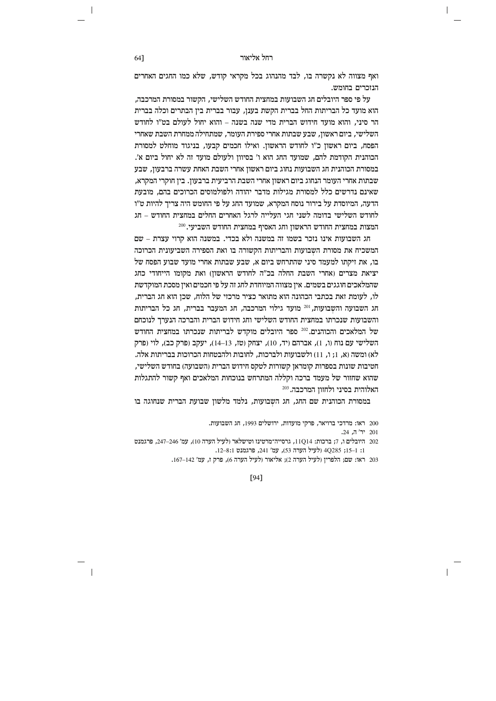ואף מצווה לא נקשרה בו, לבד מהנהוג בכל מקראי קודש, שלא כמו החגים האחרים הנזכרים בחומש.

על פי ספר היובלים חג השבועות במחצית החודש השלישי. הקשור במסורת המרכבה. הוא מועד כל הבריתות החל בברית הקשת בענן, עבור בברית בין הבתרים וכלה בברית הר סיני. והוא מועד חידוש הברית מדי שנה בשנה – והוא יחול לעולם בט״ו לחודש השלישי. ביום ראשוז. שבע שבתות אחרי ספירת העומר. שמתחילה ממחרת השבת שאחרי הפסח, ביום ראשון כ"ו לחודש הראשון. ואילו חכמים קבעו, בניגוד מוחלט למסורת הכוהנית הקודמת להם. שמועד החג הוא ו׳ בסיווז ולעולם מועד זה לא יחול ביום א׳. במסורת הכוהנית חג השבועות נחוג ביום ראשון אחרי השבת האחת עשרה ברבעון, שבע שבתות אחרי העומר הנחוג ביום ראשון אחרי השבת הרביעית ברבעון. בין חוקרי המקרא, שאינם נדרשים כלל למסורת מגילות מדבר יהודה ולפולמוסים הכרוכים בהם, מובעת הדעה, המיוסדת על בירור נוסח המקרא, שמועד החג על פי החומש היה צריך להיות ט״ו לחודש השלישי בדומה לשני חגי העלייה לרגל האחרים החלים במחצית החודש – חג המצות במחצית החודש הראשון וחג האסיף במחצית החודש השביעי. 200

חג השבועות אינו נזכר בשמו זה במשנה ולא בכדי. במשנה הוא קרוי עצרת – שם המשכיח את מסורת השבועות והבריתות הקשורה בו ואת הספירה השביעונית הכרוכה בו. את זיקתו למעמד סיני שהתרחש ביום א. שבע שבתות אחרי מועד שבוע הפסח של יציאת מצרים ואחרי השבת החלה בכ״ה לחודש הראשוז) ואת מקומו הייחודי כחג שהמלאכים חוגגים בשמים. אין מצווה המיוחדת לחג זה על פי חכמים ואין מסכת המוקדשת לו, לעומת זאת בכתבי הכהונה הוא מתואר כציר מרכזי של הלוח, שכן הוא חג הברית, חג השבועה והשבועות, <sup>201</sup> מועד גילוי המרכבה, חג המעבר בברית, חג כל הבריתות והשבועות שנכרתו במחצית החודש השלישי וחג חידוש הברית והברכה הנערך לנוכחם של המלאכים והכוהנים.<sup>202</sup> ספר היובלים מוקדש לבריתות שנכרתו במחצית החודש השלישי עם נוח (ו, 1), אברהם (יד, 10), יצחק (טז, 13–14), יעקב (פרק כב), לוי (פרק לא) ומשה (א. 1: 1. 11) ולשבועות ולברכות. לחובות ולהבטחות הכרוכות בבריתות אלה. חטיבות שונות בספרות קומראן קשורות לטקס חידוש הברית (השבועה) בחודש השלישי, שהוא שחזור של מעמד ברכה וקללה המתרחש בנוכחות המלאכים ואף קשור להתגלות האלוהית בסיני ולחזוז המרכבה. 203

במסורת הכוהנית שם החג, חג השבועות, נלמד מלשון שבועת הברית שנחוגה בו

200 ראו: מרדכי ברויאר, פרקי מועדות, ירושלים 1993, חג השבועות.

201 יר' ה. 24.

- 202 היובלים ו<br/>, דברכות: 11Q14, גרסייה־מרטינז וטישלאר (לעיל הערה 10), עמ' 246–247, פרגמנט 1: 1–15; 4Q285 (לעיל הערה 53), עמ' 241, פרגמנט 12–12.
	- 203 ראו: שם; הלפרין (לעיל הערה 2); אליאור (לעיל הערה 6), פרק ז, עמ' 142–167.

 $[94]$ 

64]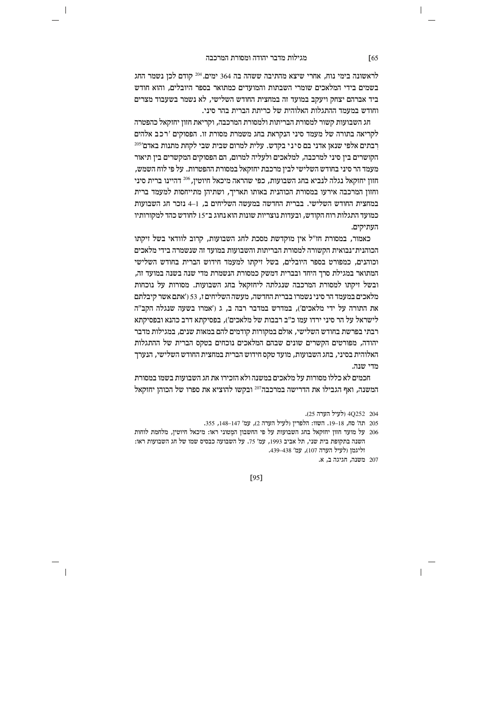$\overline{\phantom{a}}$ 

לראשונה בימי נוח, אחרי שיצא מהתיבה ששהה בה 364 ימים.<sup>204</sup> קודם לכן נשמר החג בשמים בידי המלאכים שומרי השבתות והמועדים כמתואר בספר היובלים, והוא חודש ביד אברהם יצחק ויעקב במועד זה במחצית החודש השלישי. לא נשמר בשעבוד מצרים וחודש במעמד ההתגלות האלוהית של כריתת הברית בהר סיני.

חג השבועות קשור למסורת הבריתות ולמסורת המרכבה, וקריאת חזון יחזקאל כהפטרה לקריאה בתורה של מעמד סיני הנקראת בחג משמרת מסורת זו. הפסוקים 'רכב אלהים רבתים אלפי שנאן אדני בם סיני בקדש. עלית למרום שבית שבי לקחת מתנות באדם'<sup>205</sup> הקושרים ביז סיני למרכבה. למלאכים ולעליה למרום. הם הפסוקים המקשרים ביז תיאור מעמד הר סיני בחודש השלישי לבין מרכבת יחזקאל במסורת ההפטרות. על פי לוח השמש, חזון יחזקאל נגלה לנביא בחג השבועות, כפי שהראה מיכאל חיוטין, 206 דהיינו ברית סיני וחזון המרכבה אירעו במסורת הכוהנית באותו תאריך, ושתיהן מתייחסות למעמד ברית במחצית החודש השלישי. בברית החדשה במעשה השליחים ב. 1–4 נזכר חג השבועות כמועד התגלות רוח הקודש. ובעדות נוצריות שונות הוא נחוג ב־15 לחודש כהד למקורותיו העתיקים.

כאמור, במסורת חז"ל אין מוקדשת מסכת לחג השבועות, קרוב לוודאי בשל זיקתו הכוהנית־נבואית הקשורה למסורת הבריתות והשבועות במועד זה שנשמרה בידי מלאכים וכוהנים. כמפורט בספר היובלים. בשל זיקתו למעמד חידוש הברית בחודש השלישי המתואר במגילת סרר היחד ובברית דמשק כמסורת הנשמרת מדי שנה בשנה במועד זה. ובשל זיקתו למסורת המרכבה שנגלתה ליחזקאל בחג השבועות. מסורות על נוכחות מלאכים במעמד הר סיני נשמרו בברית החדשה, מעשה השליחים ז, 53 ('אתם אשר קיבלתם את התורה על ידי מלאכים'), במדרש במדבר רבה ב, ג ('אמרו בשעה שנגלה הקב"ה  $x$ לישראל על הר סיני ירדו עמו כ"ב רבבות של מלאכים'), בפסיקתא דרב כהנא ובפסיקתא רבתי בפרשת בחודש השלישי, אולם במקורות קודמים להם במאות שנים, במגילות מדבר יהודה, מפורטים הקשרים שונים שבהם המלאכים נוכחים בטקס הברית של ההתגלות האלוהית בסיני, בחג השבועות, מועד טקס חידוש הברית במחצית החודש השלישי, הנערך מדי שנה.

חכמים לא כללו מסורות על מלאכים במשנה ולא הזכירו את חג השבועות בשמו במסורת המשנה. ואף הגבילו את הדרישה במרכבה $^{\rm 207}$  ובקשו להוציא את ספרו של הכוהז יחזקאל

204 252Q4 (לעיל הערה 25).

- 205 תה' סח, 18–19. השוו: הלפרין (לעיל הערה 2), עמ' 147–148, 355.
- על מועד חזון יחזקאל בחג השבועות על פי החשבון המטוני ראו: מיכאל חיוטין, מלחמת לוחות  $206$ השנה בתקופת בית שני, תל אביב 1993, עמ' 75. על השבועה כבסיס שמו של חג השבועות ראו: וליגמן (לעיל הערה 107), עמ' 438–439.

[95]

<sup>207</sup> משנה, תגיגה ב<br/>, א.  $\,$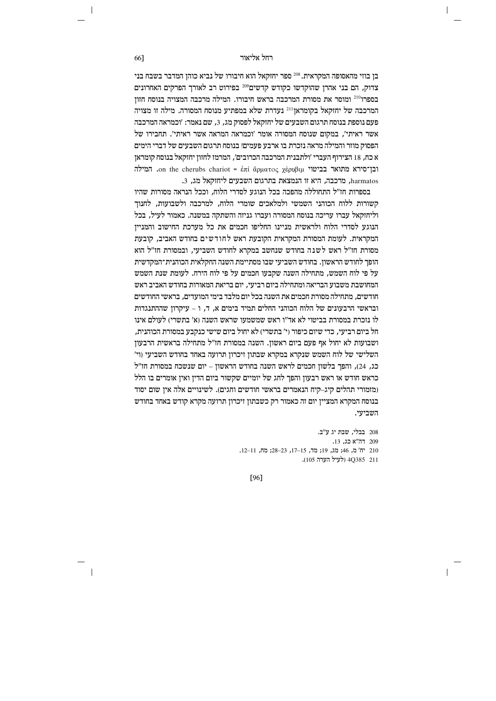בן בוזי מהאסופה המקראית. <sup>208</sup> ספר יחזקאל הוא חיבורו של נביא כוהן המדבר בשבח בני צדוק, הם בני אהרן שהוקדשו כקודש קדשים209 בפירוט רב לאורך הפרקים האחרונים בספרו<sup>210</sup> ומוסר את מסורת המרכבה בראש חיבורו. המילה מרכבה המצויה בנוסח חזוז המרכבה של יחזקאל בקומראן<sup>211</sup> נעדרת שלא במפתיע מנוסח המסורה. מילה זו מצויה פעם נוספת בנוסח תרגום השבעים של יחזקאל לפסוק מג, 3, שם נאמר: 'וכמראה המרכבה הפסוק מוזר והמילה מראה נזכרת בו ארבע פעמים! בנוסח תרגום השבעים של דברי הימים א כח, 18 הצירוף העברי 'ולתבנית המרכבה הכרובים', המרמז לחזון יחזקאל בנוסח קומראן המילה. on the cherubs chariot = επί άρματος χέρυβιμ "και παιτίσης". המילה harmatos, מרכבה, היא זו הנמצאת בתרגום השבעים ליחזקאל מג. 3.

בספרות חז״ל התחוללה מהפכה בכל הנוגע לסדרי הלוח. וככל הנראה מסורות שהיו קשורות ללוח הכוהני השמשי ולמלאכים שומרי הלוח, למרכבה ולשבועות, לחנוך וליחזקאל עברו עריכה בנוסח המסורה ועברו גניזה והשתקה במשנה. כאמור לעיל, בכל הנוגע לסדרי הלוח ולראשית מניינו החליפו חכמים את כל מערכת החישוב והמנייז המקראית. לעומת המסורת המקראית הקובעת ראש לחודשים בחודש האביב, קובעת מסורת חז"ל ראש לשנה בחודש שנחשב במקרא לחודש השביעי, ובמסורת חז"ל הוא הופר לחודש הראשוז. בחודש השביעי שבו מסתיימת השנה החקלאית הכוהנית־המקדשית על פי לוח השמש. מתחילה השנה שקבעו חכמים על פי לוח הירח. לעומת שנת השמש המחושבת משבוע הבריאה ומתחילה ביום רביעי, יום בריאת המאורות בחודש האביב ראש חודשים, מתחילה מסורת חכמים את השנה בכל יום מלבד בימי המועדים, בראשי החודשים ובראשי הרבעונים של הלוח הכוהני החלים תמיד בימים א, ד, ו – עיקרון שההתנגדות לו נזכרת במסורת בביטוי לא אד"ו ראש שמשמעו שראש השנה (א' בתשרי) לעולם אינו חל ביום רביעי. כדי שיום כיפור (י' בתשרי) לא יחול ביום שישי כנקבע במסורת הכוהנית. ושבועות לא יחול אף פעם ביום ראשון. השנה במסורת חז"ל מתחילה בראשית הרבעון השלישי של לוח השמש שנקרא במקרא שבתון זיכרון תרועה באחד בחודש השביעי (וי' כג, 24), והפך בלשון חכמים לראש השנה בחודש הראשון – יום שנשכח במסורת חז"ל כראש חודש או ראש רבעון והפך לחג של יומיים שקשור ביום הדין ואין אומרים בו הלל ומזמורי תהלים קיג–קיח הנאמרים בראשי חודשים וחגים). לשינויים אלה איז שום יסוד בנוסח המקרא המציין יום זה כאמור רק כשבתון זיכרון תרועה מקרא קודש באחד בחודש השביעי.

> 208 בבלי, שבת יג ע"ב. 209 הה"א כג. 13. 210 יח' מ, 46; מג, 19; מד, 15-17, 23-23; מח, 11-11. 211 4Q385 (לעיל הערה 105).

[96]

66]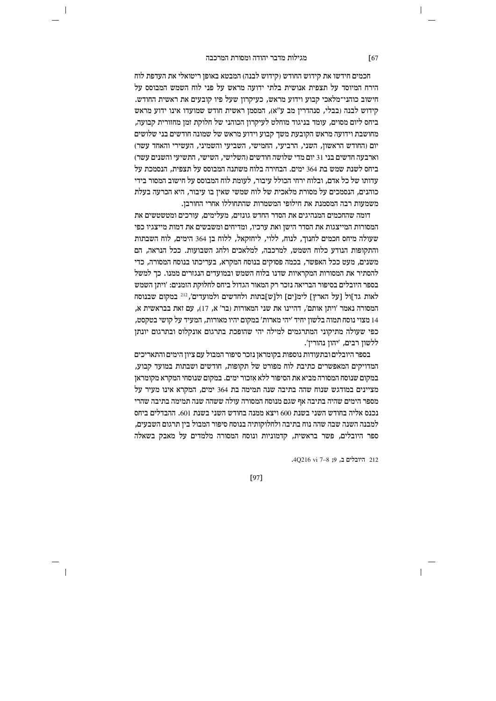$\overline{\phantom{a}}$ 

חכמים חידשו את קידוש החודש (קידוש לבנה) המבטא באופן ריטואלי את העדפת לוח הירח המיוסד על תצפית אנושית בלתי ידועה מראש על פני לוח השמש המבוסס על .<br>חישוב כוהני־מלאכי קבוע וידוע מראש. כעיקרוז שעל פיו קובעים את ראשית החודש. ה הינו ידוע הראש (בבלי, סנהדרין מב ע"א), המסמן ראשית חודש שמועדו אינו ידוע מראש ביחס ליום מסוים, עומד בניגוד מוחלט לעיקרון הכוהני של חלוקת זמן מחזורית קבועה, מחושבת וידועה מראש הקובעת משך קבוע וידוע מראש של שמונה חודשים בני שלושים יום (החודש הראשון, השני, הרביעי, החמישי, השביעי והשמיני, העשירי והאחד עשר) וארבעה חדשים בני 31 יום מדי שלושה חודשים (השלישי, השישי, התשיעי והשנים עשר) ביחס לשנת שמש בת 364 ימים. הבחירה בלוח משתנה המבוסס על תצפית. הנסמכת על עדותו של כל אדם. ובלוח ירחי הכולל עיבור. לעומת לוח המבוסס על חישוב המסור בידי כוהנים, הנסמכים על מסורת מלאכית של לוח שמשי שאין בו עיבור, היא הכרעה בעלת משמעות רבה המסמנת את חילופי המשמרות שהתחוללו אחרי החורבן.

דומה שהחכמים המנהיגים את הסדר החדש גונזים. מעלימים. עורכים ומטשטשים את המסורות המייצגות את הסדר הישו ואת ערכיו. ומדיחים ומשבשים את דמות מייצגיו כפי שעולה מיחס חכמים לחנוך, לנוח, ללוי, ליחזקאל, ללוח בן 364 הימים, לוח השבתות והתקופות הנודע כלוח השמש, למרכבה, למלאכים ולחג השבועות. ככל הנראה, הם משנים. מעט ככל האפשר. בכמה פסוקים בנוסח המקרא. בעריכתו בנוסח המסורה. כדי להסתיר את המסורות המקראיות שדנו בלוח השמש ובמועדים הנגזרים ממנו. כד למשל בספר היובלים בסיפור הבריאה נזכר רק המאור הגדול ביחס לחלוקת הזמנים: 'ויתן השמש לאות גד]ול [על הארץ] לימ[ים] ול[ש]בתות ולחדשים ולמועדים', 212 במקום שבנוסח המסורה נאמר 'ויתן אותם', דהיינו את שני המאורות (בר' א, 17), עם זאת בבראשית א, 14 מצוי נוסח תמוה בלשון יחיד 'יהי מארות' במקום יהיו מאורות, המעיד על קושי בטקסט, כפי שעולה מתיקוני המתרגמים למילה יהי שהופכת בתרגום אונקלוס ובתרגום יונתן ללשון רבים, 'יהון נהורין'.

בספר היובלים ובתעודות נוספות בקומראן נזכר סיפור המבול עם ציון הימים והתאריכים המדויקים המאפשרים כתיבת לוח מפורט של תקופות, חודשים ושבתות במועד קבוע, במקום שנוסח המסורה מביא את הסיפור ללא אזכור ימים. במקום שנוסחי המקרא מקומראן מציינים במודגש שנוח שהה בתיבה שנה תמימה בת 364 ימים. המקרא אינו מעיר על מספר הימים שהיה בתיבה אף שגם מנוסח המסורה עולה ששהה שנה תמימה בתיבה שהרי נכנס אליה בחודש השני בשנת 600 ויצא ממנה בחודש השני בשנת 601. ההבדלים ביחס למבנה השנה שבה שהה נוח בתיבה ולחלוקותיה בנוסח סיפור המבול ביז תרגום השבעים. ספר היובלים, פשר בראשית, קדמוניות ונוסח המסורה מלמדים על מאבק בשאלה

212 היובלים ב, 9; 8-7 AQ216 vi.

[97]

 $\sqrt{67}$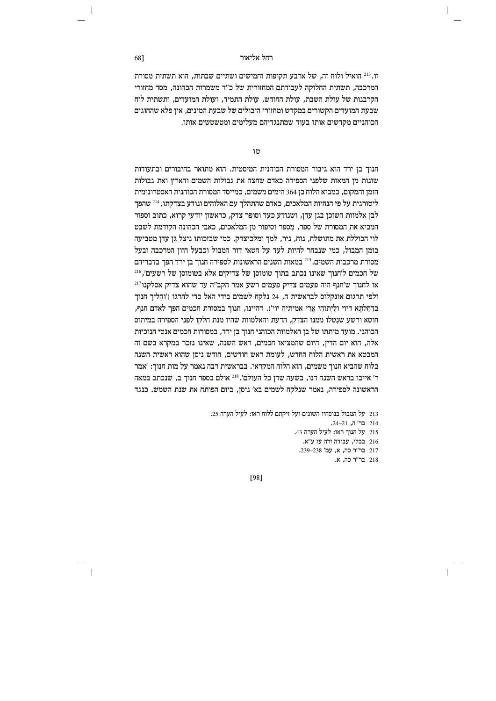זו. <sup>213</sup> הואיל ולוח זה, של ארבע תקופות וחמישים ושתיים שבתות, הוא תשתית מסורת המרכבה, תשתית החלוקה לעבודתם המחזורית של כ״ד משמרות הכהונה, מסד מחזורי הקרבנות של עולת השבת. עולת החודש, עולת התמיד, ועולת המועדים, ותשתית לוח שבעת המועדים הקשורים במקדש ומחזורי היבולים של שבעת המינים, אין פלא שהחוגים הכוהניים מקדשים אותו בעוד שמתנגדיהם מעלימים ומטשטשים אותו.

טו

חנוך בן ירד הוא גיבור המסורת הכוהנית המיסטית. הוא מתואר בחיבורים ובתעודות שונות מן המאות שלפני הספירה כאדם שחצה את גבולות השמים והארץ ואת גבולות הזמן והמקום, כמביא הלוח בן 364 הימים משמים, כמייסד המסורת הכוהנית האסטרונומית ליטורגית על פי הנחיות המלאכים, כאדם שהתהלך עם האלוהים ונודע בצדקתו, 214 שהפך לבו אלמוות השוכו בגו עדו. ושנודע כעד וסופר צדק. כראשוו יודעי קרוא. כתוב וספור המביא את המסורת של ספר. מספר וסיפור מז המלאכים. כאבי הכהונה הקודמת לשבט לוי הכוללת את מתושלח, נוח, ניר, למך ומלכיצדק, כמי שבזכותו ניצל גן עדן מטביעה בזמן המבול, כמי שנבחר להיות לעד על חטאי דור המבול וכבעל חזון המרכבה ובעל מסורת מרכבות השמים.<sup>215</sup> במאות השנים הראשונות לספירה חנור בז ירד הפר בדבריהם של חכמים ל'חנור שאינו נכתב בתור טומוסז של צדיקים אלא בטומוסז של רשעים'.<sup>216</sup>  $^{217}$ או לחנוך ש'חנף היה פעמים צדיק פעמים רשע אמר הקב"ה עד שהוא צדיק אסלקנו ולפי תרגום אונקלוס לבראשית ה, 24 נלקח לשמים בידי האל כדי להרגו ('והליך חנוך בדחלתא דיוי וליתוהי ארי אמיתיה יוי'). דהיינו, חנוך במסורת חכמים הפך לאדם חנף, חוטא ורשע שנטלו ממנו הצדק, הדעת והאלמוות שהיו מנת חלקו לפני הספירה במיתוס הכוהני. מועד מיתתו של בן האלמוות הכוהני חנוך בן ירד, במסורות חכמים אנטי חנוכיות אלה, הוא יום הדין, היום שהמציאו חכמים, ראש השנה, שאינו נזכר במקרא בשם זה המבטא את ראשית הלוח החדש, לעומת ראש חודשים, חודש ניסן שהוא ראשית השנה בלוח שהביא חנוך משמים, הוא הלוח המקראי. בבראשית רבה נאמר על מות חנוך: 'אמר ר' אייבו בראש השנה דנו, בשעה שדן כל העולם'.<sup>218</sup> אולם בספר חנוך ב, שנכתב במאה הראשונה לספירה. נאמר שנלקח לשמים בא׳ ניסז. ביום הפותח את שנת השמש. כנגד

213 על המבול בנוסחיו השונים ועל זיקתם ללוח ראו: לעיל הערה 25.

214 בר' ה, 21–24.

 $\mathbf{I}$ 

215 על חנוך ראו: לעיל הערה 43.

216 בבלי, עבודה זרה עז ע"א. 217 בר"ר כה, א, עמ' 239–239.

218 בר"ר כה, א.

[98]

68]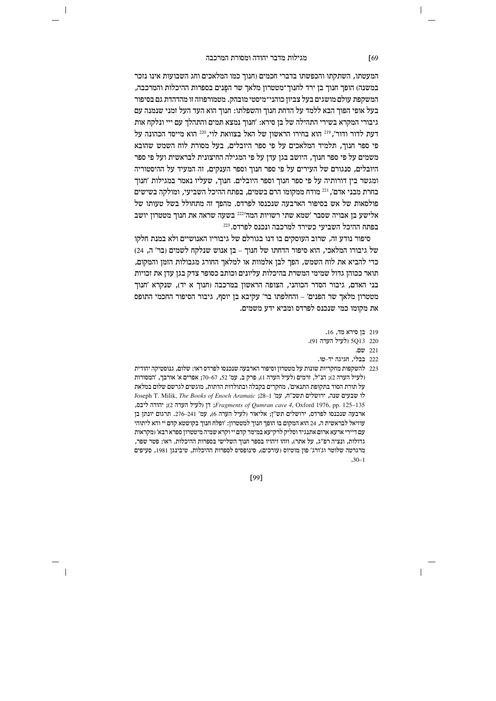$\overline{\phantom{a}}$ 

המעטתו, השתקתו והכפשתו בדברי חכמים (חנוך כמו המלאכים וחג השבועות אינו נזכר במשנה) הופך חנוך בן ירד לחנוך־מטטרון מלאך שר הפנים בספרות ההיכלות והמרכבה, המשקפת עולם מושגים בעל צביוז כוהני־מיסטי מובהק. מטמורפוזה זו מהדהדת גם בסיפור בעל אופי הפוך הבא ללמד על הדחת חנוך והשפלתו: חנוך הוא העד העל זמני שנמנה עם גיבורי המקרא בשירי התהילה של בז סירא: 'חנוד נמצא תמים והתהלר עם ייי ונלקח אות דעת לדור ודור׳. 219 הוא בחירו הראשוז של האל בצוואת לוי. 220 הוא מייסד הכהונה על פי ספר חנוך, תלמיד המלאכים על פי ספר היובלים, בעל מסורת לוח השמש שהובא משמים על פי ספר חנור. היושב בגז עדו על פי המגילה החיצונית לבראשית ועל פי ספר היובלים, סנגורם של העירים על פי ספר חנוך וספר הענקים, זה המעיד על ההיסטוריה ומגשר בין דורותיה על פי ספר חנוך וספר היובלים. חנוך, שעליו נאמר במגילות 'חנוך בחרת מבני אדם', <sup>221</sup> מודח ממקומו הרם בשמים, בפתח ההיכל השביעי, ומולקה בשישים פולסאות של אש בסיפור הארבעה שנכנסו לפרדס. מהפך זה מתחולל בשל טעותו של ישב אלישע אין אבויה אסבר געמא אתי רשויות המה<sup>2221</sup> בשעה שראה את חנור מטטרוז א בפתח ההיכל השביעי כשירד למרכבה ונכנס לפרדס. <sup>223</sup>

סיפור נודע זה, שרוב העוסקים בו דנו בגורלם של גיבוריו האנושיים ולא במנת חלקו של גיבורו המלאכי, הוא סיפור הדחתו של חנוך – בן אנוש שנלקח לשמים (בר' ה, 24) כדי להביא את לוח השמש, הפך לבן אלמוות או למלאך החורג מגבולות הזמן והמקום, תואר ככוהז גדול שמימי המשרת בהיכלות עליונים וכותב כסופר צדק בגז עדז את זכויות בני האדם, גיבור הסדר הכוהני, הצופה הראשון במרכבה (חנוך א יד), שנקרא 'חנוך מטטרון מלאך שר הפנים' – והחלפתו בר' עקיבא בן יוסף, גיבור הסיפור החכמי התופס את מקומו כמי שנכנס לפרדס ומביא ידע משמים.

219 **בן סירא מד, 16.** 

 $\overline{\phantom{a}}$ 

- 222 בבלי, חגיגה יד-טו.
- 223 להשקפות מחקריות שונות על מטטרון וסיפור הארבעה שנכנסו לפרדס ראו: שלום, גנוסטיקה יהודית (לעיל הערה 2); הנ"ל, זרמים (לעיל הערה 1), פרק ב, עמ' 52, 67–70; אפרים א' אורבך, 'המסורות על תורת הסוד בתקופת התנאים׳, מחקרים בקבלה ובתולדות הדתות, מוגשים לגרשם שלום במלאת Joseph T. Milik, The Books of Enoch Aramaic ;<br/>28–1  $\gamma$ עמ' רושלים השכ"ח, לו שבעים ל דן (לעיל הערה 2); והודה ליבס, Fragments of Qumran cave 4, Oxford 1976, pp. 125-135 ארבעה שנכנסו לפרדס, ירושלים תש"ן; אליאור (לעיל הערה 6), עמ' 241–276. תרגום יונתן בן עוזיאל לבראשית ה, 24 הוא המקום בו הופך חנוך למטטרון: 'ופלח חנוך בקושטא קדם יי והא ליתוהי עם דיירי ארעא ארום אתנגיד וסליק לרקיעא במימר קדם יי וקרא שמיה מיטטרון ספרא רבא' (מקראות גדולות, ונציה רפ"ג, על אתר), וזהו זיהויו בספר חנוך השלישי בספרות ההיכלות. ראו: פטר שפר, מרגרטה שלוטר וג'ורג' פון מוטיוס (עורכים), סינופסיס לספרות ההיכלות, טיבינגן 1981, סעיפים  $-30-1$

[99]

 $\sqrt{69}$ 

<sup>220 5</sup>Q13 (לעיל הערה 91).

<sup>221</sup> שם.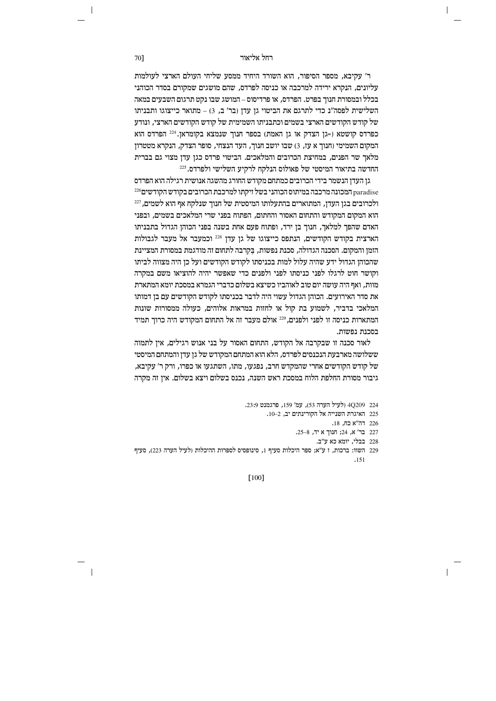ר' עקיבא, מספר הסיפור, הוא השורד היחיד ממסע שליחי העולם הארצי לעולמות עליונים, הנקרא ירידה למרכבה או כניסה לפרדס, שהם מושגים שמקורם בסדר הכוהני בכלל ובמסורת חנור בפרט. הפרדס, או פרדיסוס – המושג שבו נקט תרגום השבעים במאה השלישית לפסה"נ כדי לתרגם את הביטוי גן עדן (בר' ב, 3) – מתואר כייצוגו ותבניתו של קודש הקודשים הארצי בשמים וכתבניתו השמימית של קודש הקודשים הארצי. ונודע ופרדס הוא (כפרדס הוא גן האמת) בספר חנוך שנמצא הקומראן. 224 הפרדס הוא המקום השמימי (חנוך א עז, 3) שבו יושב חנוך, העד הנצחי, סופר הצדק, הנקרא מטטרון מלאר שר הפנים. במחיצת הכרובים והמלאכים. הביטוי פרדס כגז עדו מצוי גם בברית החדשה בתיאור המיסטי של פאולוס הנלקח לרקיע השלישי ולפרדס. 225

גן העדן הנשמר בידי הכרובים כמתחם מקודש החורג מהשגה אנושית רגילה הוא הפרדס paradise המכונה מרכבה במיתוס הכוהני בשל זיקתו למרכבת הכרובים בקודש הקודשים<sup>226</sup> ולכרובים בגן העדן, המתוארים בהתעלותו המיסטית של חנוך שנלקח אף הוא לשמים,  $^{227}$ הוא המקום המקודש והתחום האסור והחתום. הפתוח בפני שרי המלאכים בשמים. ובפני האדם שהפך למלאך, חנוך בן ירד, ופתוח פעם אחת בשנה בפני הכוהן הגדול בתבניתו הארצית בקודש הקודשים, הנתפס כייצוגו של גן עדן 228 וכמעבר אל מעבר לגבולות הזמן והמקום. הסכנה הגדולה, סכנת נפשות, בקרבה לתחום זה מודגמת במסורת המציינת שהכוהו הגדול ידע שהיה עלול למות בכניסתו לקודש הקודשים ועל כו היה מצווה לביתו וקושר חוט לרגלו לפני כניסתו לפני ולפנים כדי שאפשר יהיה להוציאו משם במקרה מוות, ואף היה עושה יום טוב לאוהביו כשיצא בשלום כדברי הגמרא במסכת יומא המתארת את סדר האירועים. הכוהן הגדול עשוי היה לדבר בכניסתו לקודש הקודשים עם בן דמותו המלאכי בדביר, לשמוע בת קול או לחזות במראות אלוהים, כעולה ממסורות שונות המתארות כניסה זו לפני ולפנים, 229 אולם מעבר זה אל התחום המקודש היה כרוך תמיד בסכנת נפשות.

לאור סכנה זו שבקרבה אל הקודש, התחום האסור על בני אנוש רגילים, אין לתמוה ששלושה מארבעת הנכנסים לפרדס, הלא הוא המתחם המקודש של גן עדן והמתחם המיסטי של קודש הקודשים אחרי שהמקדש חרב, נפגעו, מתו, השתגעו או כפרו, ורק ר' עקיבא, גיבור מסורת החלפת הלוח במסכת ראש השנה, נכנס בשלום ויצא בשלום. אין זה מקרה

- 224 40209 ולעיל הערה 53), עמ' 159. פרגמנט 23:9.
	- 225 האיגרת השנייה אל הקורינתים יב, 2–10.
		- 226 דה"א כח, 18.
		- 227 בר' א, 24; חנוך א יד, 8–25.
			- 228 בבלי, יומא כא ע"ב.
- 229 השוו: ברכות, ז ע"א; ספר היכלות סעיף 1, סינופסיס לספרות ההיכלות (לעיל הערה 223), סעיף  $.151$

 $[100]$ 

70]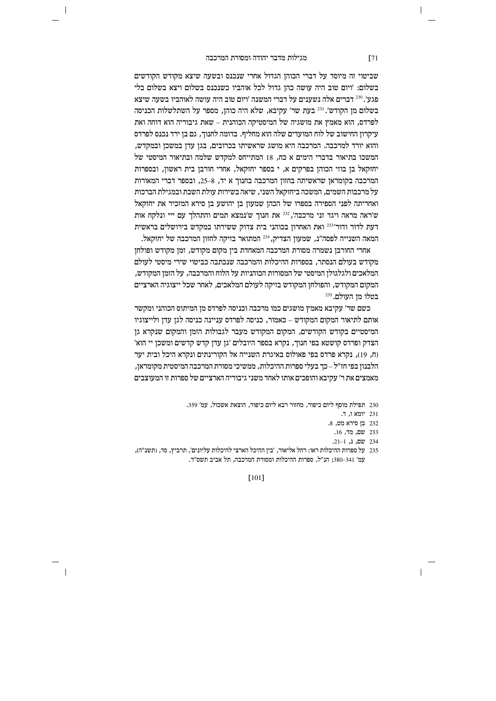$\overline{\phantom{a}}$ 

שביטוי זה מיוסד על דברי הכוהן הגדול אחרי שנכנס ובשעה שיצא מקודש הקודשים בשלום: 'ויום טוב היה עושה כהן גדול לכל אוהביו כשנכנס בשלום ויצא בשלום בלי  $\,$  פגע'. $^{230}$  דברים אלה נשענים על דברי המשנה 'ויום טוב היה עושה לאוהביו בשעה שיצא  $z^{231}$  בשלום מן הקודש'.  $^{231}$  בעת שר' עקיבא, שלא היה כוהן, מספר על השתלשלות הכניסה  $q$ לפרדס, הוא מאמץ את מושגיה של המיסטיקה הכוהנית – שאת גיבוריה הוא דוחה ואת עיקרון החישוב של לוח המועדים שלה הוא מחליף. בדומה לחנוך, גם בן ירד נכנס לפרדס והוא יורד למרכבה. המרכבה היא מושג שראשיתו בכרובים, בגן עדן במשכן ובמקדש, המשכו בתיאור בדברי הימים א כח. 18 המתייחס למקדש שלמה ובתיאור המיסטי של יחזקאל בן בוזי הכוהן בפרקים א, י בספר יחזקאל, אחרי חורבן בית ראשון, ובספרות המרכבה בקומראן שראשיתה בחזון המרכבה בחנוך א יד, 8–25, ובספר דברי המאורות  $\chi$ על מרכבות השמים, המשכה ביחזקאל השני, שיאה בשירות עולת השבת ובמגילת הברכות ואחריתה לפני הספירה בספרו של הכהן שמעון בן יהושע בן סירא המזכיר את יחזקאל  $z$ ש'ראה מראה ויגד זני מרכבה'.  $^{232}$ את חנור ש'נמצא תמים והתהלד עם ייי ונלקח אות דעת לדור ודור׳<sup>233</sup> ואת האחרוז בכוהני בית צדוק ששירתו במקדש בירושלים בראשית . המאה השנייה לפסה"נ, שמעון הצדיק, <sup>234</sup> המתואר בזיקה לחזון המרכבה של יחזקאל.

אחרי החורבן נשמרה מסורת המרכבה המאחדת בין מקום מקודש, זמן מקודש ופולחן מקודש בעולם הנסתר. בספרות ההיכלות והמרכבה שנכתבה כביטוי שירי מיסטי לעולם המלאכים ולגלגולו המיסטי של המסורות הכוהניות על הלוח והמרכבה. על הזמז המקודש. המקום המקודש, והפולחן המקודש בזיקה לעולם המלאכים, לאחר שכל ייצוגיה הארציים בטלו מז העולם. 235

כשם שר׳ עקיבא מאמץ מושגים כמו מרכבה וכניסה לפרדס מן המיתוס הכוהני ומקשר אותם לתיאור המקום המקודש – כאמור, כניסה לפרדס עניינה כניסה לגן עדן ולייצוגיו המיסטיים בקודש הקודשים, המקום המקודש מעבר לגבולות הזמן והמקום שנקרא גן  $^\prime$ הצדק ופרדס קושטא בפי חנוך, נקרא בספר היובלים 'גן עדן קדש קדשים ומשכן יי הוא (ח, 19), נקרא פרדס בפי פאולוס באיגרת השנייה אל הקורינתים ונקרא היכל ובית יער הלבנון בפי חז״ל – כך בעלי ספרות ההיכלות, ממשיכי מסורת המרכבה המיסטית מקומראן, מאמצים את ר' עקיבא והופכים אותו לאחד משני גיבוריה הארציים של ספרות זו המעוצבים

230 תפילת מוסף ליום כיפור, מחזור רבא ליום כיפור, הוצאת אשכול, עמ' 359.

- ר. יומא $\,$  17. יומא
- $232$  בן סירא מט,  $232$
- 233 my, cn, .16
- 234 **שם. נ.** 1-21.
- 235 על ספרות ההיכלות ראו: רחל אליאור, 'בין ההיכל הארצי להיכלות עליונים', תרביץ, סד, (תשנ"ה), עמ' 380–341; הנ"ל, ספרות ההיכלות ומסורת המרכבה, תל אביב תשס"ד.

[101]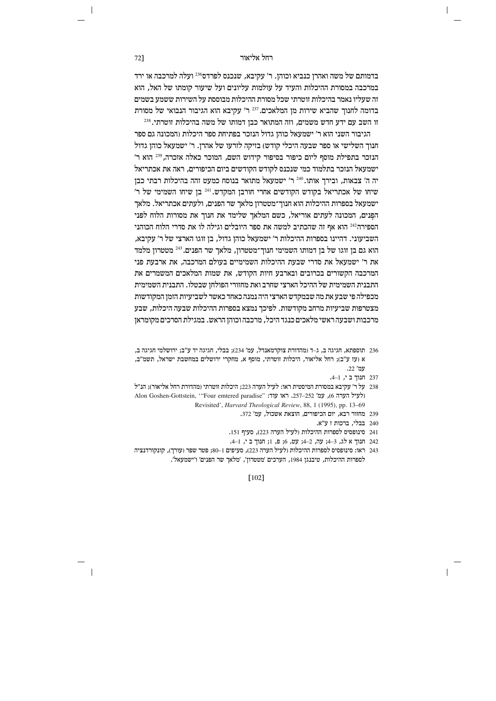# רחל אליאור **ו**

בדמותם של משה ואהרן כנביא וכוהן. ר' עקיבא, שנכנס לפרדס<sup>236</sup> ועלה למרכבה או ירד  $\kappa$ במרכבה במסורת ההיכלות והעיד על עולמות עליונים ועל שיעור קומתו של האל, הוא זה שעליו נאמר בהיכלות זוטרתי שכל מסורת ההיכלות מבוססת על השירות ששמע בשמים  $\alpha$ בדומה לחנוך שהביא שירות מן המלאכים. $^{237}$  ר' עקיבא הוא הגיבור הנבואי של מסורת  $^{238}.$ זו השב עם ידע חדש משמים. וזה המתואר כבז דמותו של משה בהיכלות זוטרתי

הגיבור השני הוא ר' ישמעאל כוהן גדול הנזכר בפתיחת ספר היכלות (המכונה גם ספר  $j$ הנוך השלישי או ספר שבעה היכלי קודש) בזיקה לזרעו של אהרן. ר' ישמעאל כוהן גדול הנזכר בתפילת מוסף ליום כיפור בסיפור קידוש השם. המוכר כאלה אזכרה,<sup>239</sup> הוא ר׳  $\epsilon$ ישמעאל הנזכר בתלמוד כמי שנכנס לקודש הקודשים ביום הכיפורים, ראה את אכתריאל יה ה' צבאות, ובירך אותו.<sup>240</sup> ר' ישמעאל מתואר בנוסח כמעט זהה בהיכלות רבתי כבן 'סיחו של אכתריאל בקודש הקודשים אחרי חורבן המקדש. <sup>241</sup> בן שיחו השמימי של ר ישמעאל בספרות ההיכלות הוא חנוך־מטטרון מלאך שר הפנים, ולעתים אכתריאל. מלאך הפנים. המכונה לעתים אוריאל, כשם המלאר שלימד את חנור את מסורות הלוח לפני הספירה $^\mathrm{242}$  הוא אף זה שהכתיב למשה את ספר היובלים וגילה לו את סדרי הלוח הכוהני השביעוני. דהיינו בספרות ההיכלות ר' ישמעאל כוהן גדול, בן זוגו הארצי של ר' עקיבא, הוא גם בן זוגו של בן דמותו השמימי חנוך־מטטרון, מלאך שר הפנים.<sup>243</sup> מטטרון מלמד את ר' ישמעאל את סדרי שבעת ההיכלות השמימיים בעולם המרכבה. את ארבעת פני המרכבה הקשורים בכרובים ובארבע חיות הקודש, את שמות המלאכים המשמרים את התבנית השמימית של ההיכל הארצי שחרב ואת מחזורי הפולחן שבטלו. התבנית השמימית מכפילה פי שבע את מה שבמקדש הארצי היה נמנה כאחד כאשר לשביעיות הזמן המקודשות מצטרפות שביעיות מרחב מקודשות. לפיכך נמצא בספרות ההיכלות שבעה היכלות, שבע מרכבות ושבעה ראשי מלאכים כנגד היכל, מרכבה וכוהן הראש. במגילת הסרכים מקומראן

- תוספתא, חגיגה ב, ג-ד (מהדורת צוקרמאנדל, עמ' 234); בבלי, חגיגה יד ע"ב; ירושלמי חגיגה ב, א (עז ע"ב); רחל אליאור, היכלות זוטרתי, מוסף א, מחקרי ירושלים במחשבת ישראל, תשמ"ב, עמ' 22.
	- 237 **הנוך בי, ו-4.**
- 5" על ר' עקיבא במסורת המיסטית ראו: לעיל הערה 223; היכלות זוטרתי (מהדורת רחל אליאור); הנ"ל (לעיל הערה 6), עמ' 252–257. ראו עוד: "Four emtered paradise" ולעיל הערה 6), Revisited', *Harvard Theological Review*, 88, 1 (1995), pp. 13-69
	- 239 מחזור רבא, יום הכיפורים, הוצאת אשכול, עמ' 372.
		- בבלי, ברכות ז $x^{\prime\prime}$  i בבלי, ב
	- 241 סינופסיס לספרות ההיכלות (לעיל הערה 223), סעיף 151.
	- 242 חנוך א לג, 3–4; עה, 2–4; עט, 6; פ, 1; חנוך ב<, 1–4.
- $243$  ראו: סינופסיס לספרות ההיכלות (לעיל הערה 223), סעיפים 1–80; פטר שפר (עורך), קונקורדנציה  $i'$ לספרות ההיכלות, טיבנגן 1984, הערכים 'מטטרון', 'מלאך שר הפנים' ו'ישמעאל'.

[102]

 $\overline{\phantom{a}}$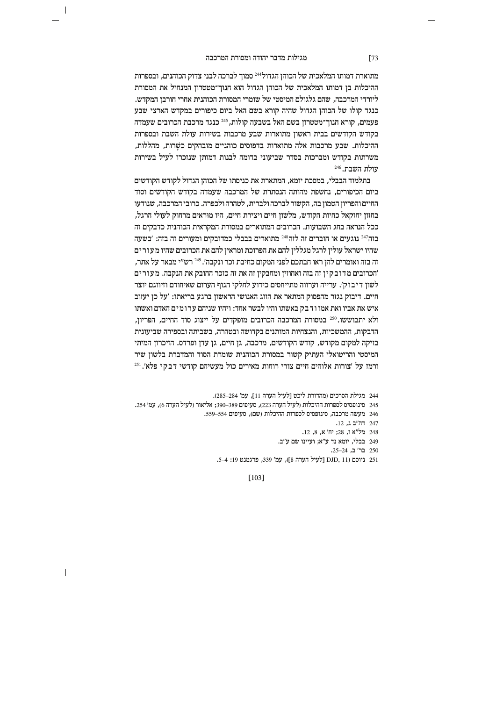# מגילות מדבר יהודה ומסורת המרכבה

 $\overline{\phantom{a}}$ 

מתוארת דמותו המלאכית של הכוהן הגדול $^{244}$ סמוך לברכה לבני צדוק הכוהנים, ובספרות ההיכלות בן דמותו המלאכית של הכוהן הגדול הוא חנוך־מטטרון המנחיל את המסורת .<br>ליורדי המרכבה, שהם גלגולם המיסטי של שומרי המסורת הכוהנית אחרי חורבז המקדש. כנגד קולו של הכוהן הגדול שהיה קורא בשם האל ביום כיפורים במקדש הארצי שבע  $c$ פעמים, קורא חנוך־מטטרון בשם האל בשבעה קולות, 245 כנגד מרכבת הכרובים שעמדה בקודש הקודשים בבית ראשון מתוארות שבע מרכבות בשירות עולת השבת ובספרות ההיכלות. שבע מרכבות אלה מתוארות בדפוסים כוהניים מובהקים כשרות, מהללות, משרתות בקודש ומברכות בסדר שביעוני בדומה לבנות דמותו שנזכרו לעיל בשירות  $^{246}$ . עולת השבת

בתלמוד הבבלי, במסכת יומא, המתארת את כניסתו של הכוהן הגדול לקודש הקודשים ביום הכיפורים, נחשפת מהותה הנסתרת של המרכבה שעמדה בקודש הקודשים וסוד החיים והפריון הטמון בה, הקשור לברכה ולברית, לטהרה ולכפרה. כרובי המרכבה, שנודעו בחזוז יחזקאל כחיות הקודש. מלשוז חיים ויצירת חיים, היו מוראים מרחוק לעולי הרגל, ככל הנראה בחג השבועות. הכרובים המתוארים במסורת המקראית הכוהנית כדבקים זה בזה<sup>247</sup> נוגעים או חוברים זה לזה<sup>248</sup> מתוארים בבבלי כמדובקים ומעורים זה בזה: 'בשעה שהיו ישראל עולין לרגל מגללין להם את הפרוכת ומראין להם את הכרובים שהיו מעור ים זה בזה ואומרים להז ראו חבתכם לפני המקום כחיבת זכר ונקבה'. <sup>249</sup> רש"י מבאר על אתר. 'הכרובים מדובקיז זה בזה ואחוזיו ומחבקיז זה את זה כזכר החובק את הנקבה. מעורים  $\dot{\gamma}$ לשון דיבוק׳. ערייה וערווה מתייחסים כידוע לחלקי הגוף הערום שאיחודם וזיווגם יוצר חיים. דיבוק נגזר מהפסוק המתאר את הזוג האנושי הראשון ברגע בריאתו: 'על כן יעזוב איש את אביו ואת אמו ודבק באשתו והיו לבשר אחד: ויהיו שניהם ערומים האדם ואשתו ולא יתבוששו.<sup>250</sup> במסורת המרכבה הכרובים מופקדים על ייצוג סוד החיים, הפריון, הדבקות, ההמשכיות, והנצחיות המותנים בקדושה ובטהרה, בשביתה ובספירה שביעונית בזיקה למקום מקודש, קודש הקודשים, מרכבה, גן חיים, גן עדן ופרדס. הזיכרון המיתי המיסטי והריטואלי העתיק קשור במסורת הכוהנית שומרת הסוד והמדברת בלשון שיר ורמז על ׳צורות אלוהים חיים צורי רוחות מאירים כול מעשיהם קודשי דבקי פלא׳.<sup>251</sup>

מגילת הסרכים (מהדורת ליכט [לעיל הערה 11], עמ' 284–285). 245 סינופסיס לספרות ההיכלות ולעיל הערה 223), סעיפים 389–390: אליאור ולעיל הערה 6), עמ׳ 254. 246 מעשה מרכבה, סינופסיס לספרות ההיכלות (שם), סעיפים 554–559. 247 הה"ב ג. 12. 248 מל"א ו, 28; יח' א, 8, 12. יומא נד ע"א; ועיינו שם ע"ב. <br>249 -

250 בר' ב, 24–25.

.5-4 ניוסם (11 DJD, 11 ביוסם (11 kvr), עמ' 339, פרגמנט 13: 4-5.

[103]

 $\overline{\phantom{a}}$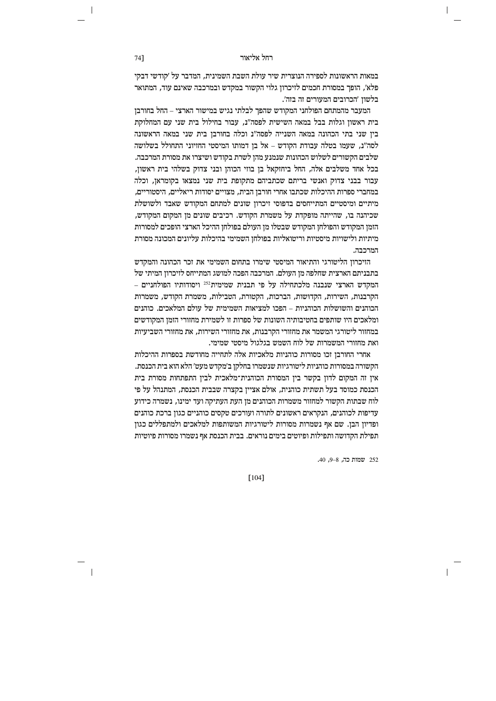## רחל אליאור **וועדווי**

במאות הראשונות לספירה הנוצרית שיר עולת השבת השמינית, המדבר על ׳קודשי דבקי מלא׳, הופך במסורת חכמים לזיכרון גלוי הקשור במקדש ובמרכבה שאינם עוד, המתואר בלשוז 'הכרובים המעורים זה בזה'.

המעבר מהמתחם הפולחני המקודש שהפך לבלתי נגיש במישור הארצי – החל בחורבן בית ראשון וגלות בבל במאה השישית לפסה"נ, עבור בחילול בית שני עם המחלוקת בין שני בתי הכהונה במאה השנייה לפסה"נ וכלה בחורבן בית שני במאה הראשונה לסה"נ, שעמו בטלה עבודת הקודש – אל בן דמותו המיסטי החזיוני התחולל בשלושה  $\alpha$ שלבים הקשורים לשלוש הכהונות שנמנע מהז לשרת בקודש ושיצרו את מסורת המרכבה. בכל אחד משלבים אלה, החל ביחזקאל בן בוזי הכוהן ובני צדוק בשלהי בית ראשון, עבור בבני צדוק ואנשי בריתם שכתביהם מתקופת בית שני נמצאו בקומראן, וכלה במחברי ספרות ההיכלות שכתבו אחרי חורבן הבית, מצויים יסודות ריאליים, היסטוריים, מיתיים ומיסטיים המתייחסים בדפוסי זיכרון שונים למתחם המקודש שאבד ולשושלת שכיהנה בו. שהייתה מופקדת על משמרת הקודש. רכיבים שונים מז המקום המקודש, הזמן המקודש והפולחן המקודש שבטלו מן העולם בפולחן ההיכל הארצי הופכים למסורות מיתיות ולישויות מיסטיות וריטואליות בפולחן השמימי בהיכלות עליונים המכונה מסורת המרכבה.

הזיכרוז הליטורגי והתיאור המיסטי שימרו בתחום השמימי את זכר הכהונה והמקדש בתבניתם הארצית שחלפה מז העולם. המרכבה הפכה למושג המתייחס לזיכרוז המיתי של המקדש הארצי שנבנה מלכתחילה על פי תבנית שמימית<sup>252</sup> ויסודותיו הפולחניים – הקרבנות, השירות, הקדושות, הברכות, הקטורת, הטבילות, משמרת הקודש, משמרות הכוהנים והשושלות הכוהניות *–* הפכו למציאות השמימית של עולם המלאכים. כוהנים ומלאכים היו שותפים בחטיבותיה השונות של ספרות זו לשמירת מחזורי הזמן המקודשים  $z$ במחזור ליטורגי המשמר את מחזורי הקרבנות, את מחזורי השירות, את מחזורי השביעיות ואת מחזורי המשמרות של לוח השמש בגלגול מיסטי שמימי.

אחרי החורבן זכו מסורות כוהניות מלאכיות אלה לתחייה מחודשת בספרות ההיכלות הקשורה במסורות כוהגיות ליטורגיות שנשמרו בחלקן ב'מקדש מעט' הלא הוא בית הכנסת. אין זה המקום לדון בקשר בין המסורת הכוהנית־מלאכית לבין התפתחות מסורת בית הכנסת כמוסד בעל תשתית כוהנית. אולם אצייז בקצרה שבבית הכנסת. המתנהל על פי לוח שבתות הקשור למחזור משמרות הכוהנים מן העת העתיקה ועד ימינו, נשמרה כידוע עדיפות לכוהנים, הנקראים ראשונים לתורה ועורכים טקסים כוהניים כגון ברכת כוהנים ופדיוז הבו. שם אף נשמרות מסורות ליטורגיות המשותפות למלאכים ולמתפללים כגוז תפילת הקדושה ותפילות ופיוטים בימים נוראים. בבית הכנסת אף נשמרו מסורות פיוטיות

252 שמות כה, 8-9, 40.

[104]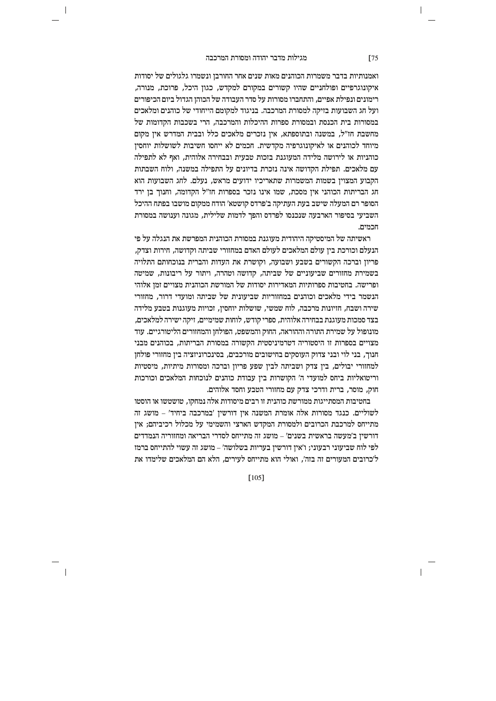### מגילות מדבר יהודה ומסורת המרכבה **g**75

ואמנותיות בדבר משמרות הכוהנים מאות שנים אחר החורבן ונשמרו גלגולים של יסודות איקונוגרפיים ופולחניים שהיו קשורים במקורם למקדש, כגון היכל, פרוכת, מנורה, רימונים ונפילת אפיים, והתחברו מסורות על סדר העבודה של הכוהו הגדול ביום הכיפורים ועל חג השבועות בזיקה למסורת המרכבה. בניגוד למקומם הייחודי של כוהנים ומלאכים במסורות בית הכנסת ובמסורת ספרות ההיכלות והמרכבה. הרי בשכבות הקדומות של מחשבת חז"ל, במשנה ובתוספתא, אין נזכרים מלאכים כלל ובבית המדרש אין מקום מיוחד לכוהנים או לאיקונוגרפיה מקדשית. חכמים לא ייחסו חשיבות לשושלות יוחסין כוהניות או לירושה מלידה המעוגנת בזכות טבעית ובבחירה אלוהית. ואף לא לתפילה עם מלאכים. תפילת הקדושה אינה נזכרת בדיונים על התפילה במשנה, ולוח השבתות הקבוע המצוין בשמות המשמרות שתאריכיו ידועים מראש, נעלם. לחג השבועות הוא הג הבריתות הכוהני אין מסכת, שמו אינו נזכר בספרות חז"ל הקדומה, וחנוך בן ירד הסופר רם המעלה שישב בעת העתיקה ב'פרדס קושטא' הודח ממקום מושבו בפתח ההיכל השביעי בסיפור הארבעה שנכנסו לפרדס והפר לדמות שלילית. מגונה וענושה במסורת הומיח

ראשיתה של המיסטיקה היהודית מעוגנת במסורת הכוהנית המפרשת את הנגלה על פי הנעלם וכורכת בין עולם המלאכים לעולם האדם במחזורי שביתה וקדושה, חירות וצדק, פריוז וברכה הקשורים בשבע ושבועה. וקושרת את העדות והברית בנוכחותם התלויה בשמירת מחזורים שביעוניים של שביתה. קדושה וטהרה, ויתור על ריבונות. שמיטה ופרישה. בחטיבות ספרותיות המאדירות יסודות של המורשת הכוהנית מצויים זמן אלוהי הנשמר בידי מלאכים וכוהנים במחזוריות שביעונית של שביתה ומועדי דרור, מחזורי שירה ושבח, חזיונות מרכבה, לוח שמשי, שושלות יוחסין, זכויות מעוגנות בטבע מלידה  $c$ בצד סמכות מעוגנת בבחירה אלוהית, ספרי קודש, לוחות שמימיים, זיקה ישירה למלאכים, מונופול על שמירת התורה וההוראה, החוק והמשפט, הפולחן והמחזורים הליטורגיים. עוד מצויים בספרות זו היסטוריה דטרמיניסטית הקשורה במסורת הבריתות, בכוהנים מבני הנוך, בני לוי ובני צדוק העוסקים בחישובים מורכבים, בסינכרוניזציה בין מחזורי פולחן למחזורי יבולים, בין צדק ושביתה לבין שפע פריון וברכה ומסורות מיתיות, מיסטיות וריטואליות ביחס למועדי ה' הקושרות בין עבודת כוהנים לנוכחות המלאכים וכורכות חוק, מוסר, ברית ודרכי צדק עם מחזורי הטבע וחסד אלוהים.

בחטיבות המסתייגות ממורשת כוהנית זו רבים מיסודות אלה נמחקו, טושטשו או הוסטו  $\sigma$ לשוליים. כנגד מסורות אלה אומרת המשנה אין דורשין 'במרכבה ביחיד' – מושג זה מתייחס למרכבת הכרובים ולמסורת המקדש הארצי והשמימי על מכלול רכיביהם: איז  $\epsilon$ דורשין ב'מעשה בראשית בשנים' – מושג זה מתייחס לסדרי הבריאה ומחזוריה הנמדדים לפי לוח שביעוני רבעוני; ו'אין דורשין בעריות בשלושה' – מושג זה עשוי להתייחס ברמז  $\gamma$ 'כרובים המעורים זה בזה', ואולי הוא מתייחס לעירים, הלא הם המלאכים שלימדו את

[105]